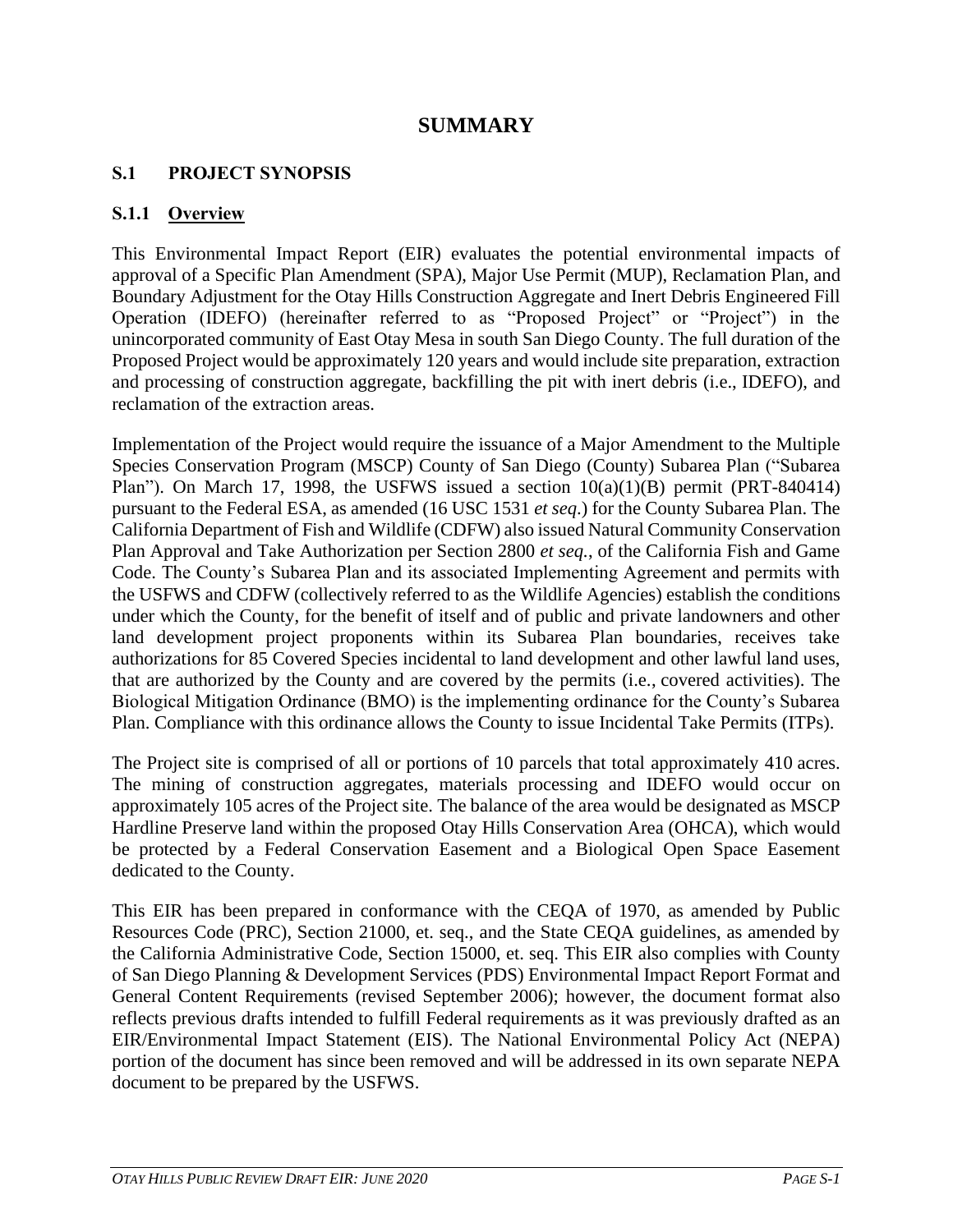# **SUMMARY**

### **S.1 PROJECT SYNOPSIS**

#### **S.1.1 Overview**

This Environmental Impact Report (EIR) evaluates the potential environmental impacts of approval of a Specific Plan Amendment (SPA), Major Use Permit (MUP), Reclamation Plan, and Boundary Adjustment for the Otay Hills Construction Aggregate and Inert Debris Engineered Fill Operation (IDEFO) (hereinafter referred to as "Proposed Project" or "Project") in the unincorporated community of East Otay Mesa in south San Diego County. The full duration of the Proposed Project would be approximately 120 years and would include site preparation, extraction and processing of construction aggregate, backfilling the pit with inert debris (i.e., IDEFO), and reclamation of the extraction areas.

Implementation of the Project would require the issuance of a Major Amendment to the Multiple Species Conservation Program (MSCP) County of San Diego (County) Subarea Plan ("Subarea Plan"). On March 17, 1998, the USFWS issued a section  $10(a)(1)(B)$  permit (PRT-840414) pursuant to the Federal ESA, as amended (16 USC 1531 *et seq*.) for the County Subarea Plan. The California Department of Fish and Wildlife (CDFW) also issued Natural Community Conservation Plan Approval and Take Authorization per Section 2800 *et seq.*, of the California Fish and Game Code. The County's Subarea Plan and its associated Implementing Agreement and permits with the USFWS and CDFW (collectively referred to as the Wildlife Agencies) establish the conditions under which the County, for the benefit of itself and of public and private landowners and other land development project proponents within its Subarea Plan boundaries, receives take authorizations for 85 Covered Species incidental to land development and other lawful land uses, that are authorized by the County and are covered by the permits (i.e., covered activities). The Biological Mitigation Ordinance (BMO) is the implementing ordinance for the County's Subarea Plan. Compliance with this ordinance allows the County to issue Incidental Take Permits (ITPs).

The Project site is comprised of all or portions of 10 parcels that total approximately 410 acres. The mining of construction aggregates, materials processing and IDEFO would occur on approximately 105 acres of the Project site. The balance of the area would be designated as MSCP Hardline Preserve land within the proposed Otay Hills Conservation Area (OHCA), which would be protected by a Federal Conservation Easement and a Biological Open Space Easement dedicated to the County.

This EIR has been prepared in conformance with the CEQA of 1970, as amended by Public Resources Code (PRC), Section 21000, et. seq., and the State CEQA guidelines, as amended by the California Administrative Code, Section 15000, et. seq. This EIR also complies with County of San Diego Planning & Development Services (PDS) Environmental Impact Report Format and General Content Requirements (revised September 2006); however, the document format also reflects previous drafts intended to fulfill Federal requirements as it was previously drafted as an EIR/Environmental Impact Statement (EIS). The National Environmental Policy Act (NEPA) portion of the document has since been removed and will be addressed in its own separate NEPA document to be prepared by the USFWS.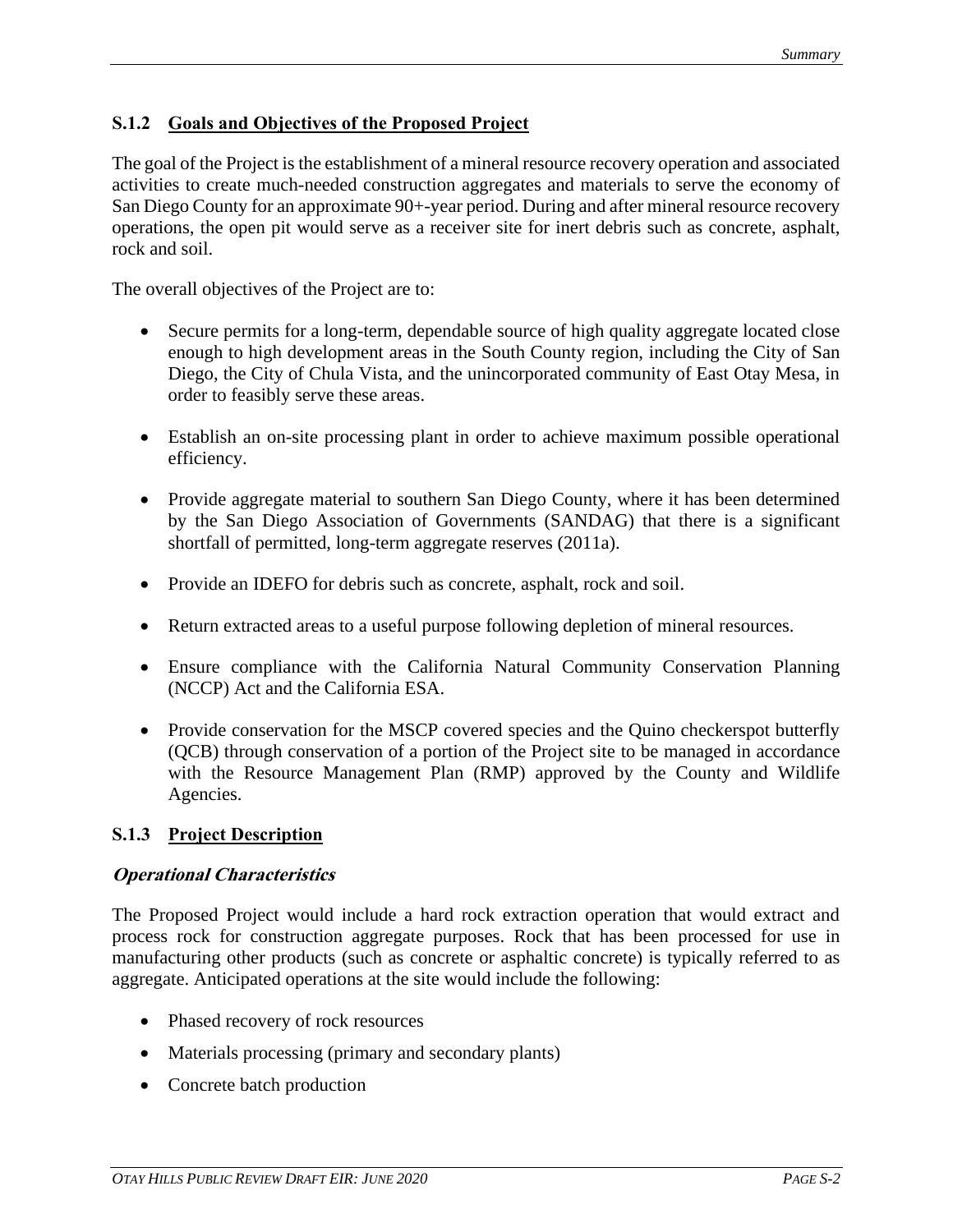# **S.1.2 Goals and Objectives of the Proposed Project**

The goal of the Project is the establishment of a mineral resource recovery operation and associated activities to create much-needed construction aggregates and materials to serve the economy of San Diego County for an approximate 90+-year period. During and after mineral resource recovery operations, the open pit would serve as a receiver site for inert debris such as concrete, asphalt, rock and soil.

The overall objectives of the Project are to:

- Secure permits for a long-term, dependable source of high quality aggregate located close enough to high development areas in the South County region, including the City of San Diego, the City of Chula Vista, and the unincorporated community of East Otay Mesa, in order to feasibly serve these areas.
- Establish an on-site processing plant in order to achieve maximum possible operational efficiency.
- Provide aggregate material to southern San Diego County, where it has been determined by the San Diego Association of Governments (SANDAG) that there is a significant shortfall of permitted, long-term aggregate reserves (2011a).
- Provide an IDEFO for debris such as concrete, asphalt, rock and soil.
- Return extracted areas to a useful purpose following depletion of mineral resources.
- Ensure compliance with the California Natural Community Conservation Planning (NCCP) Act and the California ESA.
- Provide conservation for the MSCP covered species and the Quino checkerspot butterfly (QCB) through conservation of a portion of the Project site to be managed in accordance with the Resource Management Plan (RMP) approved by the County and Wildlife Agencies.

## **S.1.3 Project Description**

### **Operational Characteristics**

The Proposed Project would include a hard rock extraction operation that would extract and process rock for construction aggregate purposes. Rock that has been processed for use in manufacturing other products (such as concrete or asphaltic concrete) is typically referred to as aggregate. Anticipated operations at the site would include the following:

- Phased recovery of rock resources
- Materials processing (primary and secondary plants)
- Concrete batch production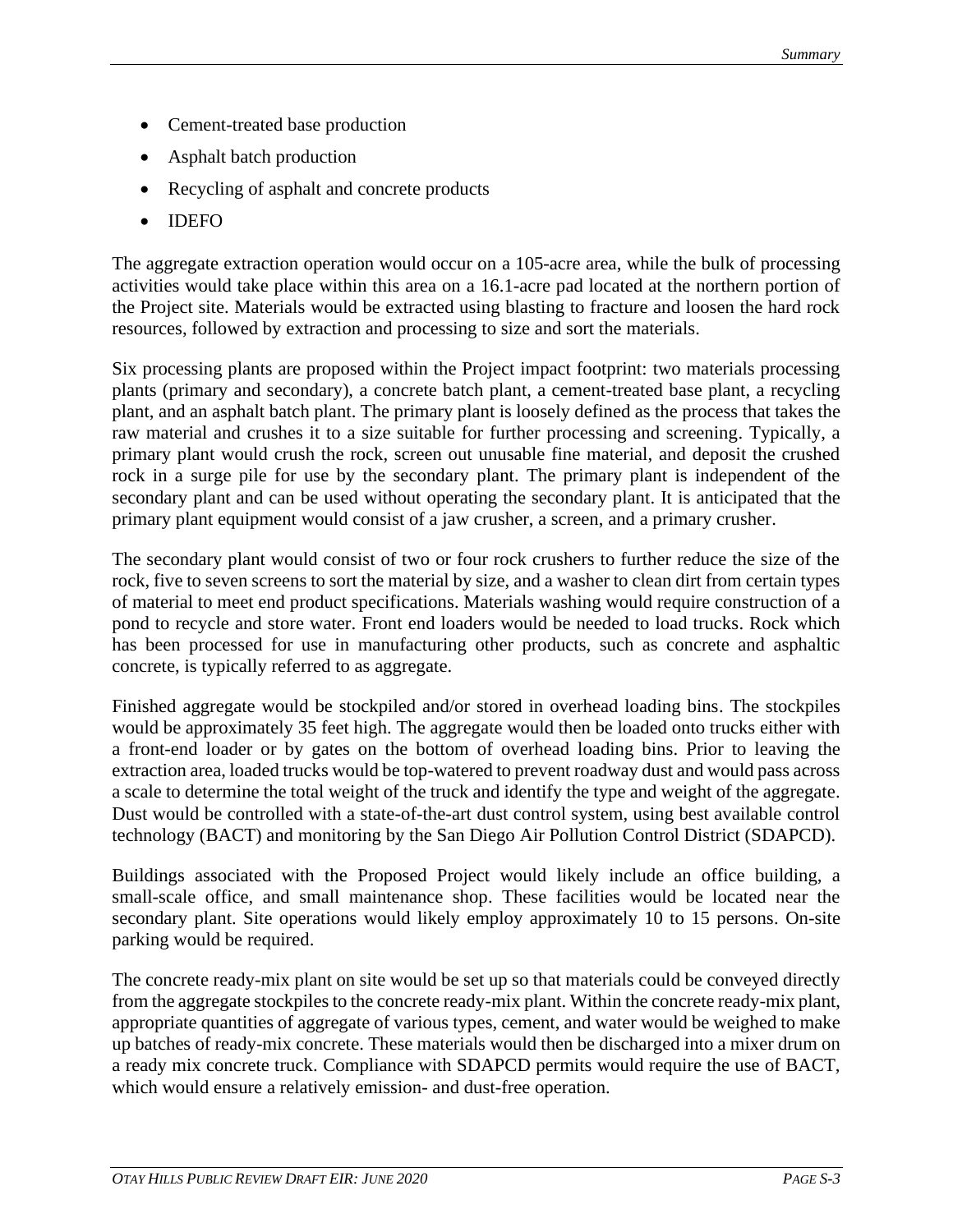- Cement-treated base production
- Asphalt batch production
- Recycling of asphalt and concrete products
- IDEFO

The aggregate extraction operation would occur on a 105-acre area, while the bulk of processing activities would take place within this area on a 16.1-acre pad located at the northern portion of the Project site. Materials would be extracted using blasting to fracture and loosen the hard rock resources, followed by extraction and processing to size and sort the materials.

Six processing plants are proposed within the Project impact footprint: two materials processing plants (primary and secondary), a concrete batch plant, a cement-treated base plant, a recycling plant, and an asphalt batch plant. The primary plant is loosely defined as the process that takes the raw material and crushes it to a size suitable for further processing and screening. Typically, a primary plant would crush the rock, screen out unusable fine material, and deposit the crushed rock in a surge pile for use by the secondary plant. The primary plant is independent of the secondary plant and can be used without operating the secondary plant. It is anticipated that the primary plant equipment would consist of a jaw crusher, a screen, and a primary crusher.

The secondary plant would consist of two or four rock crushers to further reduce the size of the rock, five to seven screens to sort the material by size, and a washer to clean dirt from certain types of material to meet end product specifications. Materials washing would require construction of a pond to recycle and store water. Front end loaders would be needed to load trucks. Rock which has been processed for use in manufacturing other products, such as concrete and asphaltic concrete, is typically referred to as aggregate.

Finished aggregate would be stockpiled and/or stored in overhead loading bins. The stockpiles would be approximately 35 feet high. The aggregate would then be loaded onto trucks either with a front-end loader or by gates on the bottom of overhead loading bins. Prior to leaving the extraction area, loaded trucks would be top-watered to prevent roadway dust and would pass across a scale to determine the total weight of the truck and identify the type and weight of the aggregate. Dust would be controlled with a state-of-the-art dust control system, using best available control technology (BACT) and monitoring by the San Diego Air Pollution Control District (SDAPCD).

Buildings associated with the Proposed Project would likely include an office building, a small-scale office, and small maintenance shop. These facilities would be located near the secondary plant. Site operations would likely employ approximately 10 to 15 persons. On-site parking would be required.

The concrete ready-mix plant on site would be set up so that materials could be conveyed directly from the aggregate stockpiles to the concrete ready-mix plant. Within the concrete ready-mix plant, appropriate quantities of aggregate of various types, cement, and water would be weighed to make up batches of ready-mix concrete. These materials would then be discharged into a mixer drum on a ready mix concrete truck. Compliance with SDAPCD permits would require the use of BACT, which would ensure a relatively emission- and dust-free operation.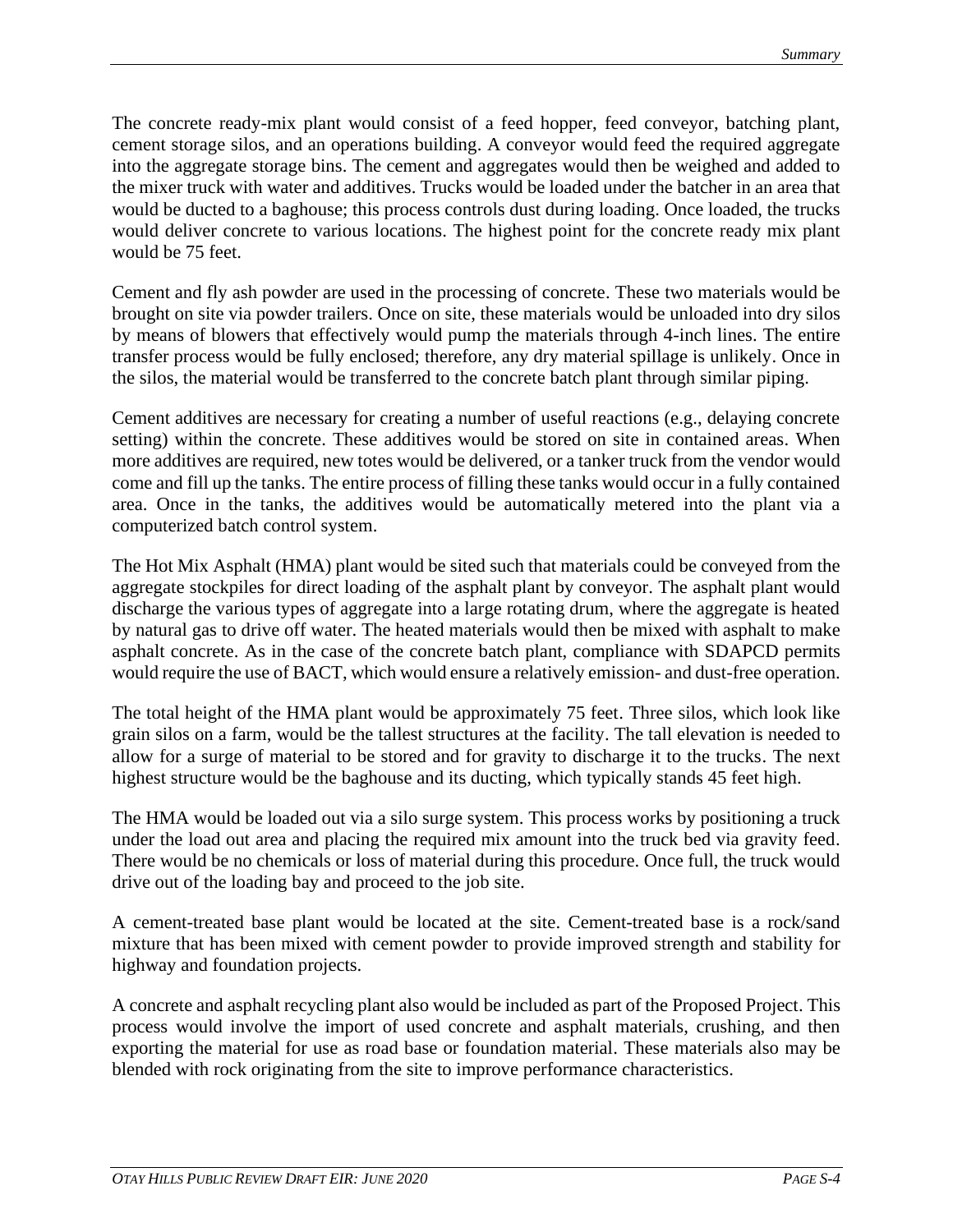The concrete ready-mix plant would consist of a feed hopper, feed conveyor, batching plant, cement storage silos, and an operations building. A conveyor would feed the required aggregate into the aggregate storage bins. The cement and aggregates would then be weighed and added to the mixer truck with water and additives. Trucks would be loaded under the batcher in an area that would be ducted to a baghouse; this process controls dust during loading. Once loaded, the trucks would deliver concrete to various locations. The highest point for the concrete ready mix plant would be 75 feet.

Cement and fly ash powder are used in the processing of concrete. These two materials would be brought on site via powder trailers. Once on site, these materials would be unloaded into dry silos by means of blowers that effectively would pump the materials through 4-inch lines. The entire transfer process would be fully enclosed; therefore, any dry material spillage is unlikely. Once in the silos, the material would be transferred to the concrete batch plant through similar piping.

Cement additives are necessary for creating a number of useful reactions (e.g., delaying concrete setting) within the concrete. These additives would be stored on site in contained areas. When more additives are required, new totes would be delivered, or a tanker truck from the vendor would come and fill up the tanks. The entire process of filling these tanks would occur in a fully contained area. Once in the tanks, the additives would be automatically metered into the plant via a computerized batch control system.

The Hot Mix Asphalt (HMA) plant would be sited such that materials could be conveyed from the aggregate stockpiles for direct loading of the asphalt plant by conveyor. The asphalt plant would discharge the various types of aggregate into a large rotating drum, where the aggregate is heated by natural gas to drive off water. The heated materials would then be mixed with asphalt to make asphalt concrete. As in the case of the concrete batch plant, compliance with SDAPCD permits would require the use of BACT, which would ensure a relatively emission- and dust-free operation.

The total height of the HMA plant would be approximately 75 feet. Three silos, which look like grain silos on a farm, would be the tallest structures at the facility. The tall elevation is needed to allow for a surge of material to be stored and for gravity to discharge it to the trucks. The next highest structure would be the baghouse and its ducting, which typically stands 45 feet high.

The HMA would be loaded out via a silo surge system. This process works by positioning a truck under the load out area and placing the required mix amount into the truck bed via gravity feed. There would be no chemicals or loss of material during this procedure. Once full, the truck would drive out of the loading bay and proceed to the job site.

A cement-treated base plant would be located at the site. Cement-treated base is a rock/sand mixture that has been mixed with cement powder to provide improved strength and stability for highway and foundation projects.

A concrete and asphalt recycling plant also would be included as part of the Proposed Project. This process would involve the import of used concrete and asphalt materials, crushing, and then exporting the material for use as road base or foundation material. These materials also may be blended with rock originating from the site to improve performance characteristics.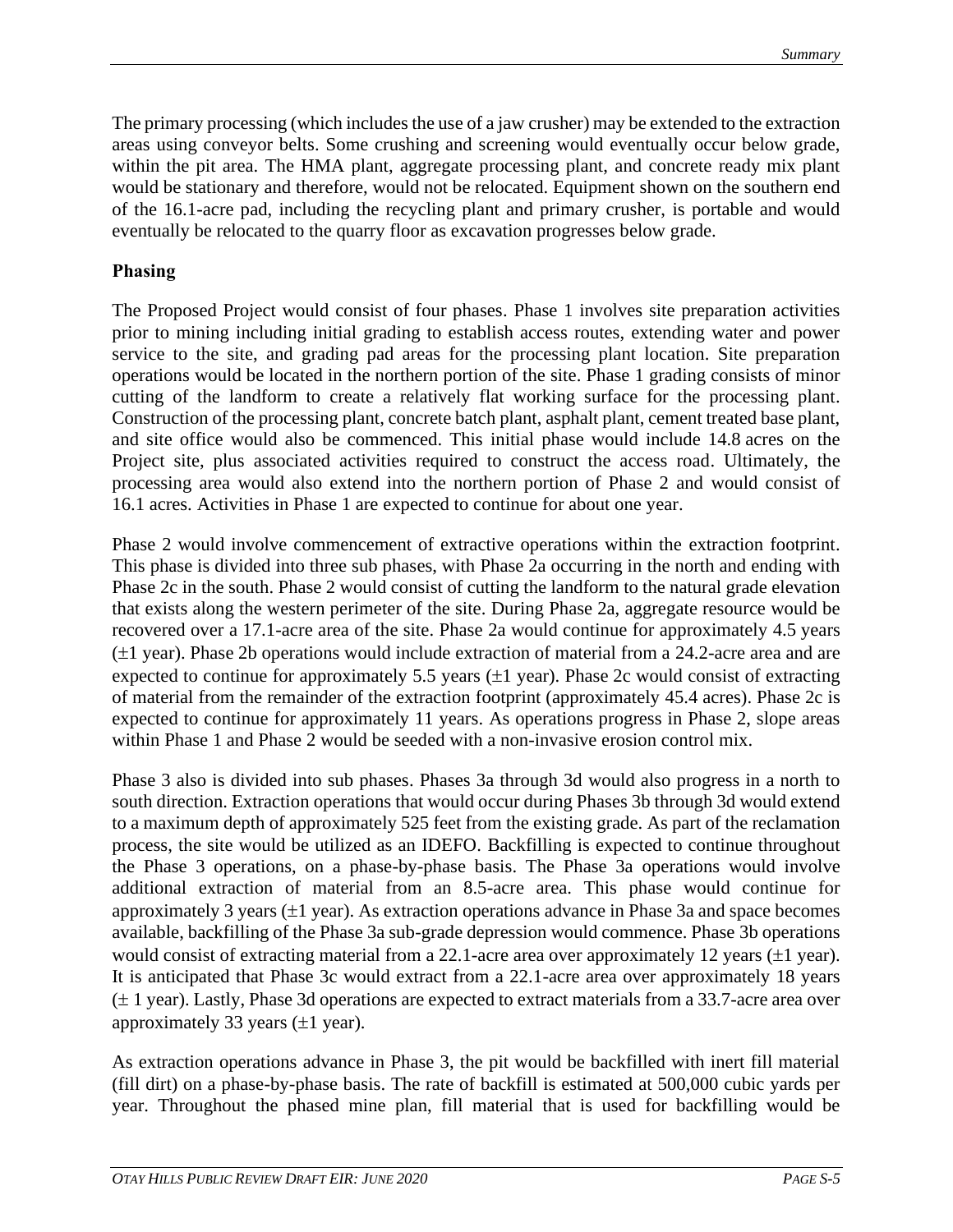The primary processing (which includes the use of a jaw crusher) may be extended to the extraction areas using conveyor belts. Some crushing and screening would eventually occur below grade, within the pit area. The HMA plant, aggregate processing plant, and concrete ready mix plant would be stationary and therefore, would not be relocated. Equipment shown on the southern end of the 16.1-acre pad, including the recycling plant and primary crusher, is portable and would eventually be relocated to the quarry floor as excavation progresses below grade.

#### **Phasing**

The Proposed Project would consist of four phases. Phase 1 involves site preparation activities prior to mining including initial grading to establish access routes, extending water and power service to the site, and grading pad areas for the processing plant location. Site preparation operations would be located in the northern portion of the site. Phase 1 grading consists of minor cutting of the landform to create a relatively flat working surface for the processing plant. Construction of the processing plant, concrete batch plant, asphalt plant, cement treated base plant, and site office would also be commenced. This initial phase would include 14.8 acres on the Project site, plus associated activities required to construct the access road. Ultimately, the processing area would also extend into the northern portion of Phase 2 and would consist of 16.1 acres. Activities in Phase 1 are expected to continue for about one year.

Phase 2 would involve commencement of extractive operations within the extraction footprint. This phase is divided into three sub phases, with Phase 2a occurring in the north and ending with Phase 2c in the south. Phase 2 would consist of cutting the landform to the natural grade elevation that exists along the western perimeter of the site. During Phase 2a, aggregate resource would be recovered over a 17.1-acre area of the site. Phase 2a would continue for approximately 4.5 years  $(\pm 1 \text{ year})$ . Phase 2b operations would include extraction of material from a 24.2-acre area and are expected to continue for approximately 5.5 years  $(\pm 1 \text{ year})$ . Phase 2c would consist of extracting of material from the remainder of the extraction footprint (approximately 45.4 acres). Phase 2c is expected to continue for approximately 11 years. As operations progress in Phase 2, slope areas within Phase 1 and Phase 2 would be seeded with a non-invasive erosion control mix.

Phase 3 also is divided into sub phases. Phases 3a through 3d would also progress in a north to south direction. Extraction operations that would occur during Phases 3b through 3d would extend to a maximum depth of approximately 525 feet from the existing grade. As part of the reclamation process, the site would be utilized as an IDEFO. Backfilling is expected to continue throughout the Phase 3 operations, on a phase-by-phase basis. The Phase 3a operations would involve additional extraction of material from an 8.5-acre area. This phase would continue for approximately 3 years  $(\pm 1$  year). As extraction operations advance in Phase 3a and space becomes available, backfilling of the Phase 3a sub-grade depression would commence. Phase 3b operations would consist of extracting material from a 22.1-acre area over approximately 12 years  $(\pm 1 \text{ year})$ . It is anticipated that Phase 3c would extract from a 22.1-acre area over approximately 18 years  $( \pm 1 \text{ year})$ . Lastly, Phase 3d operations are expected to extract materials from a 33.7-acre area over approximately 33 years  $(\pm 1 \text{ year})$ .

As extraction operations advance in Phase 3, the pit would be backfilled with inert fill material (fill dirt) on a phase-by-phase basis. The rate of backfill is estimated at 500,000 cubic yards per year. Throughout the phased mine plan, fill material that is used for backfilling would be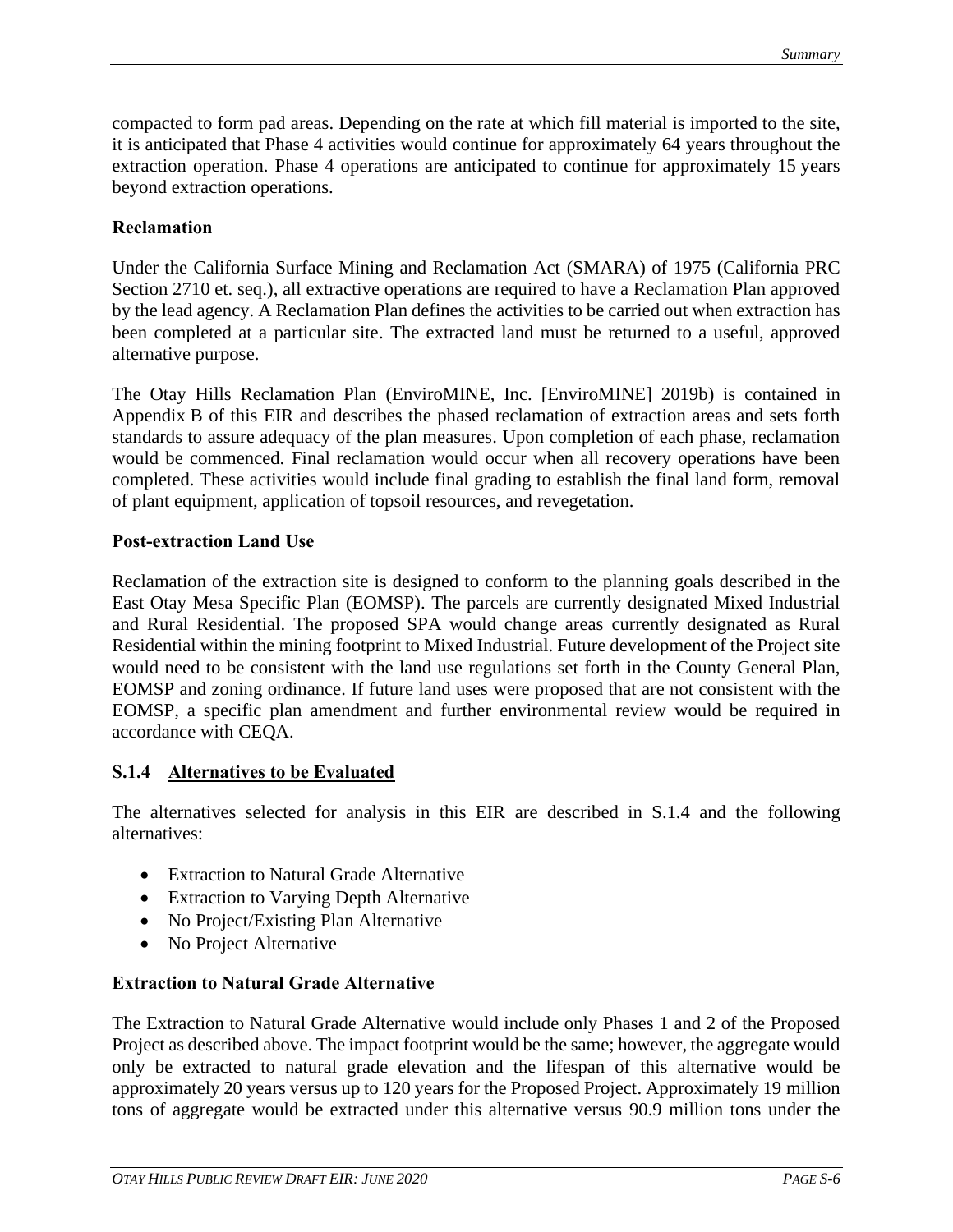compacted to form pad areas. Depending on the rate at which fill material is imported to the site, it is anticipated that Phase 4 activities would continue for approximately 64 years throughout the extraction operation. Phase 4 operations are anticipated to continue for approximately 15 years beyond extraction operations.

### **Reclamation**

Under the California Surface Mining and Reclamation Act (SMARA) of 1975 (California PRC Section 2710 et. seq.), all extractive operations are required to have a Reclamation Plan approved by the lead agency. A Reclamation Plan defines the activities to be carried out when extraction has been completed at a particular site. The extracted land must be returned to a useful, approved alternative purpose.

The Otay Hills Reclamation Plan (EnviroMINE, Inc. [EnviroMINE] 2019b) is contained in Appendix B of this EIR and describes the phased reclamation of extraction areas and sets forth standards to assure adequacy of the plan measures. Upon completion of each phase, reclamation would be commenced. Final reclamation would occur when all recovery operations have been completed. These activities would include final grading to establish the final land form, removal of plant equipment, application of topsoil resources, and revegetation.

#### **Post-extraction Land Use**

Reclamation of the extraction site is designed to conform to the planning goals described in the East Otay Mesa Specific Plan (EOMSP). The parcels are currently designated Mixed Industrial and Rural Residential. The proposed SPA would change areas currently designated as Rural Residential within the mining footprint to Mixed Industrial. Future development of the Project site would need to be consistent with the land use regulations set forth in the County General Plan, EOMSP and zoning ordinance. If future land uses were proposed that are not consistent with the EOMSP, a specific plan amendment and further environmental review would be required in accordance with CEQA.

### **S.1.4 Alternatives to be Evaluated**

The alternatives selected for analysis in this EIR are described in S.1.4 and the following alternatives:

- Extraction to Natural Grade Alternative
- Extraction to Varying Depth Alternative
- No Project/Existing Plan Alternative
- No Project Alternative

### **Extraction to Natural Grade Alternative**

The Extraction to Natural Grade Alternative would include only Phases 1 and 2 of the Proposed Project as described above. The impact footprint would be the same; however, the aggregate would only be extracted to natural grade elevation and the lifespan of this alternative would be approximately 20 years versus up to 120 years for the Proposed Project. Approximately 19 million tons of aggregate would be extracted under this alternative versus 90.9 million tons under the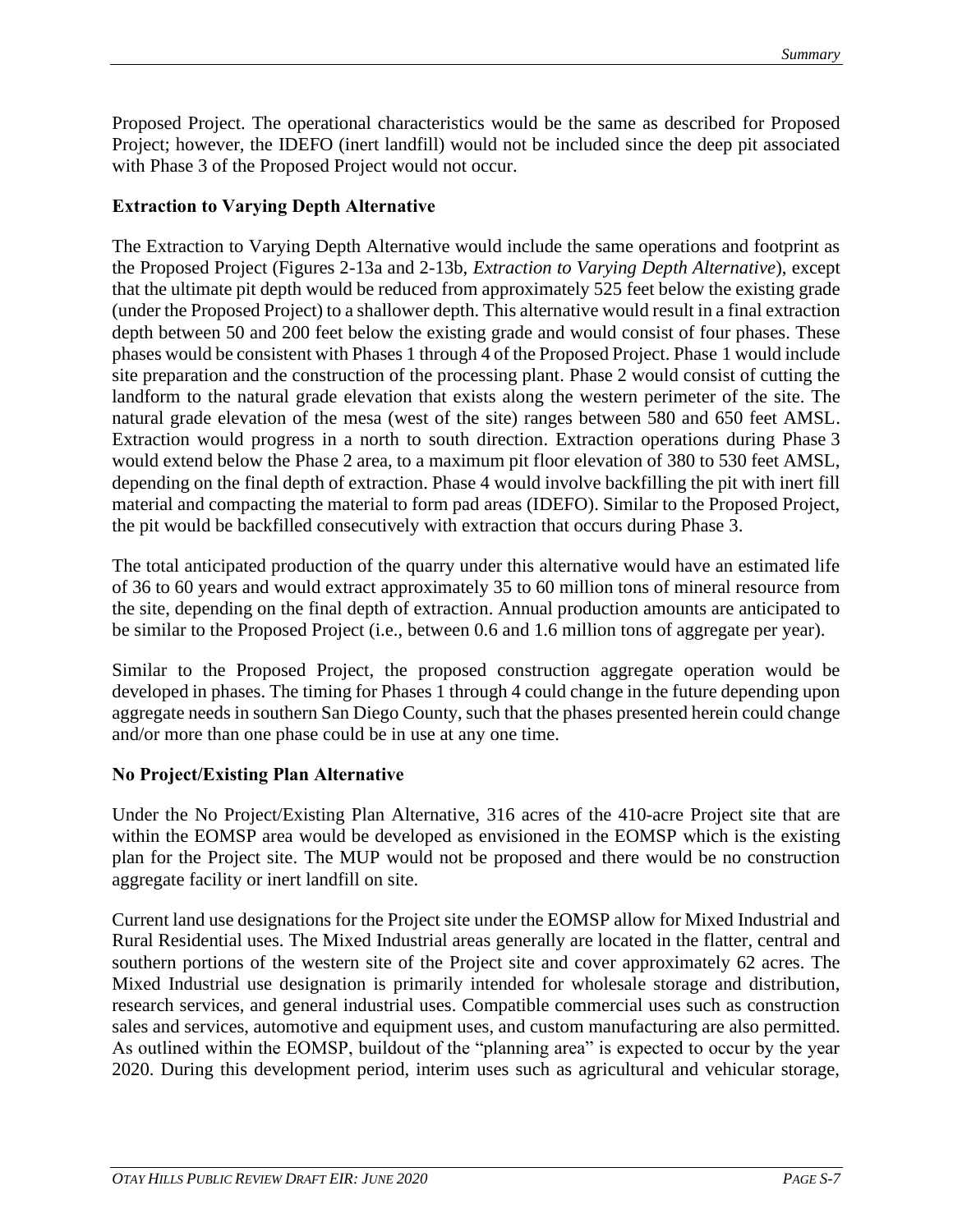Proposed Project. The operational characteristics would be the same as described for Proposed Project; however, the IDEFO (inert landfill) would not be included since the deep pit associated with Phase 3 of the Proposed Project would not occur.

#### **Extraction to Varying Depth Alternative**

The Extraction to Varying Depth Alternative would include the same operations and footprint as the Proposed Project (Figures 2-13a and 2-13b, *Extraction to Varying Depth Alternative*), except that the ultimate pit depth would be reduced from approximately 525 feet below the existing grade (under the Proposed Project) to a shallower depth. This alternative would result in a final extraction depth between 50 and 200 feet below the existing grade and would consist of four phases. These phases would be consistent with Phases 1 through 4 of the Proposed Project. Phase 1 would include site preparation and the construction of the processing plant. Phase 2 would consist of cutting the landform to the natural grade elevation that exists along the western perimeter of the site. The natural grade elevation of the mesa (west of the site) ranges between 580 and 650 feet AMSL. Extraction would progress in a north to south direction. Extraction operations during Phase 3 would extend below the Phase 2 area, to a maximum pit floor elevation of 380 to 530 feet AMSL, depending on the final depth of extraction. Phase 4 would involve backfilling the pit with inert fill material and compacting the material to form pad areas (IDEFO). Similar to the Proposed Project, the pit would be backfilled consecutively with extraction that occurs during Phase 3.

The total anticipated production of the quarry under this alternative would have an estimated life of 36 to 60 years and would extract approximately 35 to 60 million tons of mineral resource from the site, depending on the final depth of extraction. Annual production amounts are anticipated to be similar to the Proposed Project (i.e., between 0.6 and 1.6 million tons of aggregate per year).

Similar to the Proposed Project, the proposed construction aggregate operation would be developed in phases. The timing for Phases 1 through 4 could change in the future depending upon aggregate needs in southern San Diego County, such that the phases presented herein could change and/or more than one phase could be in use at any one time.

### **No Project/Existing Plan Alternative**

Under the No Project/Existing Plan Alternative, 316 acres of the 410-acre Project site that are within the EOMSP area would be developed as envisioned in the EOMSP which is the existing plan for the Project site. The MUP would not be proposed and there would be no construction aggregate facility or inert landfill on site.

Current land use designations for the Project site under the EOMSP allow for Mixed Industrial and Rural Residential uses. The Mixed Industrial areas generally are located in the flatter, central and southern portions of the western site of the Project site and cover approximately 62 acres. The Mixed Industrial use designation is primarily intended for wholesale storage and distribution, research services, and general industrial uses. Compatible commercial uses such as construction sales and services, automotive and equipment uses, and custom manufacturing are also permitted. As outlined within the EOMSP, buildout of the "planning area" is expected to occur by the year 2020. During this development period, interim uses such as agricultural and vehicular storage,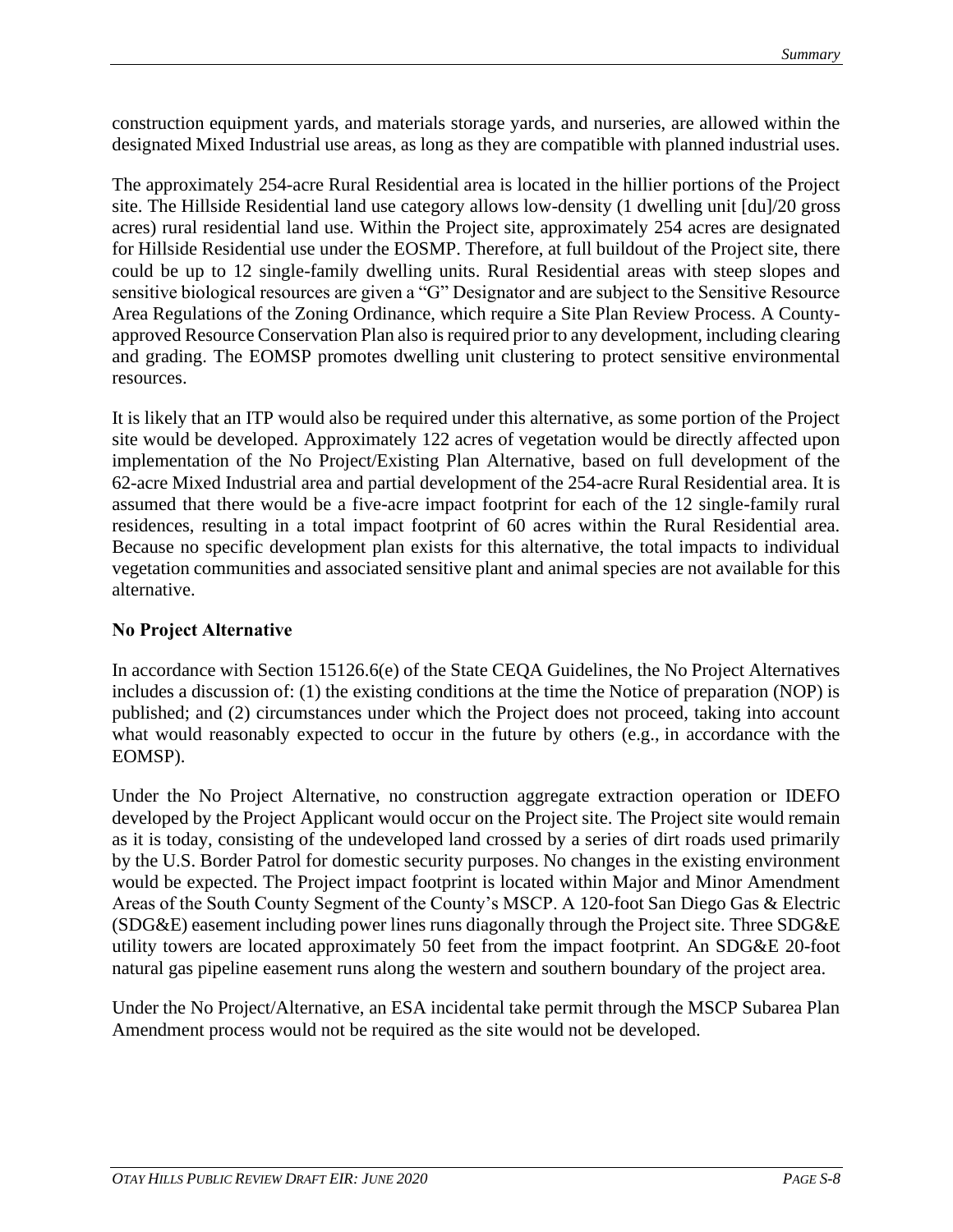construction equipment yards, and materials storage yards, and nurseries, are allowed within the designated Mixed Industrial use areas, as long as they are compatible with planned industrial uses.

The approximately 254-acre Rural Residential area is located in the hillier portions of the Project site. The Hillside Residential land use category allows low-density (1 dwelling unit [du]/20 gross acres) rural residential land use. Within the Project site, approximately 254 acres are designated for Hillside Residential use under the EOSMP. Therefore, at full buildout of the Project site, there could be up to 12 single-family dwelling units. Rural Residential areas with steep slopes and sensitive biological resources are given a "G" Designator and are subject to the Sensitive Resource Area Regulations of the Zoning Ordinance, which require a Site Plan Review Process. A Countyapproved Resource Conservation Plan also is required prior to any development, including clearing and grading. The EOMSP promotes dwelling unit clustering to protect sensitive environmental resources.

It is likely that an ITP would also be required under this alternative, as some portion of the Project site would be developed. Approximately 122 acres of vegetation would be directly affected upon implementation of the No Project/Existing Plan Alternative, based on full development of the 62-acre Mixed Industrial area and partial development of the 254-acre Rural Residential area. It is assumed that there would be a five-acre impact footprint for each of the 12 single-family rural residences, resulting in a total impact footprint of 60 acres within the Rural Residential area. Because no specific development plan exists for this alternative, the total impacts to individual vegetation communities and associated sensitive plant and animal species are not available for this alternative.

### **No Project Alternative**

In accordance with Section 15126.6(e) of the State CEQA Guidelines, the No Project Alternatives includes a discussion of: (1) the existing conditions at the time the Notice of preparation (NOP) is published; and (2) circumstances under which the Project does not proceed, taking into account what would reasonably expected to occur in the future by others (e.g., in accordance with the EOMSP).

Under the No Project Alternative, no construction aggregate extraction operation or IDEFO developed by the Project Applicant would occur on the Project site. The Project site would remain as it is today, consisting of the undeveloped land crossed by a series of dirt roads used primarily by the U.S. Border Patrol for domestic security purposes. No changes in the existing environment would be expected. The Project impact footprint is located within Major and Minor Amendment Areas of the South County Segment of the County's MSCP. A 120-foot San Diego Gas & Electric (SDG&E) easement including power lines runs diagonally through the Project site. Three SDG&E utility towers are located approximately 50 feet from the impact footprint. An SDG&E 20-foot natural gas pipeline easement runs along the western and southern boundary of the project area.

Under the No Project/Alternative, an ESA incidental take permit through the MSCP Subarea Plan Amendment process would not be required as the site would not be developed.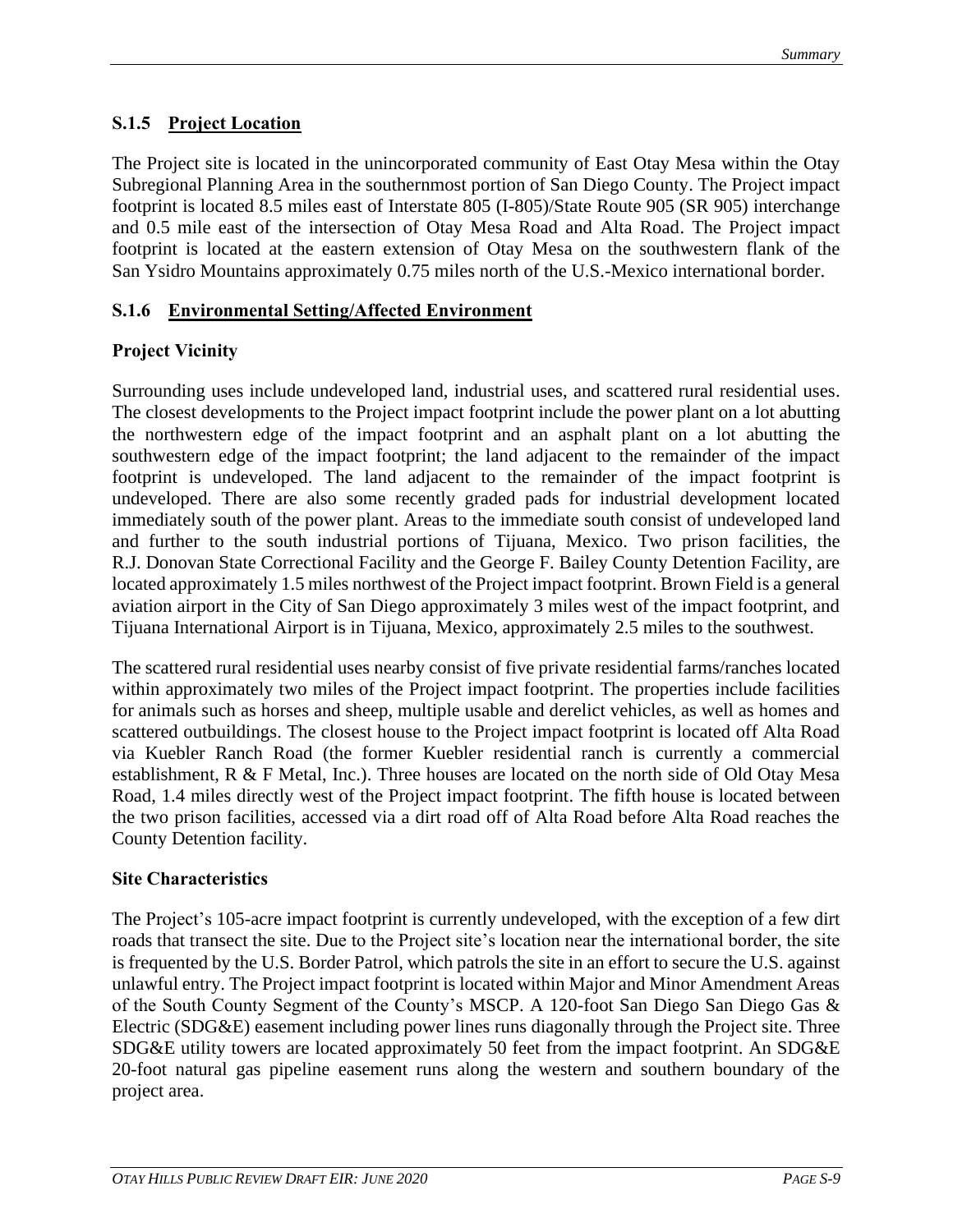## **S.1.5 Project Location**

The Project site is located in the unincorporated community of East Otay Mesa within the Otay Subregional Planning Area in the southernmost portion of San Diego County. The Project impact footprint is located 8.5 miles east of Interstate 805 (I-805)/State Route 905 (SR 905) interchange and 0.5 mile east of the intersection of Otay Mesa Road and Alta Road. The Project impact footprint is located at the eastern extension of Otay Mesa on the southwestern flank of the San Ysidro Mountains approximately 0.75 miles north of the U.S.-Mexico international border.

## **S.1.6 Environmental Setting/Affected Environment**

## **Project Vicinity**

Surrounding uses include undeveloped land, industrial uses, and scattered rural residential uses. The closest developments to the Project impact footprint include the power plant on a lot abutting the northwestern edge of the impact footprint and an asphalt plant on a lot abutting the southwestern edge of the impact footprint; the land adjacent to the remainder of the impact footprint is undeveloped. The land adjacent to the remainder of the impact footprint is undeveloped. There are also some recently graded pads for industrial development located immediately south of the power plant. Areas to the immediate south consist of undeveloped land and further to the south industrial portions of Tijuana, Mexico. Two prison facilities, the R.J. Donovan State Correctional Facility and the George F. Bailey County Detention Facility, are located approximately 1.5 miles northwest of the Project impact footprint. Brown Field is a general aviation airport in the City of San Diego approximately 3 miles west of the impact footprint, and Tijuana International Airport is in Tijuana, Mexico, approximately 2.5 miles to the southwest.

The scattered rural residential uses nearby consist of five private residential farms/ranches located within approximately two miles of the Project impact footprint. The properties include facilities for animals such as horses and sheep, multiple usable and derelict vehicles, as well as homes and scattered outbuildings. The closest house to the Project impact footprint is located off Alta Road via Kuebler Ranch Road (the former Kuebler residential ranch is currently a commercial establishment, R & F Metal, Inc.). Three houses are located on the north side of Old Otay Mesa Road, 1.4 miles directly west of the Project impact footprint. The fifth house is located between the two prison facilities, accessed via a dirt road off of Alta Road before Alta Road reaches the County Detention facility.

## **Site Characteristics**

The Project's 105-acre impact footprint is currently undeveloped, with the exception of a few dirt roads that transect the site. Due to the Project site's location near the international border, the site is frequented by the U.S. Border Patrol, which patrols the site in an effort to secure the U.S. against unlawful entry. The Project impact footprint is located within Major and Minor Amendment Areas of the South County Segment of the County's MSCP. A 120-foot San Diego San Diego Gas & Electric (SDG&E) easement including power lines runs diagonally through the Project site. Three SDG&E utility towers are located approximately 50 feet from the impact footprint. An SDG&E 20-foot natural gas pipeline easement runs along the western and southern boundary of the project area.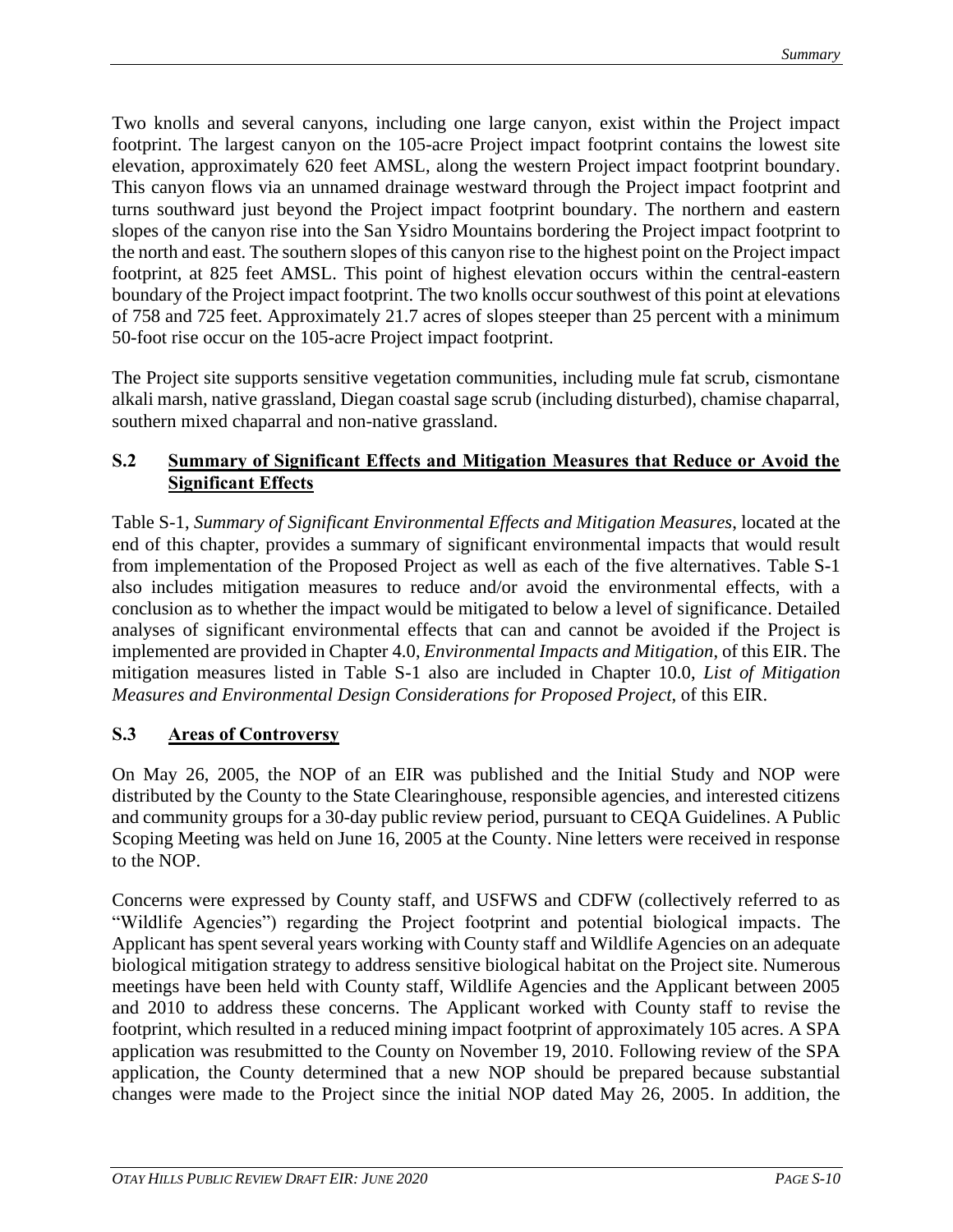Two knolls and several canyons, including one large canyon, exist within the Project impact footprint. The largest canyon on the 105-acre Project impact footprint contains the lowest site elevation, approximately 620 feet AMSL, along the western Project impact footprint boundary. This canyon flows via an unnamed drainage westward through the Project impact footprint and turns southward just beyond the Project impact footprint boundary. The northern and eastern slopes of the canyon rise into the San Ysidro Mountains bordering the Project impact footprint to the north and east. The southern slopes of this canyon rise to the highest point on the Project impact footprint, at 825 feet AMSL. This point of highest elevation occurs within the central-eastern boundary of the Project impact footprint. The two knolls occur southwest of this point at elevations of 758 and 725 feet. Approximately 21.7 acres of slopes steeper than 25 percent with a minimum 50-foot rise occur on the 105-acre Project impact footprint.

The Project site supports sensitive vegetation communities, including mule fat scrub, cismontane alkali marsh, native grassland, Diegan coastal sage scrub (including disturbed), chamise chaparral, southern mixed chaparral and non-native grassland.

### **S.2 Summary of Significant Effects and Mitigation Measures that Reduce or Avoid the Significant Effects**

Table S-1, *Summary of Significant Environmental Effects and Mitigation Measures*, located at the end of this chapter, provides a summary of significant environmental impacts that would result from implementation of the Proposed Project as well as each of the five alternatives. Table S-1 also includes mitigation measures to reduce and/or avoid the environmental effects, with a conclusion as to whether the impact would be mitigated to below a level of significance. Detailed analyses of significant environmental effects that can and cannot be avoided if the Project is implemented are provided in Chapter 4.0, *Environmental Impacts and Mitigation*, of this EIR. The mitigation measures listed in Table S-1 also are included in Chapter 10.0, *List of Mitigation Measures and Environmental Design Considerations for Proposed Project*, of this EIR.

## **S.3 Areas of Controversy**

On May 26, 2005, the NOP of an EIR was published and the Initial Study and NOP were distributed by the County to the State Clearinghouse, responsible agencies, and interested citizens and community groups for a 30-day public review period, pursuant to CEQA Guidelines. A Public Scoping Meeting was held on June 16, 2005 at the County. Nine letters were received in response to the NOP.

Concerns were expressed by County staff, and USFWS and CDFW (collectively referred to as "Wildlife Agencies") regarding the Project footprint and potential biological impacts. The Applicant has spent several years working with County staff and Wildlife Agencies on an adequate biological mitigation strategy to address sensitive biological habitat on the Project site. Numerous meetings have been held with County staff, Wildlife Agencies and the Applicant between 2005 and 2010 to address these concerns. The Applicant worked with County staff to revise the footprint, which resulted in a reduced mining impact footprint of approximately 105 acres. A SPA application was resubmitted to the County on November 19, 2010. Following review of the SPA application, the County determined that a new NOP should be prepared because substantial changes were made to the Project since the initial NOP dated May 26, 2005. In addition, the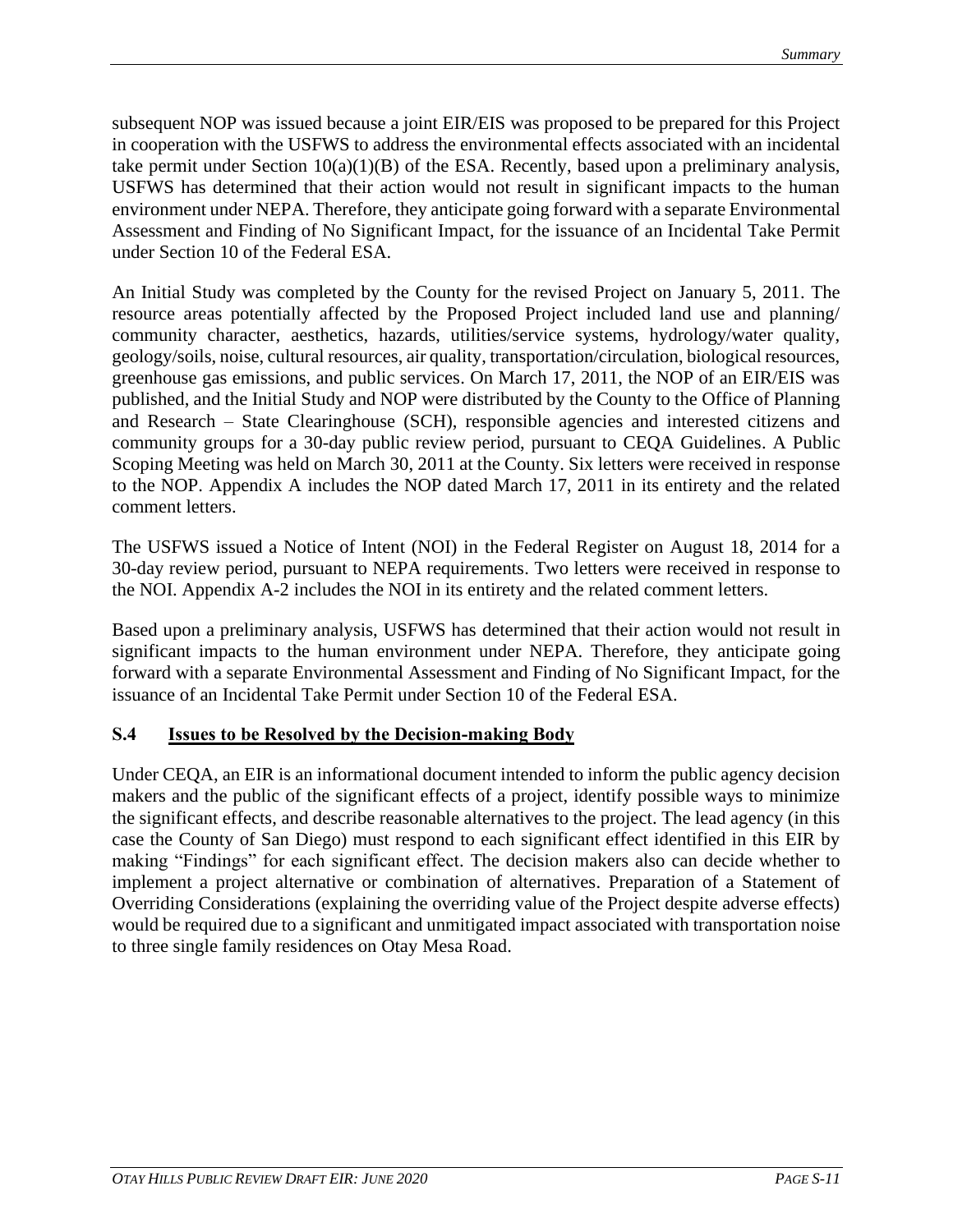subsequent NOP was issued because a joint EIR/EIS was proposed to be prepared for this Project in cooperation with the USFWS to address the environmental effects associated with an incidental take permit under Section  $10(a)(1)(B)$  of the ESA. Recently, based upon a preliminary analysis, USFWS has determined that their action would not result in significant impacts to the human environment under NEPA. Therefore, they anticipate going forward with a separate Environmental Assessment and Finding of No Significant Impact, for the issuance of an Incidental Take Permit under Section 10 of the Federal ESA.

An Initial Study was completed by the County for the revised Project on January 5, 2011. The resource areas potentially affected by the Proposed Project included land use and planning/ community character, aesthetics, hazards, utilities/service systems, hydrology/water quality, geology/soils, noise, cultural resources, air quality, transportation/circulation, biological resources, greenhouse gas emissions, and public services. On March 17, 2011, the NOP of an EIR/EIS was published, and the Initial Study and NOP were distributed by the County to the Office of Planning and Research – State Clearinghouse (SCH), responsible agencies and interested citizens and community groups for a 30-day public review period, pursuant to CEQA Guidelines. A Public Scoping Meeting was held on March 30, 2011 at the County. Six letters were received in response to the NOP. Appendix A includes the NOP dated March 17, 2011 in its entirety and the related comment letters.

The USFWS issued a Notice of Intent (NOI) in the Federal Register on August 18, 2014 for a 30-day review period, pursuant to NEPA requirements. Two letters were received in response to the NOI. Appendix A-2 includes the NOI in its entirety and the related comment letters.

Based upon a preliminary analysis, USFWS has determined that their action would not result in significant impacts to the human environment under NEPA. Therefore, they anticipate going forward with a separate Environmental Assessment and Finding of No Significant Impact, for the issuance of an Incidental Take Permit under Section 10 of the Federal ESA.

### **S.4 Issues to be Resolved by the Decision-making Body**

Under CEQA, an EIR is an informational document intended to inform the public agency decision makers and the public of the significant effects of a project, identify possible ways to minimize the significant effects, and describe reasonable alternatives to the project. The lead agency (in this case the County of San Diego) must respond to each significant effect identified in this EIR by making "Findings" for each significant effect. The decision makers also can decide whether to implement a project alternative or combination of alternatives. Preparation of a Statement of Overriding Considerations (explaining the overriding value of the Project despite adverse effects) would be required due to a significant and unmitigated impact associated with transportation noise to three single family residences on Otay Mesa Road.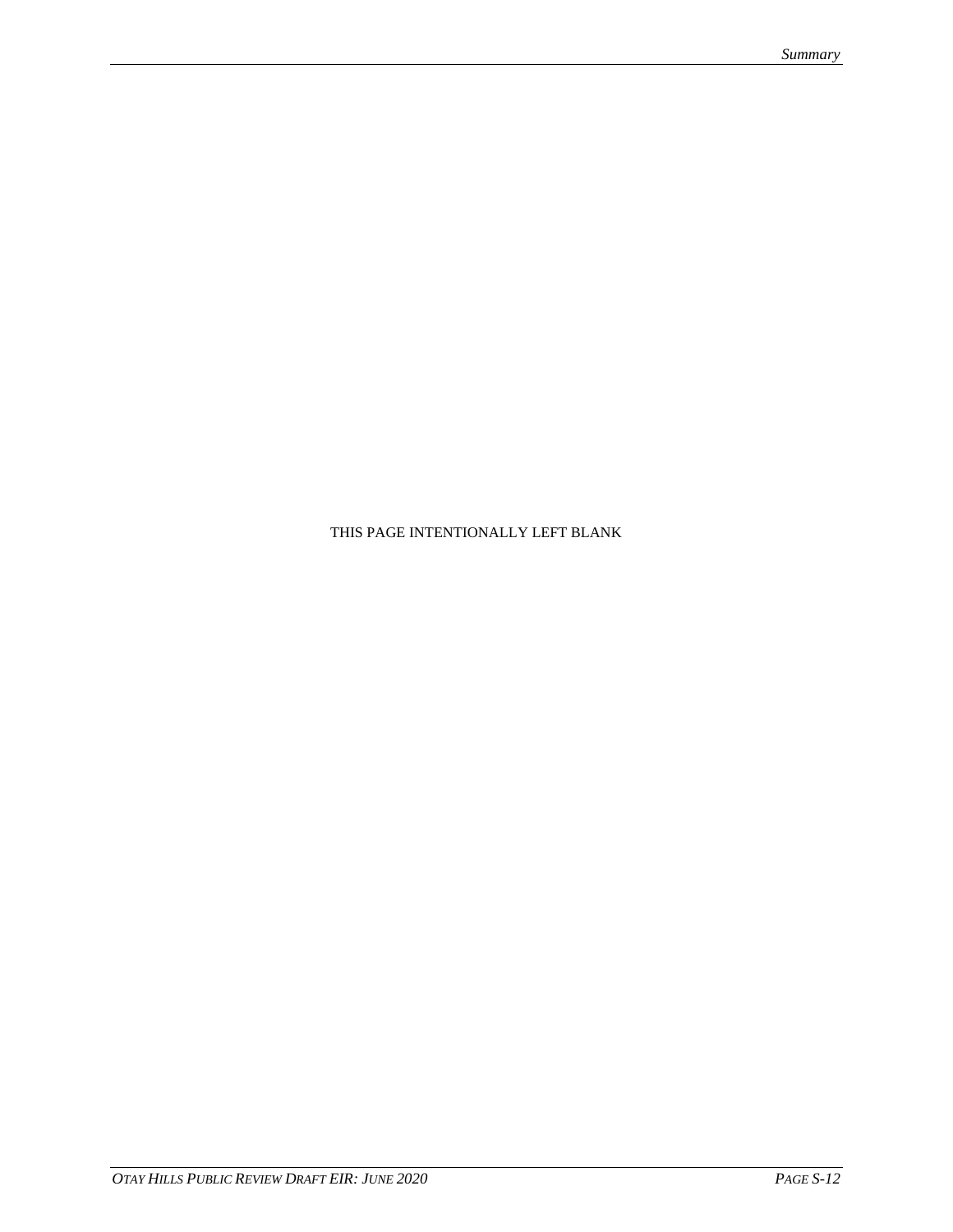#### THIS PAGE INTENTIONALLY LEFT BLANK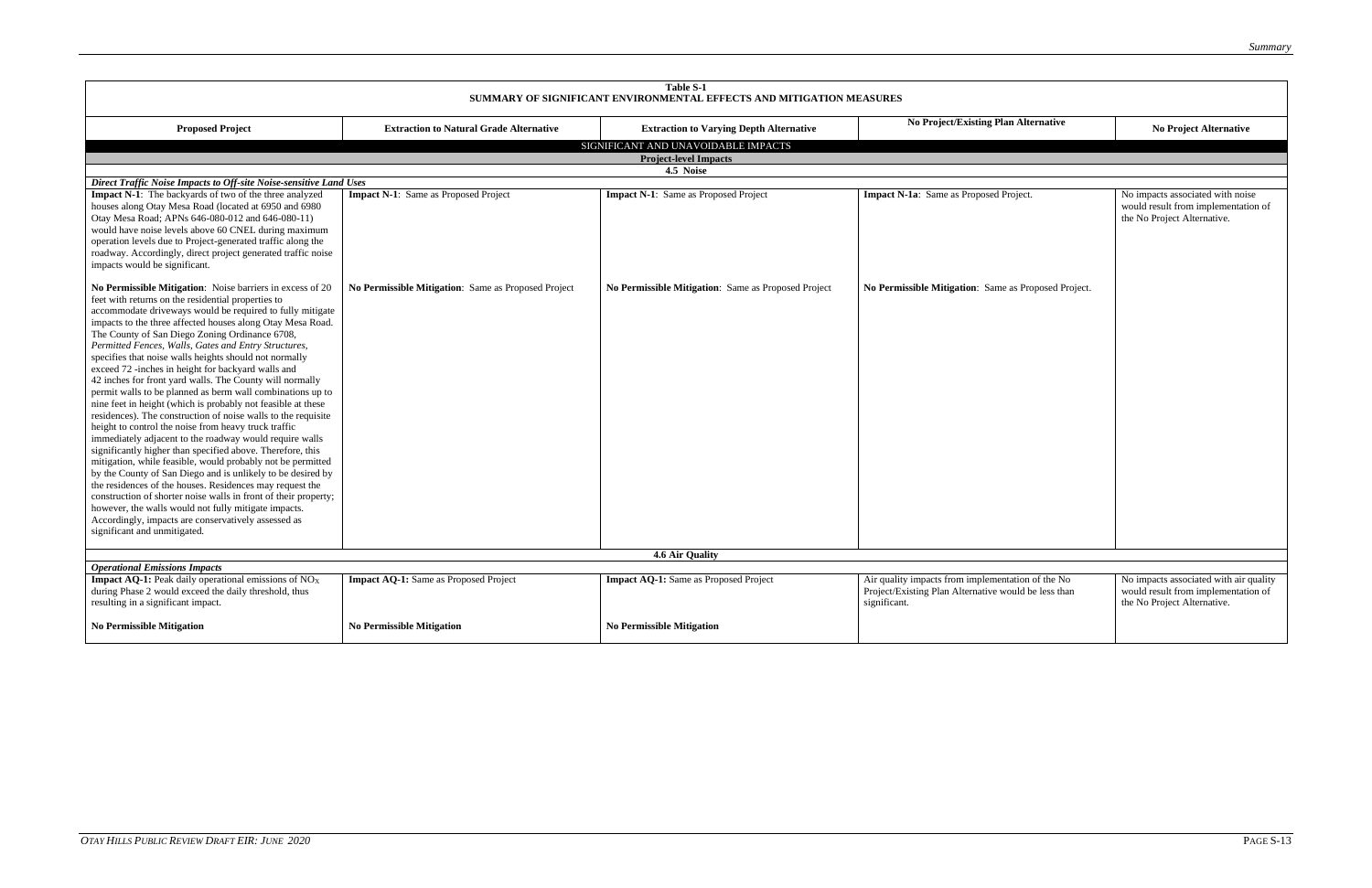|                                                                                                                                                                                                                                                                                                                                                                                                                                                                                                                                                                                                                                                                                                                                                                                                                                                                                                                                                                                                                                                                                                                                                                                                                                                                                                                              |                                                     | Table S-1<br>SUMMARY OF SIGNIFICANT ENVIRONMENTAL EFFECTS AND MITIGATION MEASURES |                                                                                                           |                                                                                                  |
|------------------------------------------------------------------------------------------------------------------------------------------------------------------------------------------------------------------------------------------------------------------------------------------------------------------------------------------------------------------------------------------------------------------------------------------------------------------------------------------------------------------------------------------------------------------------------------------------------------------------------------------------------------------------------------------------------------------------------------------------------------------------------------------------------------------------------------------------------------------------------------------------------------------------------------------------------------------------------------------------------------------------------------------------------------------------------------------------------------------------------------------------------------------------------------------------------------------------------------------------------------------------------------------------------------------------------|-----------------------------------------------------|-----------------------------------------------------------------------------------|-----------------------------------------------------------------------------------------------------------|--------------------------------------------------------------------------------------------------|
| <b>Proposed Project</b>                                                                                                                                                                                                                                                                                                                                                                                                                                                                                                                                                                                                                                                                                                                                                                                                                                                                                                                                                                                                                                                                                                                                                                                                                                                                                                      | <b>Extraction to Natural Grade Alternative</b>      | <b>Extraction to Varying Depth Alternative</b>                                    | No Project/Existing Plan Alternative                                                                      | <b>No Project Alternative</b>                                                                    |
|                                                                                                                                                                                                                                                                                                                                                                                                                                                                                                                                                                                                                                                                                                                                                                                                                                                                                                                                                                                                                                                                                                                                                                                                                                                                                                                              |                                                     | SIGNIFICANT AND UNAVOIDABLE IMPACTS                                               |                                                                                                           |                                                                                                  |
|                                                                                                                                                                                                                                                                                                                                                                                                                                                                                                                                                                                                                                                                                                                                                                                                                                                                                                                                                                                                                                                                                                                                                                                                                                                                                                                              |                                                     | <b>Project-level Impacts</b>                                                      |                                                                                                           |                                                                                                  |
|                                                                                                                                                                                                                                                                                                                                                                                                                                                                                                                                                                                                                                                                                                                                                                                                                                                                                                                                                                                                                                                                                                                                                                                                                                                                                                                              |                                                     | 4.5 Noise                                                                         |                                                                                                           |                                                                                                  |
| Direct Traffic Noise Impacts to Off-site Noise-sensitive Land Uses                                                                                                                                                                                                                                                                                                                                                                                                                                                                                                                                                                                                                                                                                                                                                                                                                                                                                                                                                                                                                                                                                                                                                                                                                                                           |                                                     |                                                                                   |                                                                                                           |                                                                                                  |
| Impact N-1: The backyards of two of the three analyzed<br>houses along Otay Mesa Road (located at 6950 and 6980<br>Otay Mesa Road; APNs 646-080-012 and 646-080-11)<br>would have noise levels above 60 CNEL during maximum<br>operation levels due to Project-generated traffic along the<br>roadway. Accordingly, direct project generated traffic noise<br>impacts would be significant.                                                                                                                                                                                                                                                                                                                                                                                                                                                                                                                                                                                                                                                                                                                                                                                                                                                                                                                                  | <b>Impact N-1:</b> Same as Proposed Project         | <b>Impact N-1:</b> Same as Proposed Project                                       | <b>Impact N-1a:</b> Same as Proposed Project.                                                             | No impacts associated with nois<br>would result from implementati<br>the No Project Alternative. |
| No Permissible Mitigation: Noise barriers in excess of 20<br>feet with returns on the residential properties to<br>accommodate driveways would be required to fully mitigate<br>impacts to the three affected houses along Otay Mesa Road.<br>The County of San Diego Zoning Ordinance 6708,<br>Permitted Fences, Walls, Gates and Entry Structures,<br>specifies that noise walls heights should not normally<br>exceed 72 -inches in height for backyard walls and<br>42 inches for front yard walls. The County will normally<br>permit walls to be planned as berm wall combinations up to<br>nine feet in height (which is probably not feasible at these<br>residences). The construction of noise walls to the requisite<br>height to control the noise from heavy truck traffic<br>immediately adjacent to the roadway would require walls<br>significantly higher than specified above. Therefore, this<br>mitigation, while feasible, would probably not be permitted<br>by the County of San Diego and is unlikely to be desired by<br>the residences of the houses. Residences may request the<br>construction of shorter noise walls in front of their property;<br>however, the walls would not fully mitigate impacts.<br>Accordingly, impacts are conservatively assessed as<br>significant and unmitigated. | No Permissible Mitigation: Same as Proposed Project | No Permissible Mitigation: Same as Proposed Project                               | No Permissible Mitigation: Same as Proposed Project.                                                      |                                                                                                  |
|                                                                                                                                                                                                                                                                                                                                                                                                                                                                                                                                                                                                                                                                                                                                                                                                                                                                                                                                                                                                                                                                                                                                                                                                                                                                                                                              |                                                     | 4.6 Air Quality                                                                   |                                                                                                           |                                                                                                  |
| <b>Operational Emissions Impacts</b>                                                                                                                                                                                                                                                                                                                                                                                                                                                                                                                                                                                                                                                                                                                                                                                                                                                                                                                                                                                                                                                                                                                                                                                                                                                                                         |                                                     |                                                                                   |                                                                                                           |                                                                                                  |
| <b>Impact AQ-1:</b> Peak daily operational emissions of $NOX$<br>during Phase 2 would exceed the daily threshold, thus                                                                                                                                                                                                                                                                                                                                                                                                                                                                                                                                                                                                                                                                                                                                                                                                                                                                                                                                                                                                                                                                                                                                                                                                       | <b>Impact AQ-1:</b> Same as Proposed Project        | <b>Impact AQ-1:</b> Same as Proposed Project                                      | Air quality impacts from implementation of the No<br>Project/Existing Plan Alternative would be less than | No impacts associated with air<br>would result from implementati                                 |

| n Alternative                        | <b>No Project Alternative</b>                                                                                |
|--------------------------------------|--------------------------------------------------------------------------------------------------------------|
|                                      |                                                                                                              |
|                                      |                                                                                                              |
|                                      |                                                                                                              |
| roject.                              | No impacts associated with noise<br>would result from implementation of<br>the No Project Alternative.       |
| as Proposed Project.                 |                                                                                                              |
|                                      |                                                                                                              |
|                                      |                                                                                                              |
|                                      |                                                                                                              |
|                                      |                                                                                                              |
|                                      |                                                                                                              |
|                                      |                                                                                                              |
|                                      |                                                                                                              |
| ation of the No<br>buld be less than | No impacts associated with air quality<br>would result from implementation of<br>the No Project Alternative. |
|                                      |                                                                                                              |

| <b>Impact AQ-1:</b> Peak daily operational emissions of $NOX$ | <b>Impact AQ-1:</b> Same as Proposed Project | <b>Impact AQ-1:</b> Same as Proposed Project | Air quality impacts from impleme  |
|---------------------------------------------------------------|----------------------------------------------|----------------------------------------------|-----------------------------------|
| during Phase 2 would exceed the daily threshold, thus         |                                              |                                              | Project/Existing Plan Alternative |
| resulting in a significant impact.                            |                                              |                                              | significant.                      |
|                                                               |                                              |                                              |                                   |
| No Permissible Mitigation                                     | No Permissible Mitigation                    | No Permissible Mitigation                    |                                   |
|                                                               |                                              |                                              |                                   |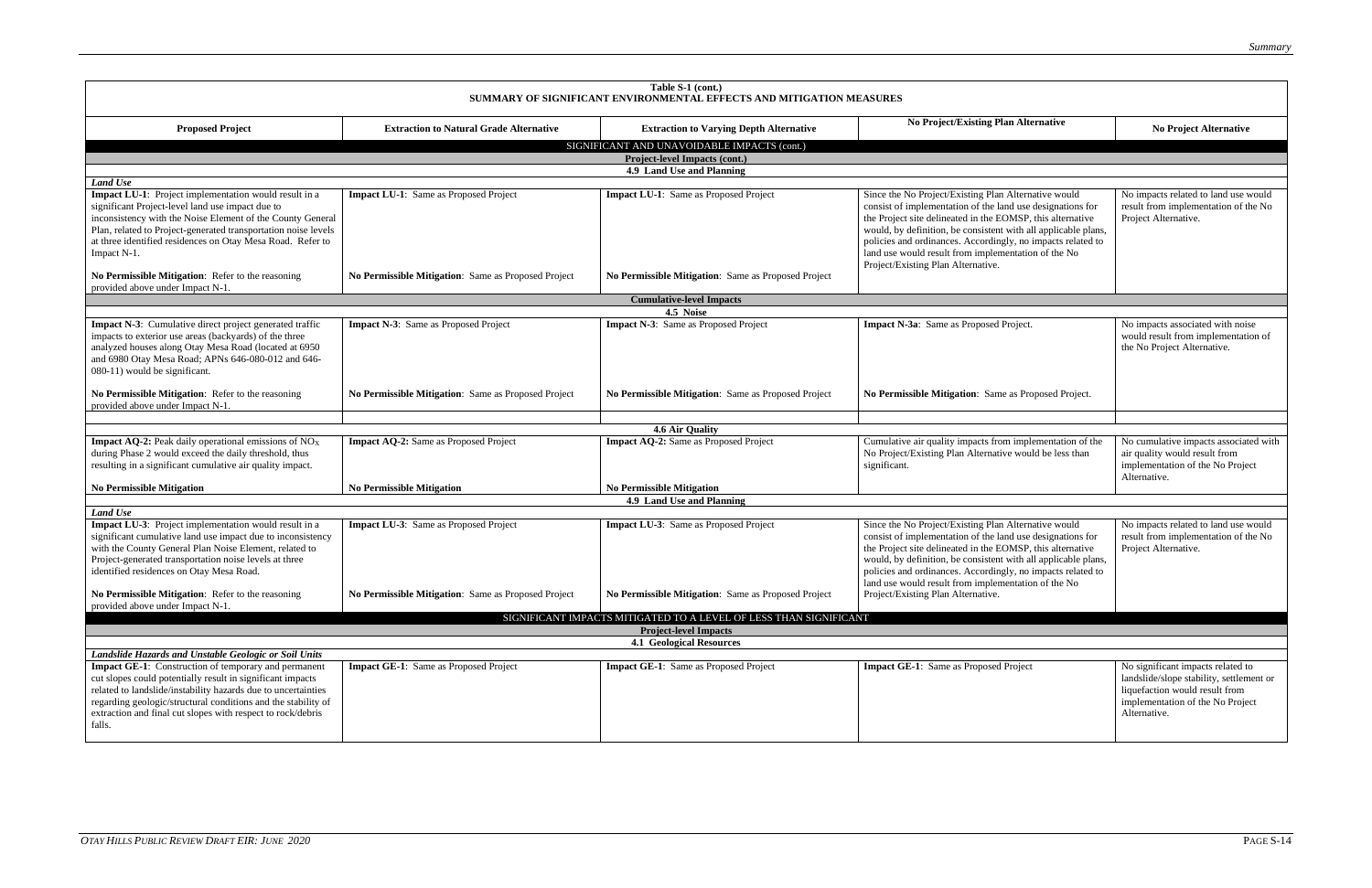| Table $S-1$ (cont.)<br>SUMMARY OF SIGNIFICANT ENVIRONMENTAL EFFECTS AND MITIGATION MEASURES                                                                                                                                                                                                                                                                                                                                        |                                                                                                     |                                                                                                     |                                                                                                                                                                                                                                                                                                                                                                                                                |                                                                                                                                                                     |
|------------------------------------------------------------------------------------------------------------------------------------------------------------------------------------------------------------------------------------------------------------------------------------------------------------------------------------------------------------------------------------------------------------------------------------|-----------------------------------------------------------------------------------------------------|-----------------------------------------------------------------------------------------------------|----------------------------------------------------------------------------------------------------------------------------------------------------------------------------------------------------------------------------------------------------------------------------------------------------------------------------------------------------------------------------------------------------------------|---------------------------------------------------------------------------------------------------------------------------------------------------------------------|
| <b>Proposed Project</b>                                                                                                                                                                                                                                                                                                                                                                                                            | <b>Extraction to Natural Grade Alternative</b>                                                      | <b>Extraction to Varying Depth Alternative</b>                                                      | No Project/Existing Plan Alternative                                                                                                                                                                                                                                                                                                                                                                           | No Project Alternative                                                                                                                                              |
|                                                                                                                                                                                                                                                                                                                                                                                                                                    |                                                                                                     | SIGNIFICANT AND UNAVOIDABLE IMPACTS (cont.)                                                         |                                                                                                                                                                                                                                                                                                                                                                                                                |                                                                                                                                                                     |
|                                                                                                                                                                                                                                                                                                                                                                                                                                    |                                                                                                     | Project-level Impacts (cont.)                                                                       |                                                                                                                                                                                                                                                                                                                                                                                                                |                                                                                                                                                                     |
|                                                                                                                                                                                                                                                                                                                                                                                                                                    |                                                                                                     | 4.9 Land Use and Planning                                                                           |                                                                                                                                                                                                                                                                                                                                                                                                                |                                                                                                                                                                     |
| <b>Land Use</b><br>Impact LU-1: Project implementation would result in a<br>significant Project-level land use impact due to<br>inconsistency with the Noise Element of the County General<br>Plan, related to Project-generated transportation noise levels<br>at three identified residences on Otay Mesa Road. Refer to<br>Impact N-1.<br>No Permissible Mitigation: Refer to the reasoning<br>provided above under Impact N-1. | <b>Impact LU-1:</b> Same as Proposed Project<br>No Permissible Mitigation: Same as Proposed Project | Impact LU-1: Same as Proposed Project<br>No Permissible Mitigation: Same as Proposed Project        | Since the No Project/Existing Plan Alternative would<br>consist of implementation of the land use designations for<br>the Project site delineated in the EOMSP, this alternative<br>would, by definition, be consistent with all applicable plans,<br>policies and ordinances. Accordingly, no impacts related to<br>land use would result from implementation of the No<br>Project/Existing Plan Alternative. | No impacts related to land use would<br>result from implementation of the No<br>Project Alternative.                                                                |
|                                                                                                                                                                                                                                                                                                                                                                                                                                    |                                                                                                     | <b>Cumulative-level Impacts</b>                                                                     |                                                                                                                                                                                                                                                                                                                                                                                                                |                                                                                                                                                                     |
|                                                                                                                                                                                                                                                                                                                                                                                                                                    |                                                                                                     | 4.5 Noise                                                                                           |                                                                                                                                                                                                                                                                                                                                                                                                                |                                                                                                                                                                     |
| <b>Impact N-3:</b> Cumulative direct project generated traffic<br>impacts to exterior use areas (backyards) of the three<br>analyzed houses along Otay Mesa Road (located at 6950<br>and 6980 Otay Mesa Road; APNs 646-080-012 and 646-<br>080-11) would be significant.                                                                                                                                                           | <b>Impact N-3:</b> Same as Proposed Project                                                         | <b>Impact N-3:</b> Same as Proposed Project                                                         | Impact N-3a: Same as Proposed Project.                                                                                                                                                                                                                                                                                                                                                                         | No impacts associated with noise<br>would result from implementation of<br>the No Project Alternative.                                                              |
| No Permissible Mitigation: Refer to the reasoning<br>provided above under Impact N-1.                                                                                                                                                                                                                                                                                                                                              | No Permissible Mitigation: Same as Proposed Project                                                 | No Permissible Mitigation: Same as Proposed Project                                                 | No Permissible Mitigation: Same as Proposed Project.                                                                                                                                                                                                                                                                                                                                                           |                                                                                                                                                                     |
|                                                                                                                                                                                                                                                                                                                                                                                                                                    |                                                                                                     | 4.6 Air Quality                                                                                     |                                                                                                                                                                                                                                                                                                                                                                                                                |                                                                                                                                                                     |
| <b>Impact AQ-2:</b> Peak daily operational emissions of NO <sub>X</sub><br>during Phase 2 would exceed the daily threshold, thus<br>resulting in a significant cumulative air quality impact.                                                                                                                                                                                                                                      | Impact AQ-2: Same as Proposed Project                                                               | Impact AQ-2: Same as Proposed Project                                                               | Cumulative air quality impacts from implementation of the<br>No Project/Existing Plan Alternative would be less than<br>significant.                                                                                                                                                                                                                                                                           | No cumulative impacts associated with<br>air quality would result from<br>implementation of the No Project<br>Alternative.                                          |
| <b>No Permissible Mitigation</b>                                                                                                                                                                                                                                                                                                                                                                                                   | <b>No Permissible Mitigation</b>                                                                    | <b>No Permissible Mitigation</b>                                                                    |                                                                                                                                                                                                                                                                                                                                                                                                                |                                                                                                                                                                     |
|                                                                                                                                                                                                                                                                                                                                                                                                                                    |                                                                                                     | 4.9 Land Use and Planning                                                                           |                                                                                                                                                                                                                                                                                                                                                                                                                |                                                                                                                                                                     |
| Land Use                                                                                                                                                                                                                                                                                                                                                                                                                           |                                                                                                     |                                                                                                     |                                                                                                                                                                                                                                                                                                                                                                                                                |                                                                                                                                                                     |
| Impact LU-3: Project implementation would result in a<br>significant cumulative land use impact due to inconsistency<br>with the County General Plan Noise Element, related to<br>Project-generated transportation noise levels at three<br>identified residences on Otay Mesa Road.<br>No Permissible Mitigation: Refer to the reasoning                                                                                          | <b>Impact LU-3:</b> Same as Proposed Project<br>No Permissible Mitigation: Same as Proposed Project | <b>Impact LU-3:</b> Same as Proposed Project<br>No Permissible Mitigation: Same as Proposed Project | Since the No Project/Existing Plan Alternative would<br>consist of implementation of the land use designations for<br>the Project site delineated in the EOMSP, this alternative<br>would, by definition, be consistent with all applicable plans,<br>policies and ordinances. Accordingly, no impacts related to<br>land use would result from implementation of the No<br>Project/Existing Plan Alternative. | No impacts related to land use would<br>result from implementation of the No<br>Project Alternative.                                                                |
| provided above under Impact N-1.                                                                                                                                                                                                                                                                                                                                                                                                   |                                                                                                     |                                                                                                     |                                                                                                                                                                                                                                                                                                                                                                                                                |                                                                                                                                                                     |
|                                                                                                                                                                                                                                                                                                                                                                                                                                    |                                                                                                     | SIGNIFICANT IMPACTS MITIGATED TO A LEVEL OF LESS THAN SIGNIFICANT                                   |                                                                                                                                                                                                                                                                                                                                                                                                                |                                                                                                                                                                     |
|                                                                                                                                                                                                                                                                                                                                                                                                                                    |                                                                                                     | <b>Project-level Impacts</b><br><b>4.1 Geological Resources</b>                                     |                                                                                                                                                                                                                                                                                                                                                                                                                |                                                                                                                                                                     |
| Landslide Hazards and Unstable Geologic or Soil Units                                                                                                                                                                                                                                                                                                                                                                              |                                                                                                     |                                                                                                     |                                                                                                                                                                                                                                                                                                                                                                                                                |                                                                                                                                                                     |
| Impact GE-1: Construction of temporary and permanent<br>cut slopes could potentially result in significant impacts<br>related to landslide/instability hazards due to uncertainties<br>regarding geologic/structural conditions and the stability of<br>extraction and final cut slopes with respect to rock/debris<br>falls.                                                                                                      | <b>Impact GE-1:</b> Same as Proposed Project                                                        | <b>Impact GE-1:</b> Same as Proposed Project                                                        | <b>Impact GE-1:</b> Same as Proposed Project                                                                                                                                                                                                                                                                                                                                                                   | No significant impacts related to<br>landslide/slope stability, settlement or<br>liquefaction would result from<br>implementation of the No Project<br>Alternative. |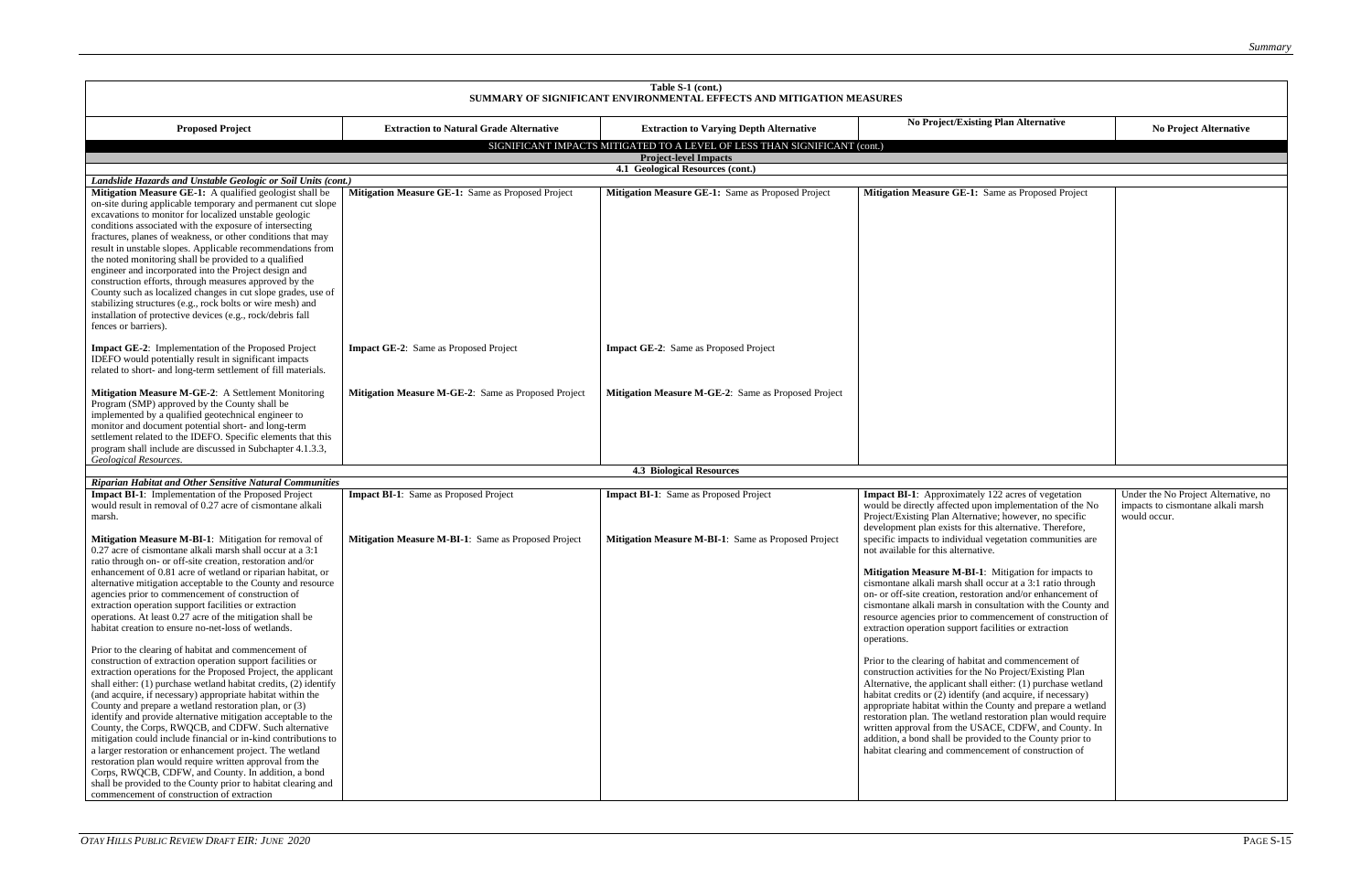| Table S-1 (cont.)<br>SUMMARY OF SIGNIFICANT ENVIRONMENTAL EFFECTS AND MITIGATION MEASURES                                                                                                                                                                                                                                                                                                                                                                                                                                                                                                                                                                                                                                                                                                                                                                                                                                                                                                                                                                                                                                                                                                                                                                                                                                                                           |                                                                                                     |                                                                                                     |                                                                                                                                                                                                                                                                                                                                                                                                                                                                                                                                                                                                                                                                                                                                                                                                                                                                                                                                                                                                       |                                                                                    |
|---------------------------------------------------------------------------------------------------------------------------------------------------------------------------------------------------------------------------------------------------------------------------------------------------------------------------------------------------------------------------------------------------------------------------------------------------------------------------------------------------------------------------------------------------------------------------------------------------------------------------------------------------------------------------------------------------------------------------------------------------------------------------------------------------------------------------------------------------------------------------------------------------------------------------------------------------------------------------------------------------------------------------------------------------------------------------------------------------------------------------------------------------------------------------------------------------------------------------------------------------------------------------------------------------------------------------------------------------------------------|-----------------------------------------------------------------------------------------------------|-----------------------------------------------------------------------------------------------------|-------------------------------------------------------------------------------------------------------------------------------------------------------------------------------------------------------------------------------------------------------------------------------------------------------------------------------------------------------------------------------------------------------------------------------------------------------------------------------------------------------------------------------------------------------------------------------------------------------------------------------------------------------------------------------------------------------------------------------------------------------------------------------------------------------------------------------------------------------------------------------------------------------------------------------------------------------------------------------------------------------|------------------------------------------------------------------------------------|
| <b>Proposed Project</b>                                                                                                                                                                                                                                                                                                                                                                                                                                                                                                                                                                                                                                                                                                                                                                                                                                                                                                                                                                                                                                                                                                                                                                                                                                                                                                                                             | <b>Extraction to Natural Grade Alternative</b>                                                      | <b>Extraction to Varying Depth Alternative</b>                                                      | No Project/Existing Plan Alternative                                                                                                                                                                                                                                                                                                                                                                                                                                                                                                                                                                                                                                                                                                                                                                                                                                                                                                                                                                  | <b>No Project Alternative</b>                                                      |
|                                                                                                                                                                                                                                                                                                                                                                                                                                                                                                                                                                                                                                                                                                                                                                                                                                                                                                                                                                                                                                                                                                                                                                                                                                                                                                                                                                     |                                                                                                     | SIGNIFICANT IMPACTS MITIGATED TO A LEVEL OF LESS THAN SIGNIFICANT (cont.)                           |                                                                                                                                                                                                                                                                                                                                                                                                                                                                                                                                                                                                                                                                                                                                                                                                                                                                                                                                                                                                       |                                                                                    |
|                                                                                                                                                                                                                                                                                                                                                                                                                                                                                                                                                                                                                                                                                                                                                                                                                                                                                                                                                                                                                                                                                                                                                                                                                                                                                                                                                                     |                                                                                                     | <b>Project-level Impacts</b>                                                                        |                                                                                                                                                                                                                                                                                                                                                                                                                                                                                                                                                                                                                                                                                                                                                                                                                                                                                                                                                                                                       |                                                                                    |
|                                                                                                                                                                                                                                                                                                                                                                                                                                                                                                                                                                                                                                                                                                                                                                                                                                                                                                                                                                                                                                                                                                                                                                                                                                                                                                                                                                     |                                                                                                     | 4.1 Geological Resources (cont.)                                                                    |                                                                                                                                                                                                                                                                                                                                                                                                                                                                                                                                                                                                                                                                                                                                                                                                                                                                                                                                                                                                       |                                                                                    |
| Landslide Hazards and Unstable Geologic or Soil Units (cont.)<br>Mitigation Measure GE-1: A qualified geologist shall be<br>on-site during applicable temporary and permanent cut slope<br>excavations to monitor for localized unstable geologic<br>conditions associated with the exposure of intersecting<br>fractures, planes of weakness, or other conditions that may<br>result in unstable slopes. Applicable recommendations from<br>the noted monitoring shall be provided to a qualified<br>engineer and incorporated into the Project design and<br>construction efforts, through measures approved by the<br>County such as localized changes in cut slope grades, use of<br>stabilizing structures (e.g., rock bolts or wire mesh) and<br>installation of protective devices (e.g., rock/debris fall                                                                                                                                                                                                                                                                                                                                                                                                                                                                                                                                                   | Mitigation Measure GE-1: Same as Proposed Project                                                   | Mitigation Measure GE-1: Same as Proposed Project                                                   | Mitigation Measure GE-1: Same as Proposed Project                                                                                                                                                                                                                                                                                                                                                                                                                                                                                                                                                                                                                                                                                                                                                                                                                                                                                                                                                     |                                                                                    |
| fences or barriers).<br><b>Impact GE-2:</b> Implementation of the Proposed Project<br>IDEFO would potentially result in significant impacts<br>related to short- and long-term settlement of fill materials.                                                                                                                                                                                                                                                                                                                                                                                                                                                                                                                                                                                                                                                                                                                                                                                                                                                                                                                                                                                                                                                                                                                                                        | <b>Impact GE-2:</b> Same as Proposed Project                                                        | <b>Impact GE-2:</b> Same as Proposed Project                                                        |                                                                                                                                                                                                                                                                                                                                                                                                                                                                                                                                                                                                                                                                                                                                                                                                                                                                                                                                                                                                       |                                                                                    |
| Mitigation Measure M-GE-2: A Settlement Monitoring<br>Program (SMP) approved by the County shall be<br>implemented by a qualified geotechnical engineer to<br>monitor and document potential short- and long-term<br>settlement related to the IDEFO. Specific elements that this<br>program shall include are discussed in Subchapter 4.1.3.3,<br>Geological Resources.                                                                                                                                                                                                                                                                                                                                                                                                                                                                                                                                                                                                                                                                                                                                                                                                                                                                                                                                                                                            | Mitigation Measure M-GE-2: Same as Proposed Project                                                 | Mitigation Measure M-GE-2: Same as Proposed Project                                                 |                                                                                                                                                                                                                                                                                                                                                                                                                                                                                                                                                                                                                                                                                                                                                                                                                                                                                                                                                                                                       |                                                                                    |
|                                                                                                                                                                                                                                                                                                                                                                                                                                                                                                                                                                                                                                                                                                                                                                                                                                                                                                                                                                                                                                                                                                                                                                                                                                                                                                                                                                     |                                                                                                     | <b>4.3 Biological Resources</b>                                                                     |                                                                                                                                                                                                                                                                                                                                                                                                                                                                                                                                                                                                                                                                                                                                                                                                                                                                                                                                                                                                       |                                                                                    |
| <b>Riparian Habitat and Other Sensitive Natural Communities</b>                                                                                                                                                                                                                                                                                                                                                                                                                                                                                                                                                                                                                                                                                                                                                                                                                                                                                                                                                                                                                                                                                                                                                                                                                                                                                                     |                                                                                                     |                                                                                                     |                                                                                                                                                                                                                                                                                                                                                                                                                                                                                                                                                                                                                                                                                                                                                                                                                                                                                                                                                                                                       |                                                                                    |
| <b>Impact BI-1:</b> Implementation of the Proposed Project<br>would result in removal of 0.27 acre of cismontane alkali<br>marsh.<br>Mitigation Measure M-BI-1: Mitigation for removal of                                                                                                                                                                                                                                                                                                                                                                                                                                                                                                                                                                                                                                                                                                                                                                                                                                                                                                                                                                                                                                                                                                                                                                           | <b>Impact BI-1:</b> Same as Proposed Project<br>Mitigation Measure M-BI-1: Same as Proposed Project | <b>Impact BI-1:</b> Same as Proposed Project<br>Mitigation Measure M-BI-1: Same as Proposed Project | <b>Impact BI-1:</b> Approximately 122 acres of vegetation<br>would be directly affected upon implementation of the No<br>Project/Existing Plan Alternative; however, no specific<br>development plan exists for this alternative. Therefore,<br>specific impacts to individual vegetation communities are                                                                                                                                                                                                                                                                                                                                                                                                                                                                                                                                                                                                                                                                                             | Under the No Project Alternativ<br>impacts to cismontane alkali ma<br>would occur. |
| 0.27 acre of cismontane alkali marsh shall occur at a 3:1<br>ratio through on- or off-site creation, restoration and/or<br>enhancement of 0.81 acre of wetland or riparian habitat, or<br>alternative mitigation acceptable to the County and resource<br>agencies prior to commencement of construction of<br>extraction operation support facilities or extraction<br>operations. At least 0.27 acre of the mitigation shall be<br>habitat creation to ensure no-net-loss of wetlands.<br>Prior to the clearing of habitat and commencement of<br>construction of extraction operation support facilities or<br>extraction operations for the Proposed Project, the applicant<br>shall either: (1) purchase wetland habitat credits, (2) identify<br>(and acquire, if necessary) appropriate habitat within the<br>County and prepare a wetland restoration plan, or (3)<br>identify and provide alternative mitigation acceptable to the<br>County, the Corps, RWQCB, and CDFW. Such alternative<br>mitigation could include financial or in-kind contributions to<br>a larger restoration or enhancement project. The wetland<br>restoration plan would require written approval from the<br>Corps, RWQCB, CDFW, and County. In addition, a bond<br>shall be provided to the County prior to habitat clearing and<br>commencement of construction of extraction |                                                                                                     |                                                                                                     | not available for this alternative.<br><b>Mitigation Measure M-BI-1:</b> Mitigation for impacts to<br>cismontane alkali marsh shall occur at a 3:1 ratio through<br>on- or off-site creation, restoration and/or enhancement of<br>cismontane alkali marsh in consultation with the County and<br>resource agencies prior to commencement of construction of<br>extraction operation support facilities or extraction<br>operations.<br>Prior to the clearing of habitat and commencement of<br>construction activities for the No Project/Existing Plan<br>Alternative, the applicant shall either: (1) purchase wetland<br>habitat credits or (2) identify (and acquire, if necessary)<br>appropriate habitat within the County and prepare a wetland<br>restoration plan. The wetland restoration plan would require<br>written approval from the USACE, CDFW, and County. In<br>addition, a bond shall be provided to the County prior to<br>habitat clearing and commencement of construction of |                                                                                    |

| n Alternative                                        |                                                    |
|------------------------------------------------------|----------------------------------------------------|
|                                                      | <b>No Project Alternative</b>                      |
|                                                      |                                                    |
|                                                      |                                                    |
| as Proposed Project                                  |                                                    |
|                                                      |                                                    |
|                                                      |                                                    |
|                                                      |                                                    |
|                                                      |                                                    |
|                                                      |                                                    |
|                                                      |                                                    |
|                                                      |                                                    |
|                                                      |                                                    |
|                                                      |                                                    |
|                                                      |                                                    |
|                                                      |                                                    |
|                                                      |                                                    |
|                                                      |                                                    |
|                                                      |                                                    |
|                                                      |                                                    |
|                                                      |                                                    |
|                                                      |                                                    |
| acres of vegetation                                  | Under the No Project Alternative, no               |
| olementation of the No<br>owever, no specific        | impacts to cismontane alkali marsh<br>would occur. |
| ernative. Therefore,                                 |                                                    |
| ation communities are                                |                                                    |
|                                                      |                                                    |
| gation for impacts to<br>at a 3:1 ratio through      |                                                    |
| and/or enhancement of                                |                                                    |
| tion with the County and<br>ement of construction of |                                                    |
| es or extraction                                     |                                                    |
|                                                      |                                                    |
| ommencement of                                       |                                                    |
| oject/Existing Plan<br>er: (1) purchase wetland      |                                                    |
| cquire, if necessary)                                |                                                    |
| ty and prepare a wetland<br>ation plan would require |                                                    |
| CDFW, and County. In                                 |                                                    |
| o the County prior to<br>t of construction of        |                                                    |
|                                                      |                                                    |
|                                                      |                                                    |
|                                                      |                                                    |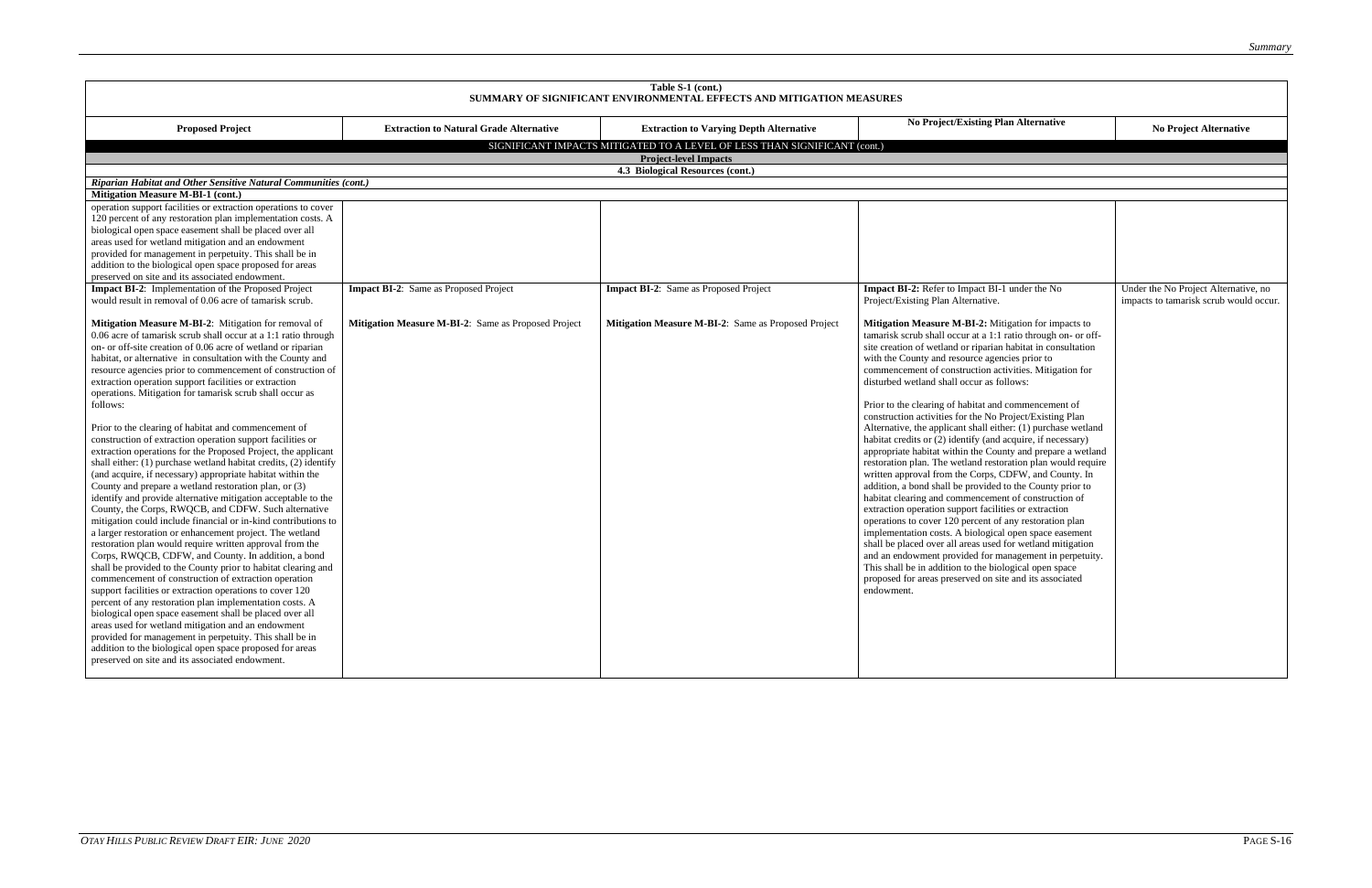| Table S-1 (cont.)<br>SUMMARY OF SIGNIFICANT ENVIRONMENTAL EFFECTS AND MITIGATION MEASURES                                                                                                                                                                                                                                                                                                                                                                                                                                                                                                                                                                                                                                                                                                                                                                                                                                                                                                                                                                                                                                                                                                                                                                                                                                                                                                                                                                                                                                                                                                                                                                                                                                                                                                                                                                                                                                                                                                                                                                                        |                                                                                                     |                                                                                                     |                                                                                                                                                                                                                                                                                                                                                                                                                                                                                                                                                                                                                                                                                                                                                                                                                                                                                                                                                                                                                                                                                                                                                                                                                                                                                                                                                                                                                                                           |                                                                    |
|----------------------------------------------------------------------------------------------------------------------------------------------------------------------------------------------------------------------------------------------------------------------------------------------------------------------------------------------------------------------------------------------------------------------------------------------------------------------------------------------------------------------------------------------------------------------------------------------------------------------------------------------------------------------------------------------------------------------------------------------------------------------------------------------------------------------------------------------------------------------------------------------------------------------------------------------------------------------------------------------------------------------------------------------------------------------------------------------------------------------------------------------------------------------------------------------------------------------------------------------------------------------------------------------------------------------------------------------------------------------------------------------------------------------------------------------------------------------------------------------------------------------------------------------------------------------------------------------------------------------------------------------------------------------------------------------------------------------------------------------------------------------------------------------------------------------------------------------------------------------------------------------------------------------------------------------------------------------------------------------------------------------------------------------------------------------------------|-----------------------------------------------------------------------------------------------------|-----------------------------------------------------------------------------------------------------|-----------------------------------------------------------------------------------------------------------------------------------------------------------------------------------------------------------------------------------------------------------------------------------------------------------------------------------------------------------------------------------------------------------------------------------------------------------------------------------------------------------------------------------------------------------------------------------------------------------------------------------------------------------------------------------------------------------------------------------------------------------------------------------------------------------------------------------------------------------------------------------------------------------------------------------------------------------------------------------------------------------------------------------------------------------------------------------------------------------------------------------------------------------------------------------------------------------------------------------------------------------------------------------------------------------------------------------------------------------------------------------------------------------------------------------------------------------|--------------------------------------------------------------------|
| <b>Proposed Project</b>                                                                                                                                                                                                                                                                                                                                                                                                                                                                                                                                                                                                                                                                                                                                                                                                                                                                                                                                                                                                                                                                                                                                                                                                                                                                                                                                                                                                                                                                                                                                                                                                                                                                                                                                                                                                                                                                                                                                                                                                                                                          | <b>Extraction to Natural Grade Alternative</b>                                                      | <b>Extraction to Varying Depth Alternative</b>                                                      | No Project/Existing Plan Alternative                                                                                                                                                                                                                                                                                                                                                                                                                                                                                                                                                                                                                                                                                                                                                                                                                                                                                                                                                                                                                                                                                                                                                                                                                                                                                                                                                                                                                      | No Project Alternative                                             |
|                                                                                                                                                                                                                                                                                                                                                                                                                                                                                                                                                                                                                                                                                                                                                                                                                                                                                                                                                                                                                                                                                                                                                                                                                                                                                                                                                                                                                                                                                                                                                                                                                                                                                                                                                                                                                                                                                                                                                                                                                                                                                  |                                                                                                     | SIGNIFICANT IMPACTS MITIGATED TO A LEVEL OF LESS THAN SIGNIFICANT (cont.)                           |                                                                                                                                                                                                                                                                                                                                                                                                                                                                                                                                                                                                                                                                                                                                                                                                                                                                                                                                                                                                                                                                                                                                                                                                                                                                                                                                                                                                                                                           |                                                                    |
|                                                                                                                                                                                                                                                                                                                                                                                                                                                                                                                                                                                                                                                                                                                                                                                                                                                                                                                                                                                                                                                                                                                                                                                                                                                                                                                                                                                                                                                                                                                                                                                                                                                                                                                                                                                                                                                                                                                                                                                                                                                                                  |                                                                                                     | <b>Project-level Impacts</b>                                                                        |                                                                                                                                                                                                                                                                                                                                                                                                                                                                                                                                                                                                                                                                                                                                                                                                                                                                                                                                                                                                                                                                                                                                                                                                                                                                                                                                                                                                                                                           |                                                                    |
|                                                                                                                                                                                                                                                                                                                                                                                                                                                                                                                                                                                                                                                                                                                                                                                                                                                                                                                                                                                                                                                                                                                                                                                                                                                                                                                                                                                                                                                                                                                                                                                                                                                                                                                                                                                                                                                                                                                                                                                                                                                                                  |                                                                                                     | 4.3 Biological Resources (cont.)                                                                    |                                                                                                                                                                                                                                                                                                                                                                                                                                                                                                                                                                                                                                                                                                                                                                                                                                                                                                                                                                                                                                                                                                                                                                                                                                                                                                                                                                                                                                                           |                                                                    |
| Riparian Habitat and Other Sensitive Natural Communities (cont.)                                                                                                                                                                                                                                                                                                                                                                                                                                                                                                                                                                                                                                                                                                                                                                                                                                                                                                                                                                                                                                                                                                                                                                                                                                                                                                                                                                                                                                                                                                                                                                                                                                                                                                                                                                                                                                                                                                                                                                                                                 |                                                                                                     |                                                                                                     |                                                                                                                                                                                                                                                                                                                                                                                                                                                                                                                                                                                                                                                                                                                                                                                                                                                                                                                                                                                                                                                                                                                                                                                                                                                                                                                                                                                                                                                           |                                                                    |
| <b>Mitigation Measure M-BI-1 (cont.)</b>                                                                                                                                                                                                                                                                                                                                                                                                                                                                                                                                                                                                                                                                                                                                                                                                                                                                                                                                                                                                                                                                                                                                                                                                                                                                                                                                                                                                                                                                                                                                                                                                                                                                                                                                                                                                                                                                                                                                                                                                                                         |                                                                                                     |                                                                                                     |                                                                                                                                                                                                                                                                                                                                                                                                                                                                                                                                                                                                                                                                                                                                                                                                                                                                                                                                                                                                                                                                                                                                                                                                                                                                                                                                                                                                                                                           |                                                                    |
| operation support facilities or extraction operations to cover<br>120 percent of any restoration plan implementation costs. A<br>biological open space easement shall be placed over all<br>areas used for wetland mitigation and an endowment<br>provided for management in perpetuity. This shall be in<br>addition to the biological open space proposed for areas<br>preserved on site and its associated endowment.<br><b>Impact BI-2:</b> Implementation of the Proposed Project<br>would result in removal of 0.06 acre of tamarisk scrub.<br>Mitigation Measure M-BI-2: Mitigation for removal of<br>0.06 acre of tamarisk scrub shall occur at a 1:1 ratio through<br>on- or off-site creation of 0.06 acre of wetland or riparian<br>habitat, or alternative in consultation with the County and<br>resource agencies prior to commencement of construction of<br>extraction operation support facilities or extraction<br>operations. Mitigation for tamarisk scrub shall occur as<br>follows:<br>Prior to the clearing of habitat and commencement of<br>construction of extraction operation support facilities or<br>extraction operations for the Proposed Project, the applicant<br>shall either: (1) purchase wetland habitat credits, (2) identify<br>(and acquire, if necessary) appropriate habitat within the<br>County and prepare a wetland restoration plan, or (3)<br>identify and provide alternative mitigation acceptable to the<br>County, the Corps, RWQCB, and CDFW. Such alternative<br>mitigation could include financial or in-kind contributions to<br>a larger restoration or enhancement project. The wetland<br>restoration plan would require written approval from the<br>Corps, RWQCB, CDFW, and County. In addition, a bond<br>shall be provided to the County prior to habitat clearing and<br>commencement of construction of extraction operation<br>support facilities or extraction operations to cover 120<br>percent of any restoration plan implementation costs. A<br>biological open space easement shall be placed over all | <b>Impact BI-2:</b> Same as Proposed Project<br>Mitigation Measure M-BI-2: Same as Proposed Project | <b>Impact BI-2:</b> Same as Proposed Project<br>Mitigation Measure M-BI-2: Same as Proposed Project | <b>Impact BI-2:</b> Refer to Impact BI-1 under the No<br>Project/Existing Plan Alternative.<br>Mitigation Measure M-BI-2: Mitigation for impacts to<br>tamarisk scrub shall occur at a 1:1 ratio through on- or off-<br>site creation of wetland or riparian habitat in consultation<br>with the County and resource agencies prior to<br>commencement of construction activities. Mitigation for<br>disturbed wetland shall occur as follows:<br>Prior to the clearing of habitat and commencement of<br>construction activities for the No Project/Existing Plan<br>Alternative, the applicant shall either: (1) purchase wetland<br>habitat credits or (2) identify (and acquire, if necessary)<br>appropriate habitat within the County and prepare a wetland<br>restoration plan. The wetland restoration plan would require<br>written approval from the Corps, CDFW, and County. In<br>addition, a bond shall be provided to the County prior to<br>habitat clearing and commencement of construction of<br>extraction operation support facilities or extraction<br>operations to cover 120 percent of any restoration plan<br>implementation costs. A biological open space easement<br>shall be placed over all areas used for wetland mitigation<br>and an endowment provided for management in perpetuity.<br>This shall be in addition to the biological open space<br>proposed for areas preserved on site and its associated<br>endowment. | Under the No Project Alternativ<br>impacts to tamarisk scrub would |
| areas used for wetland mitigation and an endowment<br>provided for management in perpetuity. This shall be in<br>addition to the biological open space proposed for areas<br>preserved on site and its associated endowment.                                                                                                                                                                                                                                                                                                                                                                                                                                                                                                                                                                                                                                                                                                                                                                                                                                                                                                                                                                                                                                                                                                                                                                                                                                                                                                                                                                                                                                                                                                                                                                                                                                                                                                                                                                                                                                                     |                                                                                                     |                                                                                                     |                                                                                                                                                                                                                                                                                                                                                                                                                                                                                                                                                                                                                                                                                                                                                                                                                                                                                                                                                                                                                                                                                                                                                                                                                                                                                                                                                                                                                                                           |                                                                    |

| n Alternative                                                                                                                                                                                                                                                                                                                                                                         | <b>No Project Alternative</b>                                                  |
|---------------------------------------------------------------------------------------------------------------------------------------------------------------------------------------------------------------------------------------------------------------------------------------------------------------------------------------------------------------------------------------|--------------------------------------------------------------------------------|
|                                                                                                                                                                                                                                                                                                                                                                                       |                                                                                |
|                                                                                                                                                                                                                                                                                                                                                                                       |                                                                                |
|                                                                                                                                                                                                                                                                                                                                                                                       |                                                                                |
|                                                                                                                                                                                                                                                                                                                                                                                       |                                                                                |
| under the No                                                                                                                                                                                                                                                                                                                                                                          | Under the No Project Alternative, no<br>impacts to tamarisk scrub would occur. |
| gation for impacts to<br>atio through on- or off-<br>abitat in consultation<br>ies prior to<br>vities. Mitigation for<br>ows:                                                                                                                                                                                                                                                         |                                                                                |
| ommencement of<br>oject/Existing Plan<br>r: (1) purchase wetland<br>cquire, if necessary)<br>ty and prepare a wetland<br>ation plan would require<br>DFW, and County. In<br>the County prior to<br>of construction of<br>es or extraction<br>ny restoration plan<br>open space easement<br>or wetland mitigation<br>nagement in perpetuity.<br>gical open space<br>and its associated |                                                                                |
|                                                                                                                                                                                                                                                                                                                                                                                       |                                                                                |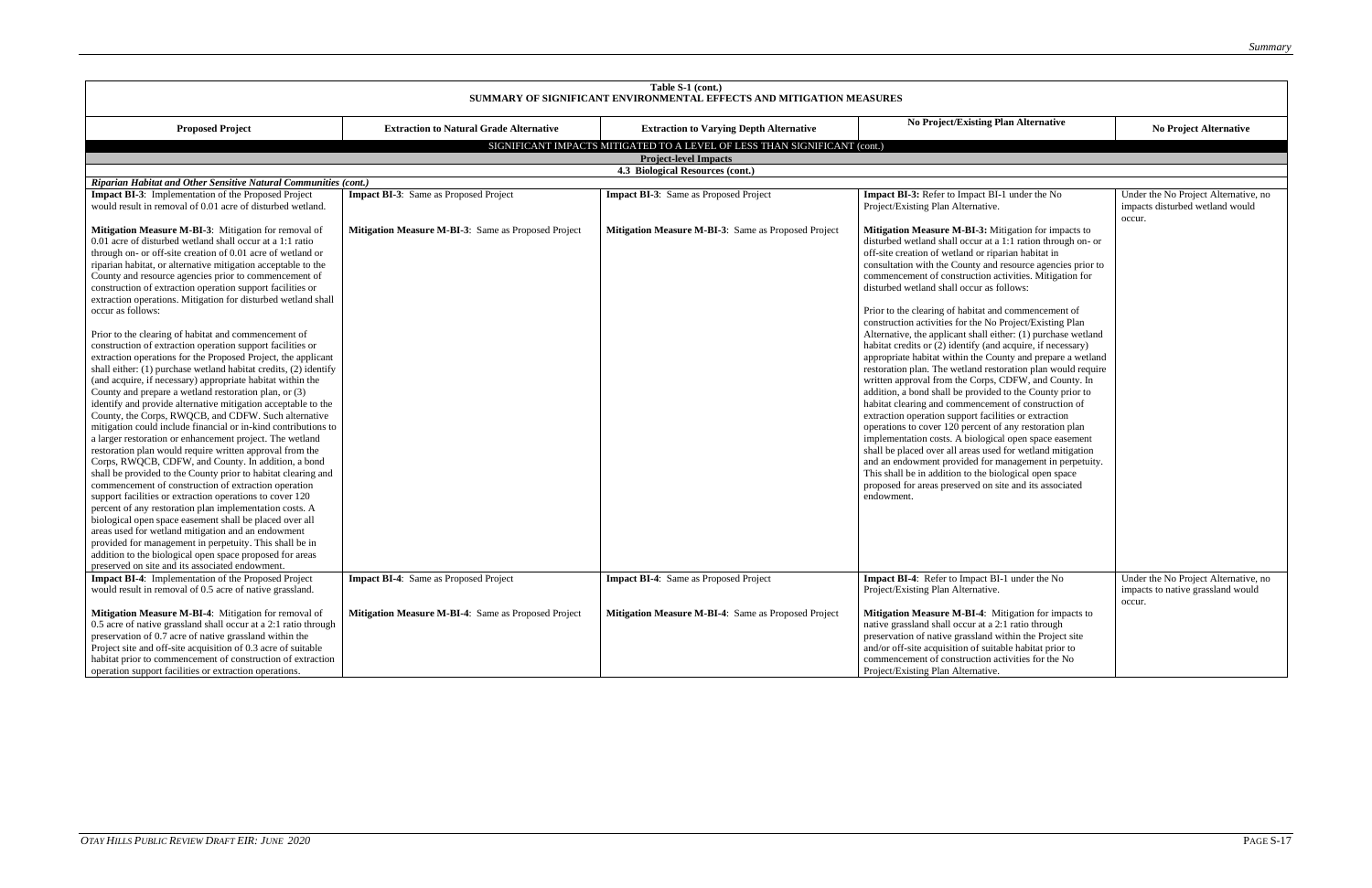| Table S-1 (cont.)<br>SUMMARY OF SIGNIFICANT ENVIRONMENTAL EFFECTS AND MITIGATION MEASURES                                                                                                                                                                                                                                                                                                                                                                                                                                                                                                                                                                                                                                                                                                                                                                                                                                                                                                                                                                                                                                                                                                                                                                                                                                                                                                                                                                                                                                                                                                                                                                                                                                                                             |                                                     |                                                                           |                                                                                                                                                                                                                                                                                                                                                                                                                                                                                                                                                                                                                                                                                                                                                                                                                                                                                                                                                                                                                                                                                                                                                                                                                                                                                                                                                               |                                                                                   |
|-----------------------------------------------------------------------------------------------------------------------------------------------------------------------------------------------------------------------------------------------------------------------------------------------------------------------------------------------------------------------------------------------------------------------------------------------------------------------------------------------------------------------------------------------------------------------------------------------------------------------------------------------------------------------------------------------------------------------------------------------------------------------------------------------------------------------------------------------------------------------------------------------------------------------------------------------------------------------------------------------------------------------------------------------------------------------------------------------------------------------------------------------------------------------------------------------------------------------------------------------------------------------------------------------------------------------------------------------------------------------------------------------------------------------------------------------------------------------------------------------------------------------------------------------------------------------------------------------------------------------------------------------------------------------------------------------------------------------------------------------------------------------|-----------------------------------------------------|---------------------------------------------------------------------------|---------------------------------------------------------------------------------------------------------------------------------------------------------------------------------------------------------------------------------------------------------------------------------------------------------------------------------------------------------------------------------------------------------------------------------------------------------------------------------------------------------------------------------------------------------------------------------------------------------------------------------------------------------------------------------------------------------------------------------------------------------------------------------------------------------------------------------------------------------------------------------------------------------------------------------------------------------------------------------------------------------------------------------------------------------------------------------------------------------------------------------------------------------------------------------------------------------------------------------------------------------------------------------------------------------------------------------------------------------------|-----------------------------------------------------------------------------------|
| <b>Proposed Project</b>                                                                                                                                                                                                                                                                                                                                                                                                                                                                                                                                                                                                                                                                                                                                                                                                                                                                                                                                                                                                                                                                                                                                                                                                                                                                                                                                                                                                                                                                                                                                                                                                                                                                                                                                               | <b>Extraction to Natural Grade Alternative</b>      | <b>Extraction to Varying Depth Alternative</b>                            | No Project/Existing Plan Alternative                                                                                                                                                                                                                                                                                                                                                                                                                                                                                                                                                                                                                                                                                                                                                                                                                                                                                                                                                                                                                                                                                                                                                                                                                                                                                                                          | <b>No Project Alternative</b>                                                     |
|                                                                                                                                                                                                                                                                                                                                                                                                                                                                                                                                                                                                                                                                                                                                                                                                                                                                                                                                                                                                                                                                                                                                                                                                                                                                                                                                                                                                                                                                                                                                                                                                                                                                                                                                                                       |                                                     | SIGNIFICANT IMPACTS MITIGATED TO A LEVEL OF LESS THAN SIGNIFICANT (cont.) |                                                                                                                                                                                                                                                                                                                                                                                                                                                                                                                                                                                                                                                                                                                                                                                                                                                                                                                                                                                                                                                                                                                                                                                                                                                                                                                                                               |                                                                                   |
|                                                                                                                                                                                                                                                                                                                                                                                                                                                                                                                                                                                                                                                                                                                                                                                                                                                                                                                                                                                                                                                                                                                                                                                                                                                                                                                                                                                                                                                                                                                                                                                                                                                                                                                                                                       |                                                     | <b>Project-level Impacts</b>                                              |                                                                                                                                                                                                                                                                                                                                                                                                                                                                                                                                                                                                                                                                                                                                                                                                                                                                                                                                                                                                                                                                                                                                                                                                                                                                                                                                                               |                                                                                   |
|                                                                                                                                                                                                                                                                                                                                                                                                                                                                                                                                                                                                                                                                                                                                                                                                                                                                                                                                                                                                                                                                                                                                                                                                                                                                                                                                                                                                                                                                                                                                                                                                                                                                                                                                                                       |                                                     | 4.3 Biological Resources (cont.)                                          |                                                                                                                                                                                                                                                                                                                                                                                                                                                                                                                                                                                                                                                                                                                                                                                                                                                                                                                                                                                                                                                                                                                                                                                                                                                                                                                                                               |                                                                                   |
| <b>Riparian Habitat and Other Sensitive Natural Communities (cont.)</b>                                                                                                                                                                                                                                                                                                                                                                                                                                                                                                                                                                                                                                                                                                                                                                                                                                                                                                                                                                                                                                                                                                                                                                                                                                                                                                                                                                                                                                                                                                                                                                                                                                                                                               |                                                     |                                                                           |                                                                                                                                                                                                                                                                                                                                                                                                                                                                                                                                                                                                                                                                                                                                                                                                                                                                                                                                                                                                                                                                                                                                                                                                                                                                                                                                                               |                                                                                   |
| <b>Impact BI-3:</b> Implementation of the Proposed Project<br>would result in removal of 0.01 acre of disturbed wetland.                                                                                                                                                                                                                                                                                                                                                                                                                                                                                                                                                                                                                                                                                                                                                                                                                                                                                                                                                                                                                                                                                                                                                                                                                                                                                                                                                                                                                                                                                                                                                                                                                                              | <b>Impact BI-3:</b> Same as Proposed Project        | <b>Impact BI-3:</b> Same as Proposed Project                              | Impact BI-3: Refer to Impact BI-1 under the No<br>Project/Existing Plan Alternative.                                                                                                                                                                                                                                                                                                                                                                                                                                                                                                                                                                                                                                                                                                                                                                                                                                                                                                                                                                                                                                                                                                                                                                                                                                                                          | Under the No Project Alternative, no<br>impacts disturbed wetland would<br>occur. |
| Mitigation Measure M-BI-3: Mitigation for removal of<br>0.01 acre of disturbed wetland shall occur at a 1:1 ratio<br>through on- or off-site creation of 0.01 acre of wetland or<br>riparian habitat, or alternative mitigation acceptable to the<br>County and resource agencies prior to commencement of<br>construction of extraction operation support facilities or<br>extraction operations. Mitigation for disturbed wetland shall<br>occur as follows:<br>Prior to the clearing of habitat and commencement of<br>construction of extraction operation support facilities or<br>extraction operations for the Proposed Project, the applicant<br>shall either: (1) purchase wetland habitat credits, (2) identify<br>(and acquire, if necessary) appropriate habitat within the<br>County and prepare a wetland restoration plan, or (3)<br>identify and provide alternative mitigation acceptable to the<br>County, the Corps, RWQCB, and CDFW. Such alternative<br>mitigation could include financial or in-kind contributions to<br>a larger restoration or enhancement project. The wetland<br>restoration plan would require written approval from the<br>Corps, RWQCB, CDFW, and County. In addition, a bond<br>shall be provided to the County prior to habitat clearing and<br>commencement of construction of extraction operation<br>support facilities or extraction operations to cover 120<br>percent of any restoration plan implementation costs. A<br>biological open space easement shall be placed over all<br>areas used for wetland mitigation and an endowment<br>provided for management in perpetuity. This shall be in<br>addition to the biological open space proposed for areas<br>preserved on site and its associated endowment. | Mitigation Measure M-BI-3: Same as Proposed Project | Mitigation Measure M-BI-3: Same as Proposed Project                       | Mitigation Measure M-BI-3: Mitigation for impacts to<br>disturbed wetland shall occur at a 1:1 ration through on- or<br>off-site creation of wetland or riparian habitat in<br>consultation with the County and resource agencies prior to<br>commencement of construction activities. Mitigation for<br>disturbed wetland shall occur as follows:<br>Prior to the clearing of habitat and commencement of<br>construction activities for the No Project/Existing Plan<br>Alternative, the applicant shall either: (1) purchase wetland<br>habitat credits or (2) identify (and acquire, if necessary)<br>appropriate habitat within the County and prepare a wetland<br>restoration plan. The wetland restoration plan would require<br>written approval from the Corps, CDFW, and County. In<br>addition, a bond shall be provided to the County prior to<br>habitat clearing and commencement of construction of<br>extraction operation support facilities or extraction<br>operations to cover 120 percent of any restoration plan<br>implementation costs. A biological open space easement<br>shall be placed over all areas used for wetland mitigation<br>and an endowment provided for management in perpetuity.<br>This shall be in addition to the biological open space<br>proposed for areas preserved on site and its associated<br>endowment. |                                                                                   |
| <b>Impact BI-4:</b> Implementation of the Proposed Project<br>would result in removal of 0.5 acre of native grassland.                                                                                                                                                                                                                                                                                                                                                                                                                                                                                                                                                                                                                                                                                                                                                                                                                                                                                                                                                                                                                                                                                                                                                                                                                                                                                                                                                                                                                                                                                                                                                                                                                                                | <b>Impact BI-4:</b> Same as Proposed Project        | <b>Impact BI-4:</b> Same as Proposed Project                              | Impact BI-4: Refer to Impact BI-1 under the No<br>Project/Existing Plan Alternative.                                                                                                                                                                                                                                                                                                                                                                                                                                                                                                                                                                                                                                                                                                                                                                                                                                                                                                                                                                                                                                                                                                                                                                                                                                                                          | Under the No Project Alternative, no<br>impacts to native grassland would         |
| Mitigation Measure M-BI-4: Mitigation for removal of<br>0.5 acre of native grassland shall occur at a 2:1 ratio through<br>preservation of 0.7 acre of native grassland within the<br>Project site and off-site acquisition of 0.3 acre of suitable<br>habitat prior to commencement of construction of extraction<br>operation support facilities or extraction operations.                                                                                                                                                                                                                                                                                                                                                                                                                                                                                                                                                                                                                                                                                                                                                                                                                                                                                                                                                                                                                                                                                                                                                                                                                                                                                                                                                                                          | Mitigation Measure M-BI-4: Same as Proposed Project | Mitigation Measure M-BI-4: Same as Proposed Project                       | Mitigation Measure M-BI-4: Mitigation for impacts to<br>native grassland shall occur at a 2:1 ratio through<br>preservation of native grassland within the Project site<br>and/or off-site acquisition of suitable habitat prior to<br>commencement of construction activities for the No<br>Project/Existing Plan Alternative.                                                                                                                                                                                                                                                                                                                                                                                                                                                                                                                                                                                                                                                                                                                                                                                                                                                                                                                                                                                                                               | occur.                                                                            |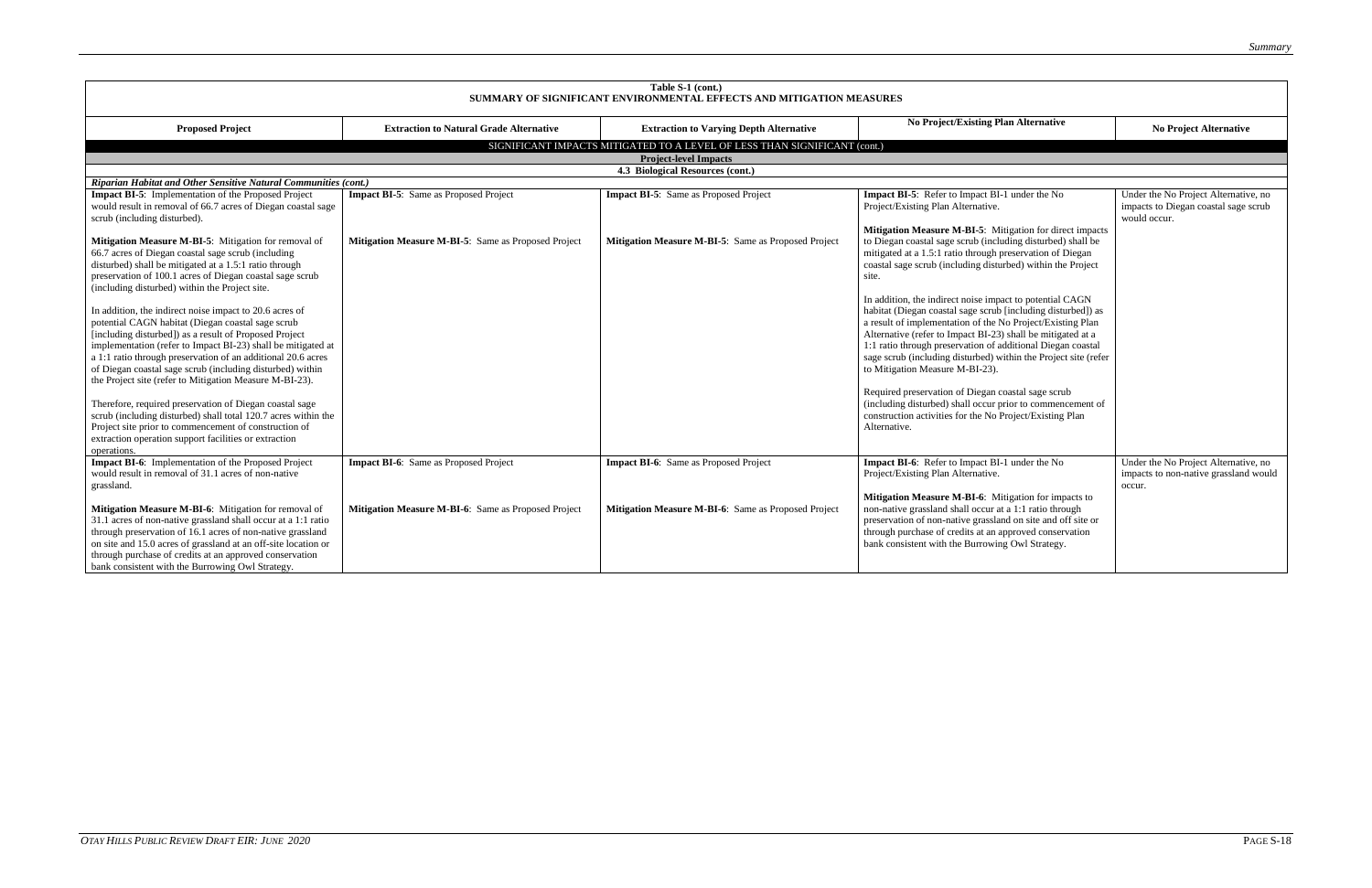| Table S-1 (cont.)<br>SUMMARY OF SIGNIFICANT ENVIRONMENTAL EFFECTS AND MITIGATION MEASURES                                                                                                                                                                                                                                                                                                                                      |                                                     |                                                                           |                                                                                                                                                                                                                                                                                                                                                                                                                            |                                                                                         |  |
|--------------------------------------------------------------------------------------------------------------------------------------------------------------------------------------------------------------------------------------------------------------------------------------------------------------------------------------------------------------------------------------------------------------------------------|-----------------------------------------------------|---------------------------------------------------------------------------|----------------------------------------------------------------------------------------------------------------------------------------------------------------------------------------------------------------------------------------------------------------------------------------------------------------------------------------------------------------------------------------------------------------------------|-----------------------------------------------------------------------------------------|--|
| <b>Proposed Project</b>                                                                                                                                                                                                                                                                                                                                                                                                        | <b>Extraction to Natural Grade Alternative</b>      | <b>Extraction to Varying Depth Alternative</b>                            | No Project/Existing Plan Alternative                                                                                                                                                                                                                                                                                                                                                                                       | <b>No Project Alternative</b>                                                           |  |
|                                                                                                                                                                                                                                                                                                                                                                                                                                |                                                     | SIGNIFICANT IMPACTS MITIGATED TO A LEVEL OF LESS THAN SIGNIFICANT (cont.) |                                                                                                                                                                                                                                                                                                                                                                                                                            |                                                                                         |  |
|                                                                                                                                                                                                                                                                                                                                                                                                                                |                                                     | <b>Project-level Impacts</b>                                              |                                                                                                                                                                                                                                                                                                                                                                                                                            |                                                                                         |  |
|                                                                                                                                                                                                                                                                                                                                                                                                                                |                                                     | 4.3 Biological Resources (cont.)                                          |                                                                                                                                                                                                                                                                                                                                                                                                                            |                                                                                         |  |
| Riparian Habitat and Other Sensitive Natural Communities (cont.)<br><b>Impact BI-5:</b> Implementation of the Proposed Project                                                                                                                                                                                                                                                                                                 | <b>Impact BI-5:</b> Same as Proposed Project        | <b>Impact BI-5:</b> Same as Proposed Project                              |                                                                                                                                                                                                                                                                                                                                                                                                                            | Under the No Project Alternative, no                                                    |  |
| would result in removal of 66.7 acres of Diegan coastal sage<br>scrub (including disturbed).                                                                                                                                                                                                                                                                                                                                   |                                                     |                                                                           | <b>Impact BI-5:</b> Refer to Impact BI-1 under the No<br>Project/Existing Plan Alternative.                                                                                                                                                                                                                                                                                                                                | impacts to Diegan coastal sage scrub<br>would occur.                                    |  |
| Mitigation Measure M-BI-5: Mitigation for removal of<br>66.7 acres of Diegan coastal sage scrub (including<br>disturbed) shall be mitigated at a 1.5:1 ratio through<br>preservation of 100.1 acres of Diegan coastal sage scrub<br>(including disturbed) within the Project site.                                                                                                                                             | Mitigation Measure M-BI-5: Same as Proposed Project | Mitigation Measure M-BI-5: Same as Proposed Project                       | <b>Mitigation Measure M-BI-5:</b> Mitigation for direct impacts<br>to Diegan coastal sage scrub (including disturbed) shall be<br>mitigated at a 1.5:1 ratio through preservation of Diegan<br>coastal sage scrub (including disturbed) within the Project<br>site.                                                                                                                                                        |                                                                                         |  |
| In addition, the indirect noise impact to 20.6 acres of<br>potential CAGN habitat (Diegan coastal sage scrub<br>[including disturbed]) as a result of Proposed Project<br>implementation (refer to Impact BI-23) shall be mitigated at<br>a 1:1 ratio through preservation of an additional 20.6 acres<br>of Diegan coastal sage scrub (including disturbed) within<br>the Project site (refer to Mitigation Measure M-BI-23). |                                                     |                                                                           | In addition, the indirect noise impact to potential CAGN<br>habitat (Diegan coastal sage scrub [including disturbed]) as<br>a result of implementation of the No Project/Existing Plan<br>Alternative (refer to Impact BI-23) shall be mitigated at a<br>1:1 ratio through preservation of additional Diegan coastal<br>sage scrub (including disturbed) within the Project site (refer<br>to Mitigation Measure M-BI-23). |                                                                                         |  |
| Therefore, required preservation of Diegan coastal sage<br>scrub (including disturbed) shall total 120.7 acres within the<br>Project site prior to commencement of construction of<br>extraction operation support facilities or extraction<br>operations.                                                                                                                                                                     |                                                     |                                                                           | Required preservation of Diegan coastal sage scrub<br>(including disturbed) shall occur prior to commencement of<br>construction activities for the No Project/Existing Plan<br>Alternative.                                                                                                                                                                                                                               |                                                                                         |  |
| <b>Impact BI-6:</b> Implementation of the Proposed Project<br>would result in removal of 31.1 acres of non-native<br>grassland.                                                                                                                                                                                                                                                                                                | <b>Impact BI-6:</b> Same as Proposed Project        | <b>Impact BI-6:</b> Same as Proposed Project                              | Impact BI-6: Refer to Impact BI-1 under the No<br>Project/Existing Plan Alternative.<br>Mitigation Measure M-BI-6: Mitigation for impacts to                                                                                                                                                                                                                                                                               | Under the No Project Alternative, no<br>impacts to non-native grassland would<br>occur. |  |
| Mitigation Measure M-BI-6: Mitigation for removal of<br>31.1 acres of non-native grassland shall occur at a 1:1 ratio<br>through preservation of 16.1 acres of non-native grassland<br>on site and 15.0 acres of grassland at an off-site location or<br>through purchase of credits at an approved conservation<br>bank consistent with the Burrowing Owl Strategy.                                                           | Mitigation Measure M-BI-6: Same as Proposed Project | Mitigation Measure M-BI-6: Same as Proposed Project                       | non-native grassland shall occur at a 1:1 ratio through<br>preservation of non-native grassland on site and off site or<br>through purchase of credits at an approved conservation<br>bank consistent with the Burrowing Owl Strategy.                                                                                                                                                                                     |                                                                                         |  |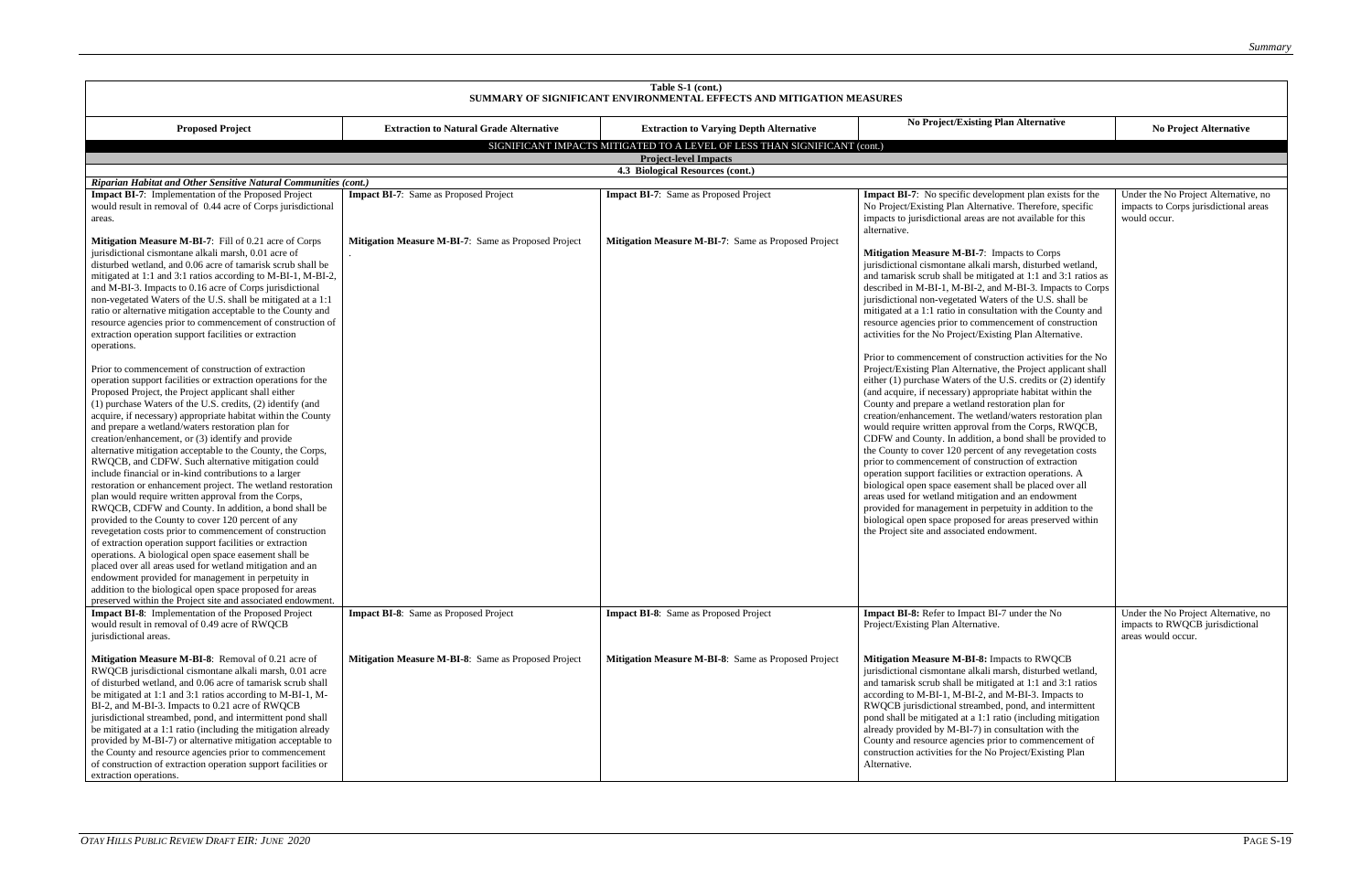| Table S-1 (cont.)<br>SUMMARY OF SIGNIFICANT ENVIRONMENTAL EFFECTS AND MITIGATION MEASURES                                                                                                                                                                                                                                                                                                                                                                                                                                                                                                                                                                                                                                                                                                                                                                                                                                                                                                                                                                                                                                                                                                                                                                                                                                                                                                                                                                                                                                                                                                                                                                                                                                                                                                |                                                     |                                                                           |                                                                                                                                                                                                                                                                                                                                                                                                                                                                                                                                                                                                                                                                                                                                                                                                                                                                                                                                                                                                                                                                                                                                                                                                                                                                                                                                                                                                                                                                                  |                                                       |
|------------------------------------------------------------------------------------------------------------------------------------------------------------------------------------------------------------------------------------------------------------------------------------------------------------------------------------------------------------------------------------------------------------------------------------------------------------------------------------------------------------------------------------------------------------------------------------------------------------------------------------------------------------------------------------------------------------------------------------------------------------------------------------------------------------------------------------------------------------------------------------------------------------------------------------------------------------------------------------------------------------------------------------------------------------------------------------------------------------------------------------------------------------------------------------------------------------------------------------------------------------------------------------------------------------------------------------------------------------------------------------------------------------------------------------------------------------------------------------------------------------------------------------------------------------------------------------------------------------------------------------------------------------------------------------------------------------------------------------------------------------------------------------------|-----------------------------------------------------|---------------------------------------------------------------------------|----------------------------------------------------------------------------------------------------------------------------------------------------------------------------------------------------------------------------------------------------------------------------------------------------------------------------------------------------------------------------------------------------------------------------------------------------------------------------------------------------------------------------------------------------------------------------------------------------------------------------------------------------------------------------------------------------------------------------------------------------------------------------------------------------------------------------------------------------------------------------------------------------------------------------------------------------------------------------------------------------------------------------------------------------------------------------------------------------------------------------------------------------------------------------------------------------------------------------------------------------------------------------------------------------------------------------------------------------------------------------------------------------------------------------------------------------------------------------------|-------------------------------------------------------|
| <b>Proposed Project</b>                                                                                                                                                                                                                                                                                                                                                                                                                                                                                                                                                                                                                                                                                                                                                                                                                                                                                                                                                                                                                                                                                                                                                                                                                                                                                                                                                                                                                                                                                                                                                                                                                                                                                                                                                                  | <b>Extraction to Natural Grade Alternative</b>      | <b>Extraction to Varying Depth Alternative</b>                            | No Project/Existing Plan Alternative                                                                                                                                                                                                                                                                                                                                                                                                                                                                                                                                                                                                                                                                                                                                                                                                                                                                                                                                                                                                                                                                                                                                                                                                                                                                                                                                                                                                                                             | <b>No Project Alternative</b>                         |
|                                                                                                                                                                                                                                                                                                                                                                                                                                                                                                                                                                                                                                                                                                                                                                                                                                                                                                                                                                                                                                                                                                                                                                                                                                                                                                                                                                                                                                                                                                                                                                                                                                                                                                                                                                                          |                                                     | SIGNIFICANT IMPACTS MITIGATED TO A LEVEL OF LESS THAN SIGNIFICANT (cont.) |                                                                                                                                                                                                                                                                                                                                                                                                                                                                                                                                                                                                                                                                                                                                                                                                                                                                                                                                                                                                                                                                                                                                                                                                                                                                                                                                                                                                                                                                                  |                                                       |
|                                                                                                                                                                                                                                                                                                                                                                                                                                                                                                                                                                                                                                                                                                                                                                                                                                                                                                                                                                                                                                                                                                                                                                                                                                                                                                                                                                                                                                                                                                                                                                                                                                                                                                                                                                                          |                                                     | <b>Project-level Impacts</b>                                              |                                                                                                                                                                                                                                                                                                                                                                                                                                                                                                                                                                                                                                                                                                                                                                                                                                                                                                                                                                                                                                                                                                                                                                                                                                                                                                                                                                                                                                                                                  |                                                       |
| <b>Riparian Habitat and Other Sensitive Natural Communities (cont.)</b>                                                                                                                                                                                                                                                                                                                                                                                                                                                                                                                                                                                                                                                                                                                                                                                                                                                                                                                                                                                                                                                                                                                                                                                                                                                                                                                                                                                                                                                                                                                                                                                                                                                                                                                  |                                                     | 4.3 Biological Resources (cont.)                                          |                                                                                                                                                                                                                                                                                                                                                                                                                                                                                                                                                                                                                                                                                                                                                                                                                                                                                                                                                                                                                                                                                                                                                                                                                                                                                                                                                                                                                                                                                  |                                                       |
| <b>Impact BI-7:</b> Implementation of the Proposed Project                                                                                                                                                                                                                                                                                                                                                                                                                                                                                                                                                                                                                                                                                                                                                                                                                                                                                                                                                                                                                                                                                                                                                                                                                                                                                                                                                                                                                                                                                                                                                                                                                                                                                                                               | <b>Impact BI-7:</b> Same as Proposed Project        | <b>Impact BI-7:</b> Same as Proposed Project                              | Impact BI-7: No specific development plan exists for the                                                                                                                                                                                                                                                                                                                                                                                                                                                                                                                                                                                                                                                                                                                                                                                                                                                                                                                                                                                                                                                                                                                                                                                                                                                                                                                                                                                                                         | Under the No Project Alternative, no                  |
| would result in removal of 0.44 acre of Corps jurisdictional<br>areas.                                                                                                                                                                                                                                                                                                                                                                                                                                                                                                                                                                                                                                                                                                                                                                                                                                                                                                                                                                                                                                                                                                                                                                                                                                                                                                                                                                                                                                                                                                                                                                                                                                                                                                                   |                                                     |                                                                           | No Project/Existing Plan Alternative. Therefore, specific<br>impacts to jurisdictional areas are not available for this<br>alternative.                                                                                                                                                                                                                                                                                                                                                                                                                                                                                                                                                                                                                                                                                                                                                                                                                                                                                                                                                                                                                                                                                                                                                                                                                                                                                                                                          | impacts to Corps jurisdictional areas<br>would occur. |
| Mitigation Measure M-BI-7: Fill of 0.21 acre of Corps<br>jurisdictional cismontane alkali marsh, 0.01 acre of<br>disturbed wetland, and 0.06 acre of tamarisk scrub shall be<br>mitigated at 1:1 and 3:1 ratios according to M-BI-1, M-BI-2,<br>and M-BI-3. Impacts to 0.16 acre of Corps jurisdictional<br>non-vegetated Waters of the U.S. shall be mitigated at a 1:1<br>ratio or alternative mitigation acceptable to the County and<br>resource agencies prior to commencement of construction of<br>extraction operation support facilities or extraction<br>operations.<br>Prior to commencement of construction of extraction<br>operation support facilities or extraction operations for the<br>Proposed Project, the Project applicant shall either<br>(1) purchase Waters of the U.S. credits, (2) identify (and<br>acquire, if necessary) appropriate habitat within the County<br>and prepare a wetland/waters restoration plan for<br>creation/enhancement, or (3) identify and provide<br>alternative mitigation acceptable to the County, the Corps,<br>RWQCB, and CDFW. Such alternative mitigation could<br>include financial or in-kind contributions to a larger<br>restoration or enhancement project. The wetland restoration<br>plan would require written approval from the Corps,<br>RWQCB, CDFW and County. In addition, a bond shall be<br>provided to the County to cover 120 percent of any<br>revegetation costs prior to commencement of construction<br>of extraction operation support facilities or extraction<br>operations. A biological open space easement shall be<br>placed over all areas used for wetland mitigation and an<br>endowment provided for management in perpetuity in<br>addition to the biological open space proposed for areas | Mitigation Measure M-BI-7: Same as Proposed Project | Mitigation Measure M-BI-7: Same as Proposed Project                       | Mitigation Measure M-BI-7: Impacts to Corps<br>jurisdictional cismontane alkali marsh, disturbed wetland,<br>and tamarisk scrub shall be mitigated at 1:1 and 3:1 ratios as<br>described in M-BI-1, M-BI-2, and M-BI-3. Impacts to Corps<br>jurisdictional non-vegetated Waters of the U.S. shall be<br>mitigated at a 1:1 ratio in consultation with the County and<br>resource agencies prior to commencement of construction<br>activities for the No Project/Existing Plan Alternative.<br>Prior to commencement of construction activities for the No<br>Project/Existing Plan Alternative, the Project applicant shall<br>either $(1)$ purchase Waters of the U.S. credits or $(2)$ identify<br>(and acquire, if necessary) appropriate habitat within the<br>County and prepare a wetland restoration plan for<br>creation/enhancement. The wetland/waters restoration plan<br>would require written approval from the Corps, RWQCB,<br>CDFW and County. In addition, a bond shall be provided to<br>the County to cover 120 percent of any revegetation costs<br>prior to commencement of construction of extraction<br>operation support facilities or extraction operations. A<br>biological open space easement shall be placed over all<br>areas used for wetland mitigation and an endowment<br>provided for management in perpetuity in addition to the<br>biological open space proposed for areas preserved within<br>the Project site and associated endowment. |                                                       |
| preserved within the Project site and associated endowment.<br>Impact BI-8: Implementation of the Proposed Project                                                                                                                                                                                                                                                                                                                                                                                                                                                                                                                                                                                                                                                                                                                                                                                                                                                                                                                                                                                                                                                                                                                                                                                                                                                                                                                                                                                                                                                                                                                                                                                                                                                                       | <b>Impact BI-8:</b> Same as Proposed Project        | <b>Impact BI-8:</b> Same as Proposed Project                              | Impact BI-8: Refer to Impact BI-7 under the No                                                                                                                                                                                                                                                                                                                                                                                                                                                                                                                                                                                                                                                                                                                                                                                                                                                                                                                                                                                                                                                                                                                                                                                                                                                                                                                                                                                                                                   | Under the No Project Alternative, no                  |
| would result in removal of 0.49 acre of RWQCB<br>jurisdictional areas.                                                                                                                                                                                                                                                                                                                                                                                                                                                                                                                                                                                                                                                                                                                                                                                                                                                                                                                                                                                                                                                                                                                                                                                                                                                                                                                                                                                                                                                                                                                                                                                                                                                                                                                   |                                                     |                                                                           | Project/Existing Plan Alternative.                                                                                                                                                                                                                                                                                                                                                                                                                                                                                                                                                                                                                                                                                                                                                                                                                                                                                                                                                                                                                                                                                                                                                                                                                                                                                                                                                                                                                                               | impacts to RWQCB jurisdictional<br>areas would occur. |
| Mitigation Measure M-BI-8: Removal of 0.21 acre of<br>RWQCB jurisdictional cismontane alkali marsh, 0.01 acre<br>of disturbed wetland, and 0.06 acre of tamarisk scrub shall<br>be mitigated at 1:1 and 3:1 ratios according to M-BI-1, M-<br>BI-2, and M-BI-3. Impacts to 0.21 acre of RWQCB<br>jurisdictional streambed, pond, and intermittent pond shall<br>be mitigated at a 1:1 ratio (including the mitigation already<br>provided by M-BI-7) or alternative mitigation acceptable to<br>the County and resource agencies prior to commencement<br>of construction of extraction operation support facilities or<br>extraction operations.                                                                                                                                                                                                                                                                                                                                                                                                                                                                                                                                                                                                                                                                                                                                                                                                                                                                                                                                                                                                                                                                                                                                        | Mitigation Measure M-BI-8: Same as Proposed Project | Mitigation Measure M-BI-8: Same as Proposed Project                       | Mitigation Measure M-BI-8: Impacts to RWQCB<br>jurisdictional cismontane alkali marsh, disturbed wetland,<br>and tamarisk scrub shall be mitigated at 1:1 and 3:1 ratios<br>according to M-BI-1, M-BI-2, and M-BI-3. Impacts to<br>RWQCB jurisdictional streambed, pond, and intermittent<br>pond shall be mitigated at a 1:1 ratio (including mitigation<br>already provided by M-BI-7) in consultation with the<br>County and resource agencies prior to commencement of<br>construction activities for the No Project/Existing Plan<br>Alternative.                                                                                                                                                                                                                                                                                                                                                                                                                                                                                                                                                                                                                                                                                                                                                                                                                                                                                                                           |                                                       |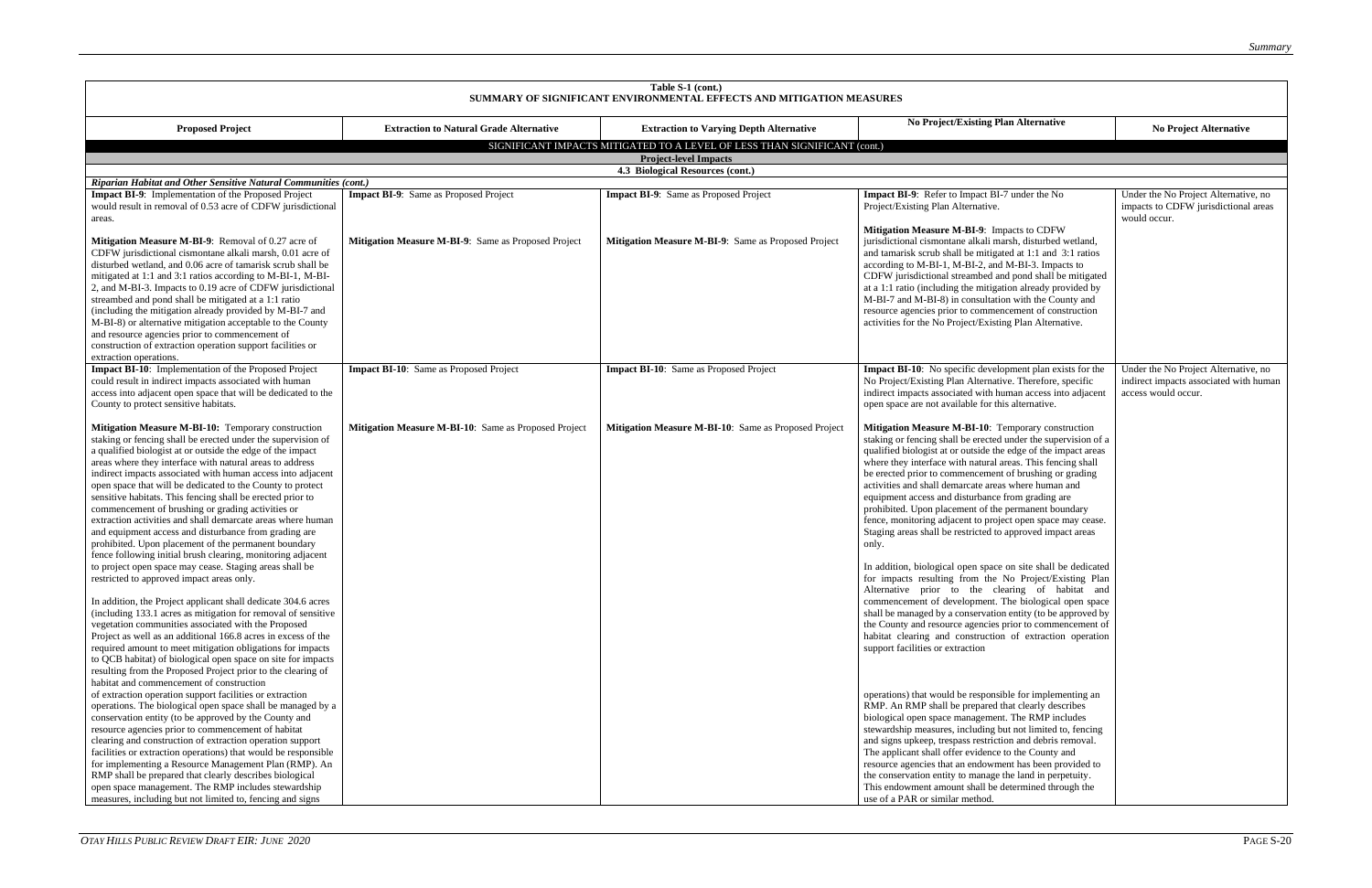| Table S-1 (cont.)<br>SUMMARY OF SIGNIFICANT ENVIRONMENTAL EFFECTS AND MITIGATION MEASURES                                                                                                                                                                                                                                                                                                                                                                                                                                                                                                                                                                                                                                                                                                                                                                                                                                                                                                                                                                                                                                                                                   |                                                      |                                                                           |                                                                                                                                                                                                                                                                                                                                                                                                                                                                                                                                                                                                                                                                                                                                                                                                                                                                                                                                                                                                                                                                                                     |                                                                                            |
|-----------------------------------------------------------------------------------------------------------------------------------------------------------------------------------------------------------------------------------------------------------------------------------------------------------------------------------------------------------------------------------------------------------------------------------------------------------------------------------------------------------------------------------------------------------------------------------------------------------------------------------------------------------------------------------------------------------------------------------------------------------------------------------------------------------------------------------------------------------------------------------------------------------------------------------------------------------------------------------------------------------------------------------------------------------------------------------------------------------------------------------------------------------------------------|------------------------------------------------------|---------------------------------------------------------------------------|-----------------------------------------------------------------------------------------------------------------------------------------------------------------------------------------------------------------------------------------------------------------------------------------------------------------------------------------------------------------------------------------------------------------------------------------------------------------------------------------------------------------------------------------------------------------------------------------------------------------------------------------------------------------------------------------------------------------------------------------------------------------------------------------------------------------------------------------------------------------------------------------------------------------------------------------------------------------------------------------------------------------------------------------------------------------------------------------------------|--------------------------------------------------------------------------------------------|
| <b>Proposed Project</b>                                                                                                                                                                                                                                                                                                                                                                                                                                                                                                                                                                                                                                                                                                                                                                                                                                                                                                                                                                                                                                                                                                                                                     | <b>Extraction to Natural Grade Alternative</b>       | <b>Extraction to Varying Depth Alternative</b>                            | No Project/Existing Plan Alternative                                                                                                                                                                                                                                                                                                                                                                                                                                                                                                                                                                                                                                                                                                                                                                                                                                                                                                                                                                                                                                                                | <b>No Project Alternative</b>                                                              |
|                                                                                                                                                                                                                                                                                                                                                                                                                                                                                                                                                                                                                                                                                                                                                                                                                                                                                                                                                                                                                                                                                                                                                                             |                                                      | SIGNIFICANT IMPACTS MITIGATED TO A LEVEL OF LESS THAN SIGNIFICANT (cont.) |                                                                                                                                                                                                                                                                                                                                                                                                                                                                                                                                                                                                                                                                                                                                                                                                                                                                                                                                                                                                                                                                                                     |                                                                                            |
|                                                                                                                                                                                                                                                                                                                                                                                                                                                                                                                                                                                                                                                                                                                                                                                                                                                                                                                                                                                                                                                                                                                                                                             |                                                      | <b>Project-level Impacts</b>                                              |                                                                                                                                                                                                                                                                                                                                                                                                                                                                                                                                                                                                                                                                                                                                                                                                                                                                                                                                                                                                                                                                                                     |                                                                                            |
|                                                                                                                                                                                                                                                                                                                                                                                                                                                                                                                                                                                                                                                                                                                                                                                                                                                                                                                                                                                                                                                                                                                                                                             |                                                      | 4.3 Biological Resources (cont.)                                          |                                                                                                                                                                                                                                                                                                                                                                                                                                                                                                                                                                                                                                                                                                                                                                                                                                                                                                                                                                                                                                                                                                     |                                                                                            |
| <b>Riparian Habitat and Other Sensitive Natural Communities (cont.)</b>                                                                                                                                                                                                                                                                                                                                                                                                                                                                                                                                                                                                                                                                                                                                                                                                                                                                                                                                                                                                                                                                                                     |                                                      |                                                                           |                                                                                                                                                                                                                                                                                                                                                                                                                                                                                                                                                                                                                                                                                                                                                                                                                                                                                                                                                                                                                                                                                                     |                                                                                            |
| <b>Impact BI-9:</b> Implementation of the Proposed Project<br>would result in removal of 0.53 acre of CDFW jurisdictional<br>areas.                                                                                                                                                                                                                                                                                                                                                                                                                                                                                                                                                                                                                                                                                                                                                                                                                                                                                                                                                                                                                                         | <b>Impact BI-9:</b> Same as Proposed Project         | <b>Impact BI-9:</b> Same as Proposed Project                              | Impact BI-9: Refer to Impact BI-7 under the No<br>Project/Existing Plan Alternative.                                                                                                                                                                                                                                                                                                                                                                                                                                                                                                                                                                                                                                                                                                                                                                                                                                                                                                                                                                                                                | Under the No Project Alternativ<br>impacts to CDFW jurisdictional<br>would occur.          |
| Mitigation Measure M-BI-9: Removal of 0.27 acre of<br>CDFW jurisdictional cismontane alkali marsh, 0.01 acre of<br>disturbed wetland, and 0.06 acre of tamarisk scrub shall be<br>mitigated at 1:1 and 3:1 ratios according to M-BI-1, M-BI-<br>2, and M-BI-3. Impacts to 0.19 acre of CDFW jurisdictional<br>streambed and pond shall be mitigated at a 1:1 ratio<br>(including the mitigation already provided by M-BI-7 and<br>M-BI-8) or alternative mitigation acceptable to the County<br>and resource agencies prior to commencement of<br>construction of extraction operation support facilities or<br>extraction operations.                                                                                                                                                                                                                                                                                                                                                                                                                                                                                                                                      | Mitigation Measure M-BI-9: Same as Proposed Project  | Mitigation Measure M-BI-9: Same as Proposed Project                       | Mitigation Measure M-BI-9: Impacts to CDFW<br>jurisdictional cismontane alkali marsh, disturbed wetland,<br>and tamarisk scrub shall be mitigated at 1:1 and 3:1 ratios<br>according to M-BI-1, M-BI-2, and M-BI-3. Impacts to<br>CDFW jurisdictional streambed and pond shall be mitigated<br>at a 1:1 ratio (including the mitigation already provided by<br>M-BI-7 and M-BI-8) in consultation with the County and<br>resource agencies prior to commencement of construction<br>activities for the No Project/Existing Plan Alternative.                                                                                                                                                                                                                                                                                                                                                                                                                                                                                                                                                        |                                                                                            |
| <b>Impact BI-10:</b> Implementation of the Proposed Project<br>could result in indirect impacts associated with human<br>access into adjacent open space that will be dedicated to the<br>County to protect sensitive habitats.                                                                                                                                                                                                                                                                                                                                                                                                                                                                                                                                                                                                                                                                                                                                                                                                                                                                                                                                             | <b>Impact BI-10:</b> Same as Proposed Project        | <b>Impact BI-10:</b> Same as Proposed Project                             | Impact BI-10: No specific development plan exists for the<br>No Project/Existing Plan Alternative. Therefore, specific<br>indirect impacts associated with human access into adjacent<br>open space are not available for this alternative.                                                                                                                                                                                                                                                                                                                                                                                                                                                                                                                                                                                                                                                                                                                                                                                                                                                         | Under the No Project Alternativ<br>indirect impacts associated with<br>access would occur. |
| Mitigation Measure M-BI-10: Temporary construction<br>staking or fencing shall be erected under the supervision of<br>a qualified biologist at or outside the edge of the impact<br>areas where they interface with natural areas to address<br>indirect impacts associated with human access into adjacent<br>open space that will be dedicated to the County to protect<br>sensitive habitats. This fencing shall be erected prior to<br>commencement of brushing or grading activities or<br>extraction activities and shall demarcate areas where human<br>and equipment access and disturbance from grading are<br>prohibited. Upon placement of the permanent boundary<br>fence following initial brush clearing, monitoring adjacent<br>to project open space may cease. Staging areas shall be<br>restricted to approved impact areas only.<br>In addition, the Project applicant shall dedicate 304.6 acres<br>(including 133.1 acres as mitigation for removal of sensitive<br>vegetation communities associated with the Proposed<br>Project as well as an additional 166.8 acres in excess of the<br>required amount to meet mitigation obligations for impacts | Mitigation Measure M-BI-10: Same as Proposed Project | Mitigation Measure M-BI-10: Same as Proposed Project                      | Mitigation Measure M-BI-10: Temporary construction<br>staking or fencing shall be erected under the supervision of a<br>qualified biologist at or outside the edge of the impact areas<br>where they interface with natural areas. This fencing shall<br>be erected prior to commencement of brushing or grading<br>activities and shall demarcate areas where human and<br>equipment access and disturbance from grading are<br>prohibited. Upon placement of the permanent boundary<br>fence, monitoring adjacent to project open space may cease.<br>Staging areas shall be restricted to approved impact areas<br>only.<br>In addition, biological open space on site shall be dedicated<br>for impacts resulting from the No Project/Existing Plan<br>Alternative prior to the clearing of habitat and<br>commencement of development. The biological open space<br>shall be managed by a conservation entity (to be approved by<br>the County and resource agencies prior to commencement of<br>habitat clearing and construction of extraction operation<br>support facilities or extraction |                                                                                            |
| to QCB habitat) of biological open space on site for impacts<br>resulting from the Proposed Project prior to the clearing of<br>habitat and commencement of construction<br>of extraction operation support facilities or extraction<br>operations. The biological open space shall be managed by a<br>conservation entity (to be approved by the County and<br>resource agencies prior to commencement of habitat<br>clearing and construction of extraction operation support<br>facilities or extraction operations) that would be responsible<br>for implementing a Resource Management Plan (RMP). An<br>RMP shall be prepared that clearly describes biological<br>open space management. The RMP includes stewardship<br>measures, including but not limited to, fencing and signs                                                                                                                                                                                                                                                                                                                                                                                   |                                                      |                                                                           | operations) that would be responsible for implementing an<br>RMP. An RMP shall be prepared that clearly describes<br>biological open space management. The RMP includes<br>stewardship measures, including but not limited to, fencing<br>and signs upkeep, trespass restriction and debris removal.<br>The applicant shall offer evidence to the County and<br>resource agencies that an endowment has been provided to<br>the conservation entity to manage the land in perpetuity.<br>This endowment amount shall be determined through the<br>use of a PAR or similar method.                                                                                                                                                                                                                                                                                                                                                                                                                                                                                                                   |                                                                                            |

| n Alternative                                                                                                                                                                                                                                   | <b>No Project Alternative</b>                                                                         |
|-------------------------------------------------------------------------------------------------------------------------------------------------------------------------------------------------------------------------------------------------|-------------------------------------------------------------------------------------------------------|
|                                                                                                                                                                                                                                                 |                                                                                                       |
|                                                                                                                                                                                                                                                 |                                                                                                       |
| under the No                                                                                                                                                                                                                                    | Under the No Project Alternative, no<br>impacts to CDFW jurisdictional areas<br>would occur.          |
| acts to CDFW<br>sh, disturbed wetland,<br>d at 1:1 and 3:1 ratios<br>M-BI-3. Impacts to<br>pond shall be mitigated<br>on already provided by<br>i with the County and<br>ement of construction<br>g Plan Alternative.                           |                                                                                                       |
|                                                                                                                                                                                                                                                 |                                                                                                       |
| ment plan exists for the<br>e. Therefore, specific<br>nan access into adjacent<br>alternative.                                                                                                                                                  | Under the No Project Alternative, no<br>indirect impacts associated with human<br>access would occur. |
| mporary construction<br>nder the supervision of a<br>edge of the impact areas<br>eas. This fencing shall<br>of brushing or grading<br>where human and<br>om grading are<br>ermanent boundary<br>t open space may cease.<br>pproved impact areas |                                                                                                       |
| on site shall be dedicated<br>lo Project/Existing Plan<br>rıng<br>of<br>habitat<br>and<br>he biological open space<br>entity (to be approved by<br>rior to commencement of<br>of extraction operation                                           |                                                                                                       |
| le for implementing an<br>at clearly describes<br>The RMP includes<br>t not limited to, fencing<br>n and debris removal.<br>the County and<br>nt has been provided to<br>e land in perpetuity.<br>termined through the                          |                                                                                                       |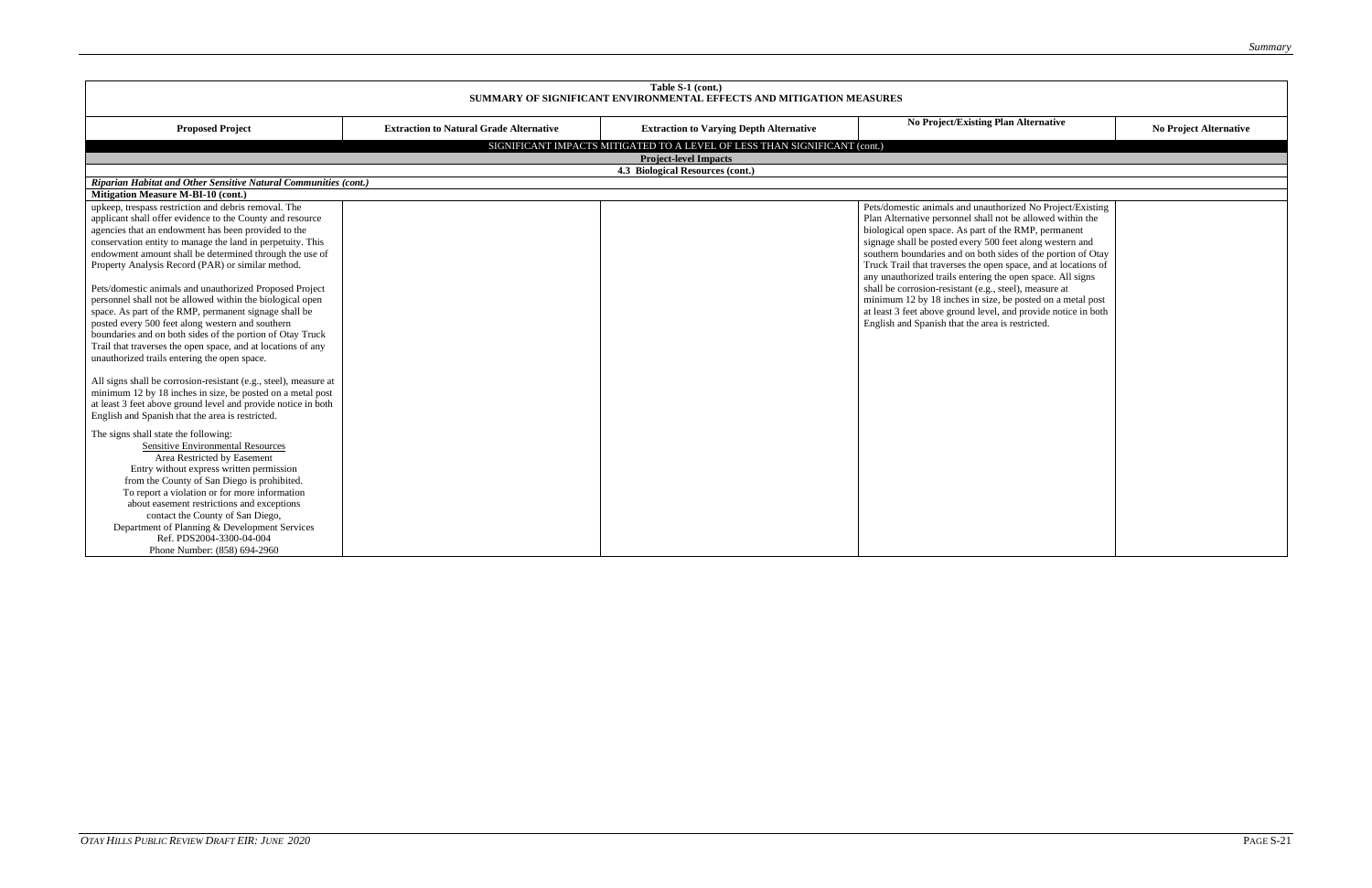| <b>n Alternative</b>                                                                                                                                                                                                                                                               | No Project Alternative |
|------------------------------------------------------------------------------------------------------------------------------------------------------------------------------------------------------------------------------------------------------------------------------------|------------------------|
|                                                                                                                                                                                                                                                                                    |                        |
|                                                                                                                                                                                                                                                                                    |                        |
|                                                                                                                                                                                                                                                                                    |                        |
|                                                                                                                                                                                                                                                                                    |                        |
| rized No Project/Existing<br>t be allowed within the<br>e RMP, permanent<br>eet along western and<br>des of the portion of Otay<br>space, and at locations of<br>open space. All signs<br>eel), measure at<br>e posted on a metal post<br>nd provide notice in both<br>restricted. |                        |

| Table S-1 (cont.)<br>SUMMARY OF SIGNIFICANT ENVIRONMENTAL EFFECTS AND MITIGATION MEASURES                                                                                                                                                           |                                                |                                                                           |                                                                                                                          |                               |
|-----------------------------------------------------------------------------------------------------------------------------------------------------------------------------------------------------------------------------------------------------|------------------------------------------------|---------------------------------------------------------------------------|--------------------------------------------------------------------------------------------------------------------------|-------------------------------|
| <b>Proposed Project</b>                                                                                                                                                                                                                             | <b>Extraction to Natural Grade Alternative</b> | <b>Extraction to Varying Depth Alternative</b>                            | No Project/Existing Plan Alternative                                                                                     | <b>No Project Alternative</b> |
|                                                                                                                                                                                                                                                     |                                                | SIGNIFICANT IMPACTS MITIGATED TO A LEVEL OF LESS THAN SIGNIFICANT (cont.) |                                                                                                                          |                               |
|                                                                                                                                                                                                                                                     |                                                | <b>Project-level Impacts</b>                                              |                                                                                                                          |                               |
|                                                                                                                                                                                                                                                     |                                                | 4.3 Biological Resources (cont.)                                          |                                                                                                                          |                               |
| <b>Riparian Habitat and Other Sensitive Natural Communities (cont.)</b>                                                                                                                                                                             |                                                |                                                                           |                                                                                                                          |                               |
| Mitigation Measure M-BI-10 (cont.)                                                                                                                                                                                                                  |                                                |                                                                           |                                                                                                                          |                               |
| upkeep, trespass restriction and debris removal. The<br>applicant shall offer evidence to the County and resource                                                                                                                                   |                                                |                                                                           | Pets/domestic animals and unauthorized No Project/Existing<br>Plan Alternative personnel shall not be allowed within the |                               |
| agencies that an endowment has been provided to the<br>conservation entity to manage the land in perpetuity. This                                                                                                                                   |                                                |                                                                           | biological open space. As part of the RMP, permanent<br>signage shall be posted every 500 feet along western and         |                               |
| endowment amount shall be determined through the use of                                                                                                                                                                                             |                                                |                                                                           | southern boundaries and on both sides of the portion of Otay                                                             |                               |
| Property Analysis Record (PAR) or similar method.                                                                                                                                                                                                   |                                                |                                                                           | Truck Trail that traverses the open space, and at locations of                                                           |                               |
|                                                                                                                                                                                                                                                     |                                                |                                                                           | any unauthorized trails entering the open space. All signs                                                               |                               |
| Pets/domestic animals and unauthorized Proposed Project                                                                                                                                                                                             |                                                |                                                                           | shall be corrosion-resistant (e.g., steel), measure at                                                                   |                               |
| personnel shall not be allowed within the biological open                                                                                                                                                                                           |                                                |                                                                           | minimum 12 by 18 inches in size, be posted on a metal post                                                               |                               |
| space. As part of the RMP, permanent signage shall be                                                                                                                                                                                               |                                                |                                                                           | at least 3 feet above ground level, and provide notice in both                                                           |                               |
| posted every 500 feet along western and southern                                                                                                                                                                                                    |                                                |                                                                           | English and Spanish that the area is restricted.                                                                         |                               |
| boundaries and on both sides of the portion of Otay Truck                                                                                                                                                                                           |                                                |                                                                           |                                                                                                                          |                               |
| Trail that traverses the open space, and at locations of any                                                                                                                                                                                        |                                                |                                                                           |                                                                                                                          |                               |
| unauthorized trails entering the open space.                                                                                                                                                                                                        |                                                |                                                                           |                                                                                                                          |                               |
| All signs shall be corrosion-resistant (e.g., steel), measure at<br>minimum 12 by 18 inches in size, be posted on a metal post<br>at least 3 feet above ground level and provide notice in both<br>English and Spanish that the area is restricted. |                                                |                                                                           |                                                                                                                          |                               |
| The signs shall state the following:                                                                                                                                                                                                                |                                                |                                                                           |                                                                                                                          |                               |
| <b>Sensitive Environmental Resources</b>                                                                                                                                                                                                            |                                                |                                                                           |                                                                                                                          |                               |
| Area Restricted by Easement                                                                                                                                                                                                                         |                                                |                                                                           |                                                                                                                          |                               |
| Entry without express written permission                                                                                                                                                                                                            |                                                |                                                                           |                                                                                                                          |                               |
| from the County of San Diego is prohibited.                                                                                                                                                                                                         |                                                |                                                                           |                                                                                                                          |                               |
| To report a violation or for more information                                                                                                                                                                                                       |                                                |                                                                           |                                                                                                                          |                               |
| about easement restrictions and exceptions                                                                                                                                                                                                          |                                                |                                                                           |                                                                                                                          |                               |
| contact the County of San Diego,                                                                                                                                                                                                                    |                                                |                                                                           |                                                                                                                          |                               |
| Department of Planning & Development Services                                                                                                                                                                                                       |                                                |                                                                           |                                                                                                                          |                               |
| Ref. PDS2004-3300-04-004                                                                                                                                                                                                                            |                                                |                                                                           |                                                                                                                          |                               |
| Phone Number: (858) 694-2960                                                                                                                                                                                                                        |                                                |                                                                           |                                                                                                                          |                               |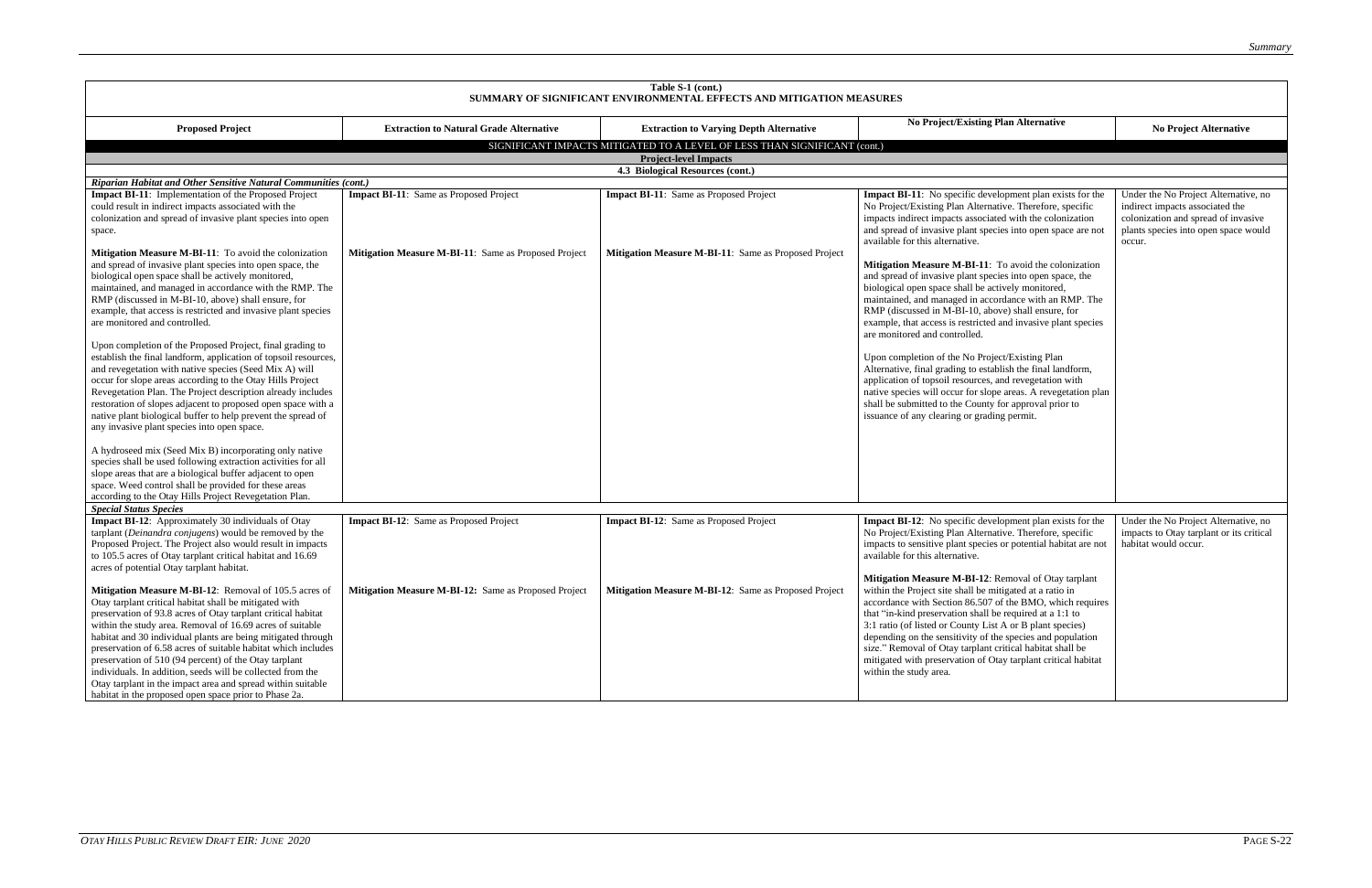| Table S-1 (cont.)                                                                                                                                                                                                                                                                                                                                                                                                                                                                                                                                                                                                                                                                                                                                                                                                                                                                                                                                                                                                                                                                                                                                  |                                                      |                                                                           |                                                                                                                                                                                                                                                                                                                                                                                                                                                                                                                                                                                                                                                                                                                                                     |                                                                                                                                                                  |
|----------------------------------------------------------------------------------------------------------------------------------------------------------------------------------------------------------------------------------------------------------------------------------------------------------------------------------------------------------------------------------------------------------------------------------------------------------------------------------------------------------------------------------------------------------------------------------------------------------------------------------------------------------------------------------------------------------------------------------------------------------------------------------------------------------------------------------------------------------------------------------------------------------------------------------------------------------------------------------------------------------------------------------------------------------------------------------------------------------------------------------------------------|------------------------------------------------------|---------------------------------------------------------------------------|-----------------------------------------------------------------------------------------------------------------------------------------------------------------------------------------------------------------------------------------------------------------------------------------------------------------------------------------------------------------------------------------------------------------------------------------------------------------------------------------------------------------------------------------------------------------------------------------------------------------------------------------------------------------------------------------------------------------------------------------------------|------------------------------------------------------------------------------------------------------------------------------------------------------------------|
| SUMMARY OF SIGNIFICANT ENVIRONMENTAL EFFECTS AND MITIGATION MEASURES                                                                                                                                                                                                                                                                                                                                                                                                                                                                                                                                                                                                                                                                                                                                                                                                                                                                                                                                                                                                                                                                               |                                                      |                                                                           |                                                                                                                                                                                                                                                                                                                                                                                                                                                                                                                                                                                                                                                                                                                                                     |                                                                                                                                                                  |
| <b>Proposed Project</b>                                                                                                                                                                                                                                                                                                                                                                                                                                                                                                                                                                                                                                                                                                                                                                                                                                                                                                                                                                                                                                                                                                                            | <b>Extraction to Natural Grade Alternative</b>       | <b>Extraction to Varying Depth Alternative</b>                            | No Project/Existing Plan Alternative                                                                                                                                                                                                                                                                                                                                                                                                                                                                                                                                                                                                                                                                                                                | <b>No Project Alternative</b>                                                                                                                                    |
|                                                                                                                                                                                                                                                                                                                                                                                                                                                                                                                                                                                                                                                                                                                                                                                                                                                                                                                                                                                                                                                                                                                                                    |                                                      | SIGNIFICANT IMPACTS MITIGATED TO A LEVEL OF LESS THAN SIGNIFICANT (cont.) |                                                                                                                                                                                                                                                                                                                                                                                                                                                                                                                                                                                                                                                                                                                                                     |                                                                                                                                                                  |
|                                                                                                                                                                                                                                                                                                                                                                                                                                                                                                                                                                                                                                                                                                                                                                                                                                                                                                                                                                                                                                                                                                                                                    |                                                      | <b>Project-level Impacts</b>                                              |                                                                                                                                                                                                                                                                                                                                                                                                                                                                                                                                                                                                                                                                                                                                                     |                                                                                                                                                                  |
|                                                                                                                                                                                                                                                                                                                                                                                                                                                                                                                                                                                                                                                                                                                                                                                                                                                                                                                                                                                                                                                                                                                                                    |                                                      | 4.3 Biological Resources (cont.)                                          |                                                                                                                                                                                                                                                                                                                                                                                                                                                                                                                                                                                                                                                                                                                                                     |                                                                                                                                                                  |
| <b>Riparian Habitat and Other Sensitive Natural Communities (cont.)</b>                                                                                                                                                                                                                                                                                                                                                                                                                                                                                                                                                                                                                                                                                                                                                                                                                                                                                                                                                                                                                                                                            |                                                      |                                                                           |                                                                                                                                                                                                                                                                                                                                                                                                                                                                                                                                                                                                                                                                                                                                                     |                                                                                                                                                                  |
| <b>Impact BI-11:</b> Implementation of the Proposed Project<br>could result in indirect impacts associated with the<br>colonization and spread of invasive plant species into open<br>space.                                                                                                                                                                                                                                                                                                                                                                                                                                                                                                                                                                                                                                                                                                                                                                                                                                                                                                                                                       | <b>Impact BI-11:</b> Same as Proposed Project        | <b>Impact BI-11:</b> Same as Proposed Project                             | Impact BI-11: No specific development plan exists for the<br>No Project/Existing Plan Alternative. Therefore, specific<br>impacts indirect impacts associated with the colonization<br>and spread of invasive plant species into open space are not<br>available for this alternative.                                                                                                                                                                                                                                                                                                                                                                                                                                                              | Under the No Project Alternative, no<br>indirect impacts associated the<br>colonization and spread of invasive<br>plants species into open space would<br>occur. |
| Mitigation Measure M-BI-11: To avoid the colonization<br>and spread of invasive plant species into open space, the<br>biological open space shall be actively monitored,<br>maintained, and managed in accordance with the RMP. The<br>RMP (discussed in M-BI-10, above) shall ensure, for<br>example, that access is restricted and invasive plant species<br>are monitored and controlled.<br>Upon completion of the Proposed Project, final grading to<br>establish the final landform, application of topsoil resources,<br>and revegetation with native species (Seed Mix A) will<br>occur for slope areas according to the Otay Hills Project<br>Revegetation Plan. The Project description already includes<br>restoration of slopes adjacent to proposed open space with a<br>native plant biological buffer to help prevent the spread of<br>any invasive plant species into open space.<br>A hydroseed mix (Seed Mix B) incorporating only native<br>species shall be used following extraction activities for all<br>slope areas that are a biological buffer adjacent to open<br>space. Weed control shall be provided for these areas | Mitigation Measure M-BI-11: Same as Proposed Project | Mitigation Measure M-BI-11: Same as Proposed Project                      | Mitigation Measure M-BI-11: To avoid the colonization<br>and spread of invasive plant species into open space, the<br>biological open space shall be actively monitored,<br>maintained, and managed in accordance with an RMP. The<br>RMP (discussed in M-BI-10, above) shall ensure, for<br>example, that access is restricted and invasive plant species<br>are monitored and controlled.<br>Upon completion of the No Project/Existing Plan<br>Alternative, final grading to establish the final landform,<br>application of topsoil resources, and revegetation with<br>native species will occur for slope areas. A revegetation plan<br>shall be submitted to the County for approval prior to<br>issuance of any clearing or grading permit. |                                                                                                                                                                  |
| according to the Otay Hills Project Revegetation Plan.                                                                                                                                                                                                                                                                                                                                                                                                                                                                                                                                                                                                                                                                                                                                                                                                                                                                                                                                                                                                                                                                                             |                                                      |                                                                           |                                                                                                                                                                                                                                                                                                                                                                                                                                                                                                                                                                                                                                                                                                                                                     |                                                                                                                                                                  |
| <b>Special Status Species</b><br><b>Impact BI-12:</b> Approximately 30 individuals of Otay<br>tarplant (Deinandra conjugens) would be removed by the<br>Proposed Project. The Project also would result in impacts<br>to 105.5 acres of Otay tarplant critical habitat and 16.69<br>acres of potential Otay tarplant habitat.                                                                                                                                                                                                                                                                                                                                                                                                                                                                                                                                                                                                                                                                                                                                                                                                                      | <b>Impact BI-12:</b> Same as Proposed Project        | Impact BI-12: Same as Proposed Project                                    | Impact BI-12: No specific development plan exists for the<br>No Project/Existing Plan Alternative. Therefore, specific<br>impacts to sensitive plant species or potential habitat are not<br>available for this alternative.<br>Mitigation Measure M-BI-12: Removal of Otay tarplant                                                                                                                                                                                                                                                                                                                                                                                                                                                                | Under the No Project Alternative, no<br>impacts to Otay tarplant or its critical<br>habitat would occur.                                                         |
| Mitigation Measure M-BI-12: Removal of 105.5 acres of<br>Otay tarplant critical habitat shall be mitigated with<br>preservation of 93.8 acres of Otay tarplant critical habitat<br>within the study area. Removal of 16.69 acres of suitable<br>habitat and 30 individual plants are being mitigated through<br>preservation of 6.58 acres of suitable habitat which includes<br>preservation of 510 (94 percent) of the Otay tarplant<br>individuals. In addition, seeds will be collected from the<br>Otay tarplant in the impact area and spread within suitable<br>habitat in the proposed open space prior to Phase 2a.                                                                                                                                                                                                                                                                                                                                                                                                                                                                                                                       | Mitigation Measure M-BI-12: Same as Proposed Project | Mitigation Measure M-BI-12: Same as Proposed Project                      | within the Project site shall be mitigated at a ratio in<br>accordance with Section 86.507 of the BMO, which requires<br>that "in-kind preservation shall be required at a 1:1 to<br>3:1 ratio (of listed or County List A or B plant species)<br>depending on the sensitivity of the species and population<br>size." Removal of Otay tarplant critical habitat shall be<br>mitigated with preservation of Otay tarplant critical habitat<br>within the study area.                                                                                                                                                                                                                                                                                |                                                                                                                                                                  |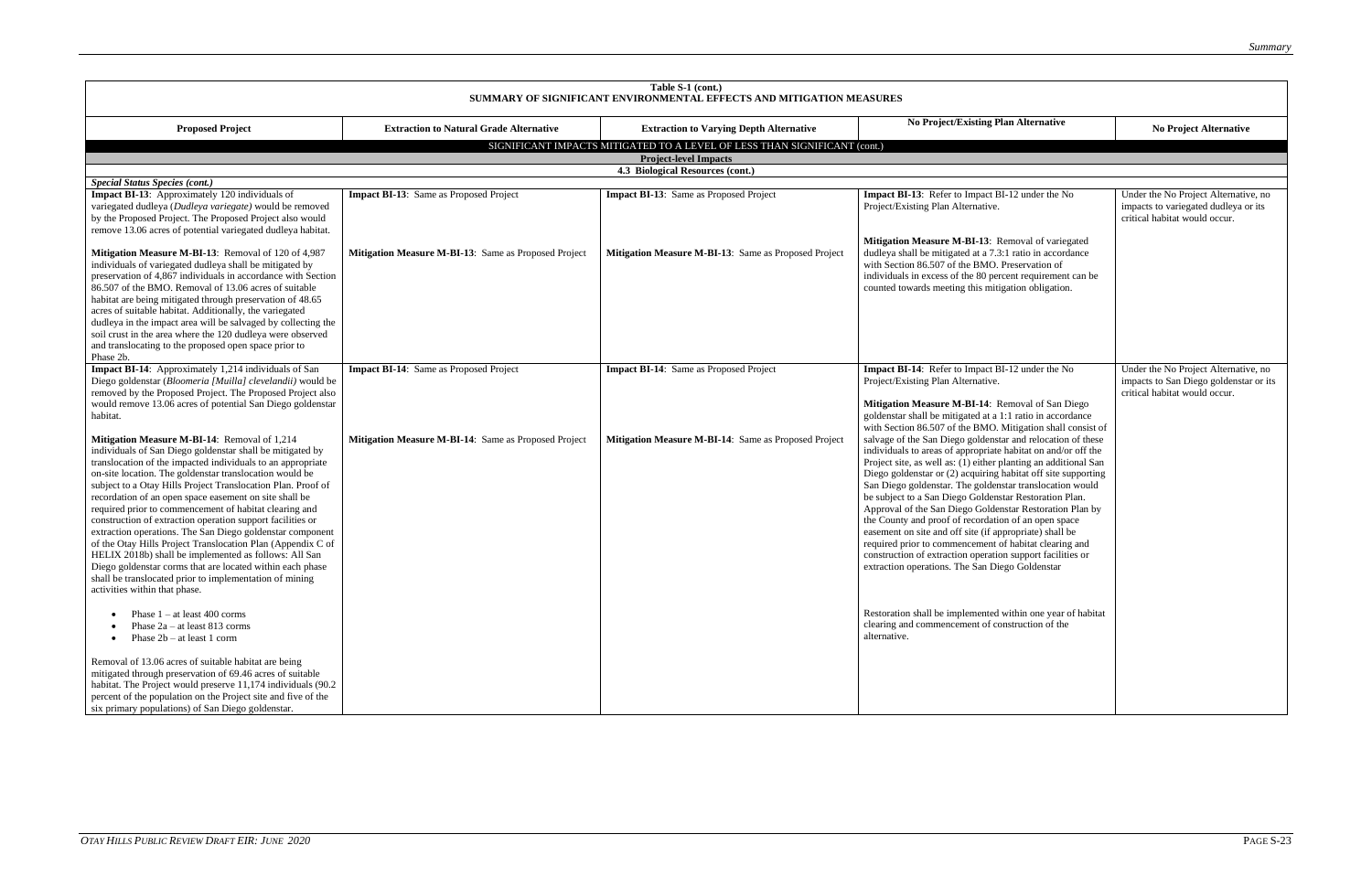|                                                                                                                                                                                                                                                                                                                                                                                                                                                                                                                                                                                                                                                                                                                                                                                                                                     |                                                      | Table S-1 (cont.)<br>SUMMARY OF SIGNIFICANT ENVIRONMENTAL EFFECTS AND MITIGATION MEASURES |                                                                                                                                                                                                                                                                                                                                                                                                                                                                                                                                                                                                                                                                                                                                                                                                                 |                                                                                                     |
|-------------------------------------------------------------------------------------------------------------------------------------------------------------------------------------------------------------------------------------------------------------------------------------------------------------------------------------------------------------------------------------------------------------------------------------------------------------------------------------------------------------------------------------------------------------------------------------------------------------------------------------------------------------------------------------------------------------------------------------------------------------------------------------------------------------------------------------|------------------------------------------------------|-------------------------------------------------------------------------------------------|-----------------------------------------------------------------------------------------------------------------------------------------------------------------------------------------------------------------------------------------------------------------------------------------------------------------------------------------------------------------------------------------------------------------------------------------------------------------------------------------------------------------------------------------------------------------------------------------------------------------------------------------------------------------------------------------------------------------------------------------------------------------------------------------------------------------|-----------------------------------------------------------------------------------------------------|
| <b>Proposed Project</b>                                                                                                                                                                                                                                                                                                                                                                                                                                                                                                                                                                                                                                                                                                                                                                                                             | <b>Extraction to Natural Grade Alternative</b>       | <b>Extraction to Varying Depth Alternative</b>                                            | No Project/Existing Plan Alternative                                                                                                                                                                                                                                                                                                                                                                                                                                                                                                                                                                                                                                                                                                                                                                            | No Project Alternative                                                                              |
|                                                                                                                                                                                                                                                                                                                                                                                                                                                                                                                                                                                                                                                                                                                                                                                                                                     |                                                      | SIGNIFICANT IMPACTS MITIGATED TO A LEVEL OF LESS THAN SIGNIFICANT (cont.)                 |                                                                                                                                                                                                                                                                                                                                                                                                                                                                                                                                                                                                                                                                                                                                                                                                                 |                                                                                                     |
|                                                                                                                                                                                                                                                                                                                                                                                                                                                                                                                                                                                                                                                                                                                                                                                                                                     |                                                      | <b>Project-level Impacts</b>                                                              |                                                                                                                                                                                                                                                                                                                                                                                                                                                                                                                                                                                                                                                                                                                                                                                                                 |                                                                                                     |
|                                                                                                                                                                                                                                                                                                                                                                                                                                                                                                                                                                                                                                                                                                                                                                                                                                     |                                                      | 4.3 Biological Resources (cont.)                                                          |                                                                                                                                                                                                                                                                                                                                                                                                                                                                                                                                                                                                                                                                                                                                                                                                                 |                                                                                                     |
| <b>Special Status Species (cont.)</b>                                                                                                                                                                                                                                                                                                                                                                                                                                                                                                                                                                                                                                                                                                                                                                                               |                                                      |                                                                                           |                                                                                                                                                                                                                                                                                                                                                                                                                                                                                                                                                                                                                                                                                                                                                                                                                 |                                                                                                     |
| <b>Impact BI-13:</b> Approximately 120 individuals of<br>variegated dudleya (Dudleya variegate) would be removed<br>by the Proposed Project. The Proposed Project also would<br>remove 13.06 acres of potential variegated dudleya habitat.                                                                                                                                                                                                                                                                                                                                                                                                                                                                                                                                                                                         | <b>Impact BI-13:</b> Same as Proposed Project        | Impact BI-13: Same as Proposed Project                                                    | Impact BI-13: Refer to Impact BI-12 under the No<br>Project/Existing Plan Alternative.                                                                                                                                                                                                                                                                                                                                                                                                                                                                                                                                                                                                                                                                                                                          | Under the No Project Alternativ<br>impacts to variegated dudleya o<br>critical habitat would occur. |
| Mitigation Measure M-BI-13: Removal of 120 of 4,987<br>individuals of variegated dudleya shall be mitigated by<br>preservation of 4,867 individuals in accordance with Section<br>86.507 of the BMO. Removal of 13.06 acres of suitable<br>habitat are being mitigated through preservation of 48.65<br>acres of suitable habitat. Additionally, the variegated<br>dudleya in the impact area will be salvaged by collecting the<br>soil crust in the area where the 120 dudleya were observed<br>and translocating to the proposed open space prior to                                                                                                                                                                                                                                                                             | Mitigation Measure M-BI-13: Same as Proposed Project | Mitigation Measure M-BI-13: Same as Proposed Project                                      | Mitigation Measure M-BI-13: Removal of variegated<br>dudleya shall be mitigated at a 7.3:1 ratio in accordance<br>with Section 86.507 of the BMO. Preservation of<br>individuals in excess of the 80 percent requirement can be<br>counted towards meeting this mitigation obligation.                                                                                                                                                                                                                                                                                                                                                                                                                                                                                                                          |                                                                                                     |
| Phase 2b.<br>Impact BI-14: Approximately 1,214 individuals of San<br>Diego goldenstar (Bloomeria [Muilla] clevelandii) would be<br>removed by the Proposed Project. The Proposed Project also<br>would remove 13.06 acres of potential San Diego goldenstar<br>habitat.                                                                                                                                                                                                                                                                                                                                                                                                                                                                                                                                                             | <b>Impact BI-14:</b> Same as Proposed Project        | <b>Impact BI-14:</b> Same as Proposed Project                                             | Impact BI-14: Refer to Impact BI-12 under the No<br>Project/Existing Plan Alternative.<br>Mitigation Measure M-BI-14: Removal of San Diego<br>goldenstar shall be mitigated at a 1:1 ratio in accordance                                                                                                                                                                                                                                                                                                                                                                                                                                                                                                                                                                                                        | Under the No Project Alternativ<br>impacts to San Diego goldensta<br>critical habitat would occur.  |
| Mitigation Measure M-BI-14: Removal of 1,214<br>individuals of San Diego goldenstar shall be mitigated by<br>translocation of the impacted individuals to an appropriate<br>on-site location. The goldenstar translocation would be<br>subject to a Otay Hills Project Translocation Plan. Proof of<br>recordation of an open space easement on site shall be<br>required prior to commencement of habitat clearing and<br>construction of extraction operation support facilities or<br>extraction operations. The San Diego goldenstar component<br>of the Otay Hills Project Translocation Plan (Appendix C of<br>HELIX 2018b) shall be implemented as follows: All San<br>Diego goldenstar corms that are located within each phase<br>shall be translocated prior to implementation of mining<br>activities within that phase. | Mitigation Measure M-BI-14: Same as Proposed Project | Mitigation Measure M-BI-14: Same as Proposed Project                                      | with Section 86.507 of the BMO. Mitigation shall consist of<br>salvage of the San Diego goldenstar and relocation of these<br>individuals to areas of appropriate habitat on and/or off the<br>Project site, as well as: (1) either planting an additional San<br>Diego goldenstar or (2) acquiring habitat off site supporting<br>San Diego goldenstar. The goldenstar translocation would<br>be subject to a San Diego Goldenstar Restoration Plan.<br>Approval of the San Diego Goldenstar Restoration Plan by<br>the County and proof of recordation of an open space<br>easement on site and off site (if appropriate) shall be<br>required prior to commencement of habitat clearing and<br>construction of extraction operation support facilities or<br>extraction operations. The San Diego Goldenstar |                                                                                                     |
| Phase $1 - at$ least 400 corms<br>Phase $2a - at least 813$ corms<br>Phase $2b - at least 1$ corm<br>Removal of 13.06 acres of suitable habitat are being<br>mitigated through preservation of 69.46 acres of suitable<br>habitat. The Project would preserve 11,174 individuals (90.2)<br>percent of the population on the Project site and five of the<br>six primary populations) of San Diego goldenstar.                                                                                                                                                                                                                                                                                                                                                                                                                       |                                                      |                                                                                           | Restoration shall be implemented within one year of habitat<br>clearing and commencement of construction of the<br>alternative.                                                                                                                                                                                                                                                                                                                                                                                                                                                                                                                                                                                                                                                                                 |                                                                                                     |

| n Alternative                                                                                                                                                                                                                                                                                                                                                                      | No Project Alternative                                                                                          |
|------------------------------------------------------------------------------------------------------------------------------------------------------------------------------------------------------------------------------------------------------------------------------------------------------------------------------------------------------------------------------------|-----------------------------------------------------------------------------------------------------------------|
|                                                                                                                                                                                                                                                                                                                                                                                    |                                                                                                                 |
|                                                                                                                                                                                                                                                                                                                                                                                    |                                                                                                                 |
|                                                                                                                                                                                                                                                                                                                                                                                    |                                                                                                                 |
| 12 under the No                                                                                                                                                                                                                                                                                                                                                                    | Under the No Project Alternative, no<br>impacts to variegated dudleya or its<br>critical habitat would occur.   |
| moval of variegated<br>ratio in accordance<br>eservation of<br>ent requirement can be<br>ution obligation.                                                                                                                                                                                                                                                                         |                                                                                                                 |
| 12 under the No                                                                                                                                                                                                                                                                                                                                                                    | Under the No Project Alternative, no<br>impacts to San Diego goldenstar or its<br>critical habitat would occur. |
| moval of San Diego<br>1 ratio in accordance<br>litigation shall consist of<br>and relocation of these<br>abitat on and/or off the<br>unting an additional San<br>abitat off site supporting<br>ar translocation would<br>r Restoration Plan.<br>tar Restoration Plan by<br>of an open space<br>ropriate) shall be<br>habitat clearing and<br>support facilities or<br>o Goldenstar |                                                                                                                 |
| ithin one year of habitat<br>struction of the                                                                                                                                                                                                                                                                                                                                      |                                                                                                                 |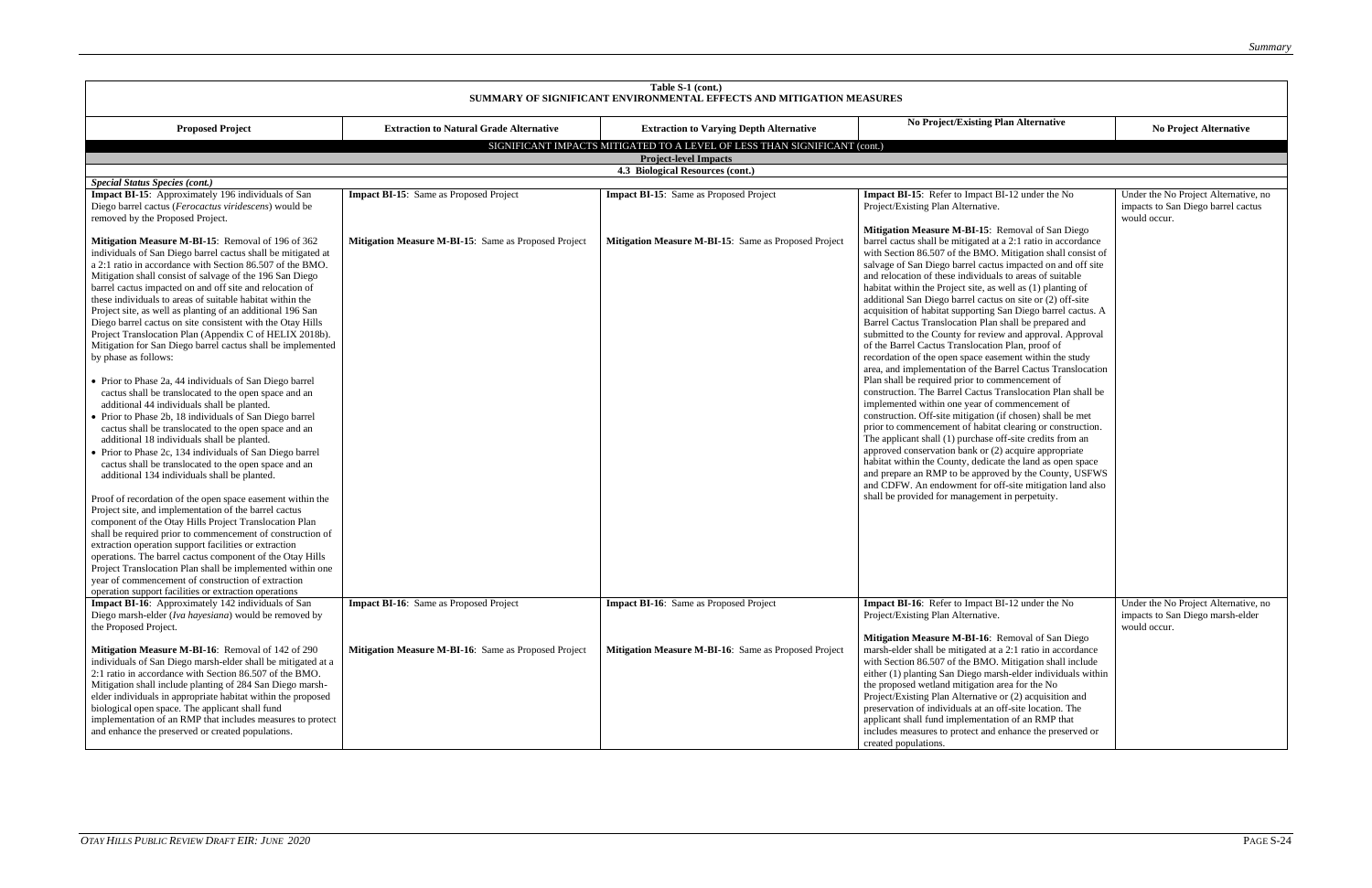| Table S-1 (cont.)<br>SUMMARY OF SIGNIFICANT ENVIRONMENTAL EFFECTS AND MITIGATION MEASURES                                                                                                                                                                                                                                                                                                                                                                                                                                                                                                                                                                                                                                                                                                                                                                                                                                                                                                                                                                                                                                                                                                                                                                                                                                                                                                                                                                                                                                                                                                                                                                                                                      |                                                      |                                                                           |                                                                                                                                                                                                                                                                                                                                                                                                                                                                                                                                                                                                                                                                                                                                                                                                                                                                                                                                                                                                                                                                                                                                                                                                                                                                                                                                                                                                                                                                             |                                                                                            |
|----------------------------------------------------------------------------------------------------------------------------------------------------------------------------------------------------------------------------------------------------------------------------------------------------------------------------------------------------------------------------------------------------------------------------------------------------------------------------------------------------------------------------------------------------------------------------------------------------------------------------------------------------------------------------------------------------------------------------------------------------------------------------------------------------------------------------------------------------------------------------------------------------------------------------------------------------------------------------------------------------------------------------------------------------------------------------------------------------------------------------------------------------------------------------------------------------------------------------------------------------------------------------------------------------------------------------------------------------------------------------------------------------------------------------------------------------------------------------------------------------------------------------------------------------------------------------------------------------------------------------------------------------------------------------------------------------------------|------------------------------------------------------|---------------------------------------------------------------------------|-----------------------------------------------------------------------------------------------------------------------------------------------------------------------------------------------------------------------------------------------------------------------------------------------------------------------------------------------------------------------------------------------------------------------------------------------------------------------------------------------------------------------------------------------------------------------------------------------------------------------------------------------------------------------------------------------------------------------------------------------------------------------------------------------------------------------------------------------------------------------------------------------------------------------------------------------------------------------------------------------------------------------------------------------------------------------------------------------------------------------------------------------------------------------------------------------------------------------------------------------------------------------------------------------------------------------------------------------------------------------------------------------------------------------------------------------------------------------------|--------------------------------------------------------------------------------------------|
| <b>Proposed Project</b>                                                                                                                                                                                                                                                                                                                                                                                                                                                                                                                                                                                                                                                                                                                                                                                                                                                                                                                                                                                                                                                                                                                                                                                                                                                                                                                                                                                                                                                                                                                                                                                                                                                                                        | <b>Extraction to Natural Grade Alternative</b>       | <b>Extraction to Varying Depth Alternative</b>                            | No Project/Existing Plan Alternative                                                                                                                                                                                                                                                                                                                                                                                                                                                                                                                                                                                                                                                                                                                                                                                                                                                                                                                                                                                                                                                                                                                                                                                                                                                                                                                                                                                                                                        | <b>No Project Alternative</b>                                                              |
|                                                                                                                                                                                                                                                                                                                                                                                                                                                                                                                                                                                                                                                                                                                                                                                                                                                                                                                                                                                                                                                                                                                                                                                                                                                                                                                                                                                                                                                                                                                                                                                                                                                                                                                |                                                      | SIGNIFICANT IMPACTS MITIGATED TO A LEVEL OF LESS THAN SIGNIFICANT (cont.) |                                                                                                                                                                                                                                                                                                                                                                                                                                                                                                                                                                                                                                                                                                                                                                                                                                                                                                                                                                                                                                                                                                                                                                                                                                                                                                                                                                                                                                                                             |                                                                                            |
|                                                                                                                                                                                                                                                                                                                                                                                                                                                                                                                                                                                                                                                                                                                                                                                                                                                                                                                                                                                                                                                                                                                                                                                                                                                                                                                                                                                                                                                                                                                                                                                                                                                                                                                |                                                      | <b>Project-level Impacts</b>                                              |                                                                                                                                                                                                                                                                                                                                                                                                                                                                                                                                                                                                                                                                                                                                                                                                                                                                                                                                                                                                                                                                                                                                                                                                                                                                                                                                                                                                                                                                             |                                                                                            |
| <b>Special Status Species (cont.)</b>                                                                                                                                                                                                                                                                                                                                                                                                                                                                                                                                                                                                                                                                                                                                                                                                                                                                                                                                                                                                                                                                                                                                                                                                                                                                                                                                                                                                                                                                                                                                                                                                                                                                          |                                                      | 4.3 Biological Resources (cont.)                                          |                                                                                                                                                                                                                                                                                                                                                                                                                                                                                                                                                                                                                                                                                                                                                                                                                                                                                                                                                                                                                                                                                                                                                                                                                                                                                                                                                                                                                                                                             |                                                                                            |
| Impact BI-15: Approximately 196 individuals of San<br>Diego barrel cactus (Ferocactus viridescens) would be<br>removed by the Proposed Project.                                                                                                                                                                                                                                                                                                                                                                                                                                                                                                                                                                                                                                                                                                                                                                                                                                                                                                                                                                                                                                                                                                                                                                                                                                                                                                                                                                                                                                                                                                                                                                | <b>Impact BI-15:</b> Same as Proposed Project        | <b>Impact BI-15:</b> Same as Proposed Project                             | Impact BI-15: Refer to Impact BI-12 under the No<br>Project/Existing Plan Alternative.                                                                                                                                                                                                                                                                                                                                                                                                                                                                                                                                                                                                                                                                                                                                                                                                                                                                                                                                                                                                                                                                                                                                                                                                                                                                                                                                                                                      | Under the No Project Alternative, no<br>impacts to San Diego barrel cactus<br>would occur. |
| Mitigation Measure M-BI-15: Removal of 196 of 362<br>individuals of San Diego barrel cactus shall be mitigated at<br>a 2:1 ratio in accordance with Section 86.507 of the BMO.<br>Mitigation shall consist of salvage of the 196 San Diego<br>barrel cactus impacted on and off site and relocation of<br>these individuals to areas of suitable habitat within the<br>Project site, as well as planting of an additional 196 San<br>Diego barrel cactus on site consistent with the Otay Hills<br>Project Translocation Plan (Appendix C of HELIX 2018b).<br>Mitigation for San Diego barrel cactus shall be implemented<br>by phase as follows:<br>• Prior to Phase 2a, 44 individuals of San Diego barrel<br>cactus shall be translocated to the open space and an<br>additional 44 individuals shall be planted.<br>• Prior to Phase 2b, 18 individuals of San Diego barrel<br>cactus shall be translocated to the open space and an<br>additional 18 individuals shall be planted.<br>• Prior to Phase 2c, 134 individuals of San Diego barrel<br>cactus shall be translocated to the open space and an<br>additional 134 individuals shall be planted.<br>Proof of recordation of the open space easement within the<br>Project site, and implementation of the barrel cactus<br>component of the Otay Hills Project Translocation Plan<br>shall be required prior to commencement of construction of<br>extraction operation support facilities or extraction<br>operations. The barrel cactus component of the Otay Hills<br>Project Translocation Plan shall be implemented within one<br>year of commencement of construction of extraction<br>operation support facilities or extraction operations | Mitigation Measure M-BI-15: Same as Proposed Project | Mitigation Measure M-BI-15: Same as Proposed Project                      | Mitigation Measure M-BI-15: Removal of San Diego<br>barrel cactus shall be mitigated at a 2:1 ratio in accordance<br>with Section 86.507 of the BMO. Mitigation shall consist of<br>salvage of San Diego barrel cactus impacted on and off site<br>and relocation of these individuals to areas of suitable<br>habitat within the Project site, as well as (1) planting of<br>additional San Diego barrel cactus on site or (2) off-site<br>acquisition of habitat supporting San Diego barrel cactus. A<br>Barrel Cactus Translocation Plan shall be prepared and<br>submitted to the County for review and approval. Approval<br>of the Barrel Cactus Translocation Plan, proof of<br>recordation of the open space easement within the study<br>area, and implementation of the Barrel Cactus Translocation<br>Plan shall be required prior to commencement of<br>construction. The Barrel Cactus Translocation Plan shall be<br>implemented within one year of commencement of<br>construction. Off-site mitigation (if chosen) shall be met<br>prior to commencement of habitat clearing or construction.<br>The applicant shall (1) purchase off-site credits from an<br>approved conservation bank or (2) acquire appropriate<br>habitat within the County, dedicate the land as open space<br>and prepare an RMP to be approved by the County, USFWS<br>and CDFW. An endowment for off-site mitigation land also<br>shall be provided for management in perpetuity. |                                                                                            |
| Impact BI-16: Approximately 142 individuals of San<br>Diego marsh-elder (Iva hayesiana) would be removed by<br>the Proposed Project.                                                                                                                                                                                                                                                                                                                                                                                                                                                                                                                                                                                                                                                                                                                                                                                                                                                                                                                                                                                                                                                                                                                                                                                                                                                                                                                                                                                                                                                                                                                                                                           | <b>Impact BI-16:</b> Same as Proposed Project        | <b>Impact BI-16:</b> Same as Proposed Project                             | Impact BI-16: Refer to Impact BI-12 under the No<br>Project/Existing Plan Alternative.                                                                                                                                                                                                                                                                                                                                                                                                                                                                                                                                                                                                                                                                                                                                                                                                                                                                                                                                                                                                                                                                                                                                                                                                                                                                                                                                                                                      | Under the No Project Alternative, no<br>impacts to San Diego marsh-elder<br>would occur.   |
| Mitigation Measure M-BI-16: Removal of 142 of 290<br>individuals of San Diego marsh-elder shall be mitigated at a<br>2:1 ratio in accordance with Section 86.507 of the BMO.<br>Mitigation shall include planting of 284 San Diego marsh-<br>elder individuals in appropriate habitat within the proposed<br>biological open space. The applicant shall fund<br>implementation of an RMP that includes measures to protect<br>and enhance the preserved or created populations.                                                                                                                                                                                                                                                                                                                                                                                                                                                                                                                                                                                                                                                                                                                                                                                                                                                                                                                                                                                                                                                                                                                                                                                                                                | Mitigation Measure M-BI-16: Same as Proposed Project | Mitigation Measure M-BI-16: Same as Proposed Project                      | Mitigation Measure M-BI-16: Removal of San Diego<br>marsh-elder shall be mitigated at a 2:1 ratio in accordance<br>with Section 86.507 of the BMO. Mitigation shall include<br>either (1) planting San Diego marsh-elder individuals within<br>the proposed wetland mitigation area for the No<br>Project/Existing Plan Alternative or (2) acquisition and<br>preservation of individuals at an off-site location. The<br>applicant shall fund implementation of an RMP that<br>includes measures to protect and enhance the preserved or<br>created populations.                                                                                                                                                                                                                                                                                                                                                                                                                                                                                                                                                                                                                                                                                                                                                                                                                                                                                                           |                                                                                            |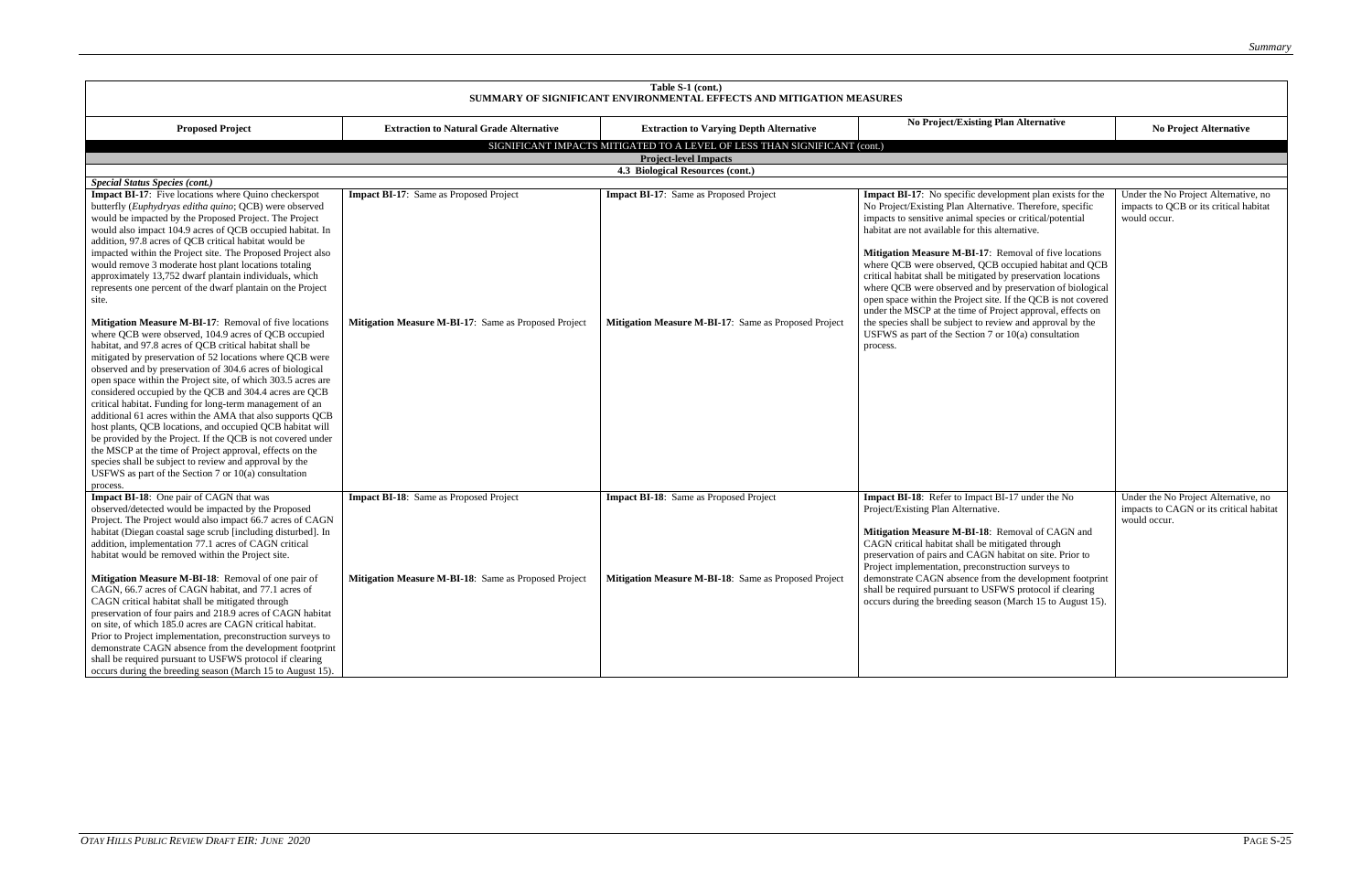| Table S-1 (cont.)<br>SUMMARY OF SIGNIFICANT ENVIRONMENTAL EFFECTS AND MITIGATION MEASURES                                                                                                                                                                                                                                                                                                                                                                                                                                                                                                                                                                                                                                                                                                                                                                                                                                                                                                                                                                                                                                                                                                                                                                                                                                                                                                                                            |                                                                                                             |                                                                                                       |                                                                                                                                                                                                                                                                                                                                                                                                                                                                                                                                                                                                                                                                                                                                                           |                                                                                                |
|--------------------------------------------------------------------------------------------------------------------------------------------------------------------------------------------------------------------------------------------------------------------------------------------------------------------------------------------------------------------------------------------------------------------------------------------------------------------------------------------------------------------------------------------------------------------------------------------------------------------------------------------------------------------------------------------------------------------------------------------------------------------------------------------------------------------------------------------------------------------------------------------------------------------------------------------------------------------------------------------------------------------------------------------------------------------------------------------------------------------------------------------------------------------------------------------------------------------------------------------------------------------------------------------------------------------------------------------------------------------------------------------------------------------------------------|-------------------------------------------------------------------------------------------------------------|-------------------------------------------------------------------------------------------------------|-----------------------------------------------------------------------------------------------------------------------------------------------------------------------------------------------------------------------------------------------------------------------------------------------------------------------------------------------------------------------------------------------------------------------------------------------------------------------------------------------------------------------------------------------------------------------------------------------------------------------------------------------------------------------------------------------------------------------------------------------------------|------------------------------------------------------------------------------------------------|
| <b>Proposed Project</b>                                                                                                                                                                                                                                                                                                                                                                                                                                                                                                                                                                                                                                                                                                                                                                                                                                                                                                                                                                                                                                                                                                                                                                                                                                                                                                                                                                                                              | <b>Extraction to Natural Grade Alternative</b>                                                              | <b>Extraction to Varying Depth Alternative</b>                                                        | No Project/Existing Plan Alternative                                                                                                                                                                                                                                                                                                                                                                                                                                                                                                                                                                                                                                                                                                                      | <b>No Project Alternative</b>                                                                  |
|                                                                                                                                                                                                                                                                                                                                                                                                                                                                                                                                                                                                                                                                                                                                                                                                                                                                                                                                                                                                                                                                                                                                                                                                                                                                                                                                                                                                                                      |                                                                                                             | SIGNIFICANT IMPACTS MITIGATED TO A LEVEL OF LESS THAN SIGNIFICANT (cont.)                             |                                                                                                                                                                                                                                                                                                                                                                                                                                                                                                                                                                                                                                                                                                                                                           |                                                                                                |
|                                                                                                                                                                                                                                                                                                                                                                                                                                                                                                                                                                                                                                                                                                                                                                                                                                                                                                                                                                                                                                                                                                                                                                                                                                                                                                                                                                                                                                      |                                                                                                             | <b>Project-level Impacts</b>                                                                          |                                                                                                                                                                                                                                                                                                                                                                                                                                                                                                                                                                                                                                                                                                                                                           |                                                                                                |
|                                                                                                                                                                                                                                                                                                                                                                                                                                                                                                                                                                                                                                                                                                                                                                                                                                                                                                                                                                                                                                                                                                                                                                                                                                                                                                                                                                                                                                      |                                                                                                             | 4.3 Biological Resources (cont.)                                                                      |                                                                                                                                                                                                                                                                                                                                                                                                                                                                                                                                                                                                                                                                                                                                                           |                                                                                                |
| <b>Special Status Species (cont.)</b>                                                                                                                                                                                                                                                                                                                                                                                                                                                                                                                                                                                                                                                                                                                                                                                                                                                                                                                                                                                                                                                                                                                                                                                                                                                                                                                                                                                                |                                                                                                             |                                                                                                       |                                                                                                                                                                                                                                                                                                                                                                                                                                                                                                                                                                                                                                                                                                                                                           |                                                                                                |
| <b>Impact BI-17:</b> Five locations where Quino checkerspot<br>butterfly (Euphydryas editha quino; QCB) were observed<br>would be impacted by the Proposed Project. The Project<br>would also impact 104.9 acres of QCB occupied habitat. In<br>addition, 97.8 acres of QCB critical habitat would be<br>impacted within the Project site. The Proposed Project also<br>would remove 3 moderate host plant locations totaling<br>approximately 13,752 dwarf plantain individuals, which<br>represents one percent of the dwarf plantain on the Project<br>site.<br>Mitigation Measure M-BI-17: Removal of five locations<br>where QCB were observed, 104.9 acres of QCB occupied<br>habitat, and 97.8 acres of QCB critical habitat shall be<br>mitigated by preservation of 52 locations where QCB were<br>observed and by preservation of 304.6 acres of biological<br>open space within the Project site, of which 303.5 acres are<br>considered occupied by the QCB and 304.4 acres are QCB<br>critical habitat. Funding for long-term management of an<br>additional 61 acres within the AMA that also supports QCB<br>host plants, QCB locations, and occupied QCB habitat will<br>be provided by the Project. If the QCB is not covered under<br>the MSCP at the time of Project approval, effects on the<br>species shall be subject to review and approval by the<br>USFWS as part of the Section 7 or $10(a)$ consultation | <b>Impact BI-17:</b> Same as Proposed Project<br>Mitigation Measure M-BI-17: Same as Proposed Project       | <b>Impact BI-17:</b> Same as Proposed Project<br>Mitigation Measure M-BI-17: Same as Proposed Project | Impact BI-17: No specific development plan exists for the<br>No Project/Existing Plan Alternative. Therefore, specific<br>impacts to sensitive animal species or critical/potential<br>habitat are not available for this alternative.<br>Mitigation Measure M-BI-17: Removal of five locations<br>where QCB were observed, QCB occupied habitat and QCB<br>critical habitat shall be mitigated by preservation locations<br>where QCB were observed and by preservation of biological<br>open space within the Project site. If the QCB is not covered<br>under the MSCP at the time of Project approval, effects on<br>the species shall be subject to review and approval by the<br>USFWS as part of the Section 7 or $10(a)$ consultation<br>process. | Under the No Project Alternative, no<br>impacts to QCB or its critical habitat<br>would occur. |
| process.<br><b>Impact BI-18:</b> One pair of CAGN that was                                                                                                                                                                                                                                                                                                                                                                                                                                                                                                                                                                                                                                                                                                                                                                                                                                                                                                                                                                                                                                                                                                                                                                                                                                                                                                                                                                           | <b>Impact BI-18:</b> Same as Proposed Project                                                               | <b>Impact BI-18:</b> Same as Proposed Project                                                         | Impact BI-18: Refer to Impact BI-17 under the No                                                                                                                                                                                                                                                                                                                                                                                                                                                                                                                                                                                                                                                                                                          | Under the No Project Alternative, no                                                           |
| observed/detected would be impacted by the Proposed<br>Project. The Project would also impact 66.7 acres of CAGN<br>habitat (Diegan coastal sage scrub [including disturbed]. In<br>addition, implementation 77.1 acres of CAGN critical<br>habitat would be removed within the Project site.<br>Mitigation Measure M-BI-18: Removal of one pair of<br>CAGN, 66.7 acres of CAGN habitat, and 77.1 acres of<br>CAGN critical habitat shall be mitigated through<br>preservation of four pairs and 218.9 acres of CAGN habitat<br>on site, of which 185.0 acres are CAGN critical habitat.<br>Prior to Project implementation, preconstruction surveys to<br>demonstrate CAGN absence from the development footprint<br>shall be required pursuant to USFWS protocol if clearing<br>occurs during the breeding season (March 15 to August 15).                                                                                                                                                                                                                                                                                                                                                                                                                                                                                                                                                                                         | Mitigation Measure M-BI-18: Same as Proposed Project   Mitigation Measure M-BI-18: Same as Proposed Project |                                                                                                       | Project/Existing Plan Alternative.<br>Mitigation Measure M-BI-18: Removal of CAGN and<br>CAGN critical habitat shall be mitigated through<br>preservation of pairs and CAGN habitat on site. Prior to<br>Project implementation, preconstruction surveys to<br>demonstrate CAGN absence from the development footprint<br>shall be required pursuant to USFWS protocol if clearing<br>occurs during the breeding season (March 15 to August 15).                                                                                                                                                                                                                                                                                                          | impacts to CAGN or its critical habitat<br>would occur.                                        |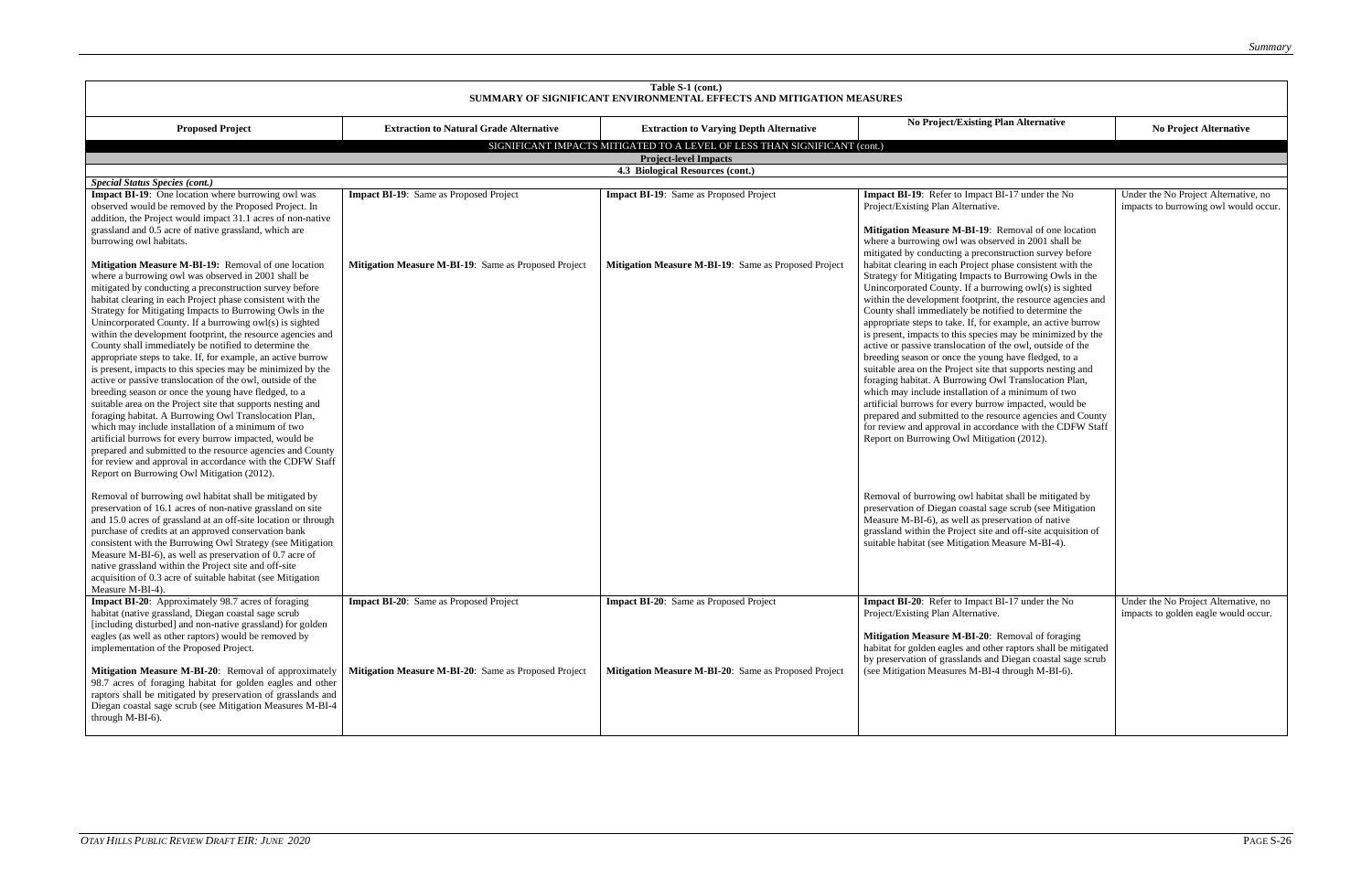| Table S-1 (cont.)<br>SUMMARY OF SIGNIFICANT ENVIRONMENTAL EFFECTS AND MITIGATION MEASURES                                                                                                                                                                                                                                                                                                                                                                                                                                                                                                                                                                                                                                                                                                                                                                                                                                                                                                                                                                                                                                                                |                                                      |                                                                           |                                                                                                                                                                                                                                                                                                                                                                                                                                                                                                                                                                                                                                                                                                                                                                                                                                                                                                                                                                                 |                                                                               |
|----------------------------------------------------------------------------------------------------------------------------------------------------------------------------------------------------------------------------------------------------------------------------------------------------------------------------------------------------------------------------------------------------------------------------------------------------------------------------------------------------------------------------------------------------------------------------------------------------------------------------------------------------------------------------------------------------------------------------------------------------------------------------------------------------------------------------------------------------------------------------------------------------------------------------------------------------------------------------------------------------------------------------------------------------------------------------------------------------------------------------------------------------------|------------------------------------------------------|---------------------------------------------------------------------------|---------------------------------------------------------------------------------------------------------------------------------------------------------------------------------------------------------------------------------------------------------------------------------------------------------------------------------------------------------------------------------------------------------------------------------------------------------------------------------------------------------------------------------------------------------------------------------------------------------------------------------------------------------------------------------------------------------------------------------------------------------------------------------------------------------------------------------------------------------------------------------------------------------------------------------------------------------------------------------|-------------------------------------------------------------------------------|
| <b>Proposed Project</b>                                                                                                                                                                                                                                                                                                                                                                                                                                                                                                                                                                                                                                                                                                                                                                                                                                                                                                                                                                                                                                                                                                                                  | <b>Extraction to Natural Grade Alternative</b>       | <b>Extraction to Varying Depth Alternative</b>                            | No Project/Existing Plan Alternative                                                                                                                                                                                                                                                                                                                                                                                                                                                                                                                                                                                                                                                                                                                                                                                                                                                                                                                                            | No Project Alternative                                                        |
|                                                                                                                                                                                                                                                                                                                                                                                                                                                                                                                                                                                                                                                                                                                                                                                                                                                                                                                                                                                                                                                                                                                                                          |                                                      | SIGNIFICANT IMPACTS MITIGATED TO A LEVEL OF LESS THAN SIGNIFICANT (cont.) |                                                                                                                                                                                                                                                                                                                                                                                                                                                                                                                                                                                                                                                                                                                                                                                                                                                                                                                                                                                 |                                                                               |
|                                                                                                                                                                                                                                                                                                                                                                                                                                                                                                                                                                                                                                                                                                                                                                                                                                                                                                                                                                                                                                                                                                                                                          |                                                      | <b>Project-level Impacts</b><br>4.3 Biological Resources (cont.)          |                                                                                                                                                                                                                                                                                                                                                                                                                                                                                                                                                                                                                                                                                                                                                                                                                                                                                                                                                                                 |                                                                               |
| <b>Special Status Species (cont.)</b>                                                                                                                                                                                                                                                                                                                                                                                                                                                                                                                                                                                                                                                                                                                                                                                                                                                                                                                                                                                                                                                                                                                    |                                                      |                                                                           |                                                                                                                                                                                                                                                                                                                                                                                                                                                                                                                                                                                                                                                                                                                                                                                                                                                                                                                                                                                 |                                                                               |
| <b>Impact BI-19:</b> One location where burrowing owl was<br>observed would be removed by the Proposed Project. In<br>addition, the Project would impact 31.1 acres of non-native<br>grassland and 0.5 acre of native grassland, which are<br>burrowing owl habitats.                                                                                                                                                                                                                                                                                                                                                                                                                                                                                                                                                                                                                                                                                                                                                                                                                                                                                    | <b>Impact BI-19:</b> Same as Proposed Project        | <b>Impact BI-19:</b> Same as Proposed Project                             | <b>Impact BI-19:</b> Refer to Impact BI-17 under the No<br>Project/Existing Plan Alternative.<br>Mitigation Measure M-BI-19: Removal of one location<br>where a burrowing owl was observed in 2001 shall be<br>mitigated by conducting a preconstruction survey before                                                                                                                                                                                                                                                                                                                                                                                                                                                                                                                                                                                                                                                                                                          | Under the No Project Alternative, no<br>impacts to burrowing owl would occur. |
| Mitigation Measure M-BI-19: Removal of one location<br>where a burrowing owl was observed in 2001 shall be<br>mitigated by conducting a preconstruction survey before<br>habitat clearing in each Project phase consistent with the<br>Strategy for Mitigating Impacts to Burrowing Owls in the<br>Unincorporated County. If a burrowing owl(s) is sighted<br>within the development footprint, the resource agencies and<br>County shall immediately be notified to determine the<br>appropriate steps to take. If, for example, an active burrow<br>is present, impacts to this species may be minimized by the<br>active or passive translocation of the owl, outside of the<br>breeding season or once the young have fledged, to a<br>suitable area on the Project site that supports nesting and<br>foraging habitat. A Burrowing Owl Translocation Plan,<br>which may include installation of a minimum of two<br>artificial burrows for every burrow impacted, would be<br>prepared and submitted to the resource agencies and County<br>for review and approval in accordance with the CDFW Staff<br>Report on Burrowing Owl Mitigation (2012). | Mitigation Measure M-BI-19: Same as Proposed Project | Mitigation Measure M-BI-19: Same as Proposed Project                      | habitat clearing in each Project phase consistent with the<br>Strategy for Mitigating Impacts to Burrowing Owls in the<br>Unincorporated County. If a burrowing owl(s) is sighted<br>within the development footprint, the resource agencies and<br>County shall immediately be notified to determine the<br>appropriate steps to take. If, for example, an active burrow<br>is present, impacts to this species may be minimized by the<br>active or passive translocation of the owl, outside of the<br>breeding season or once the young have fledged, to a<br>suitable area on the Project site that supports nesting and<br>foraging habitat. A Burrowing Owl Translocation Plan,<br>which may include installation of a minimum of two<br>artificial burrows for every burrow impacted, would be<br>prepared and submitted to the resource agencies and County<br>for review and approval in accordance with the CDFW Staff<br>Report on Burrowing Owl Mitigation (2012). |                                                                               |
| Removal of burrowing owl habitat shall be mitigated by<br>preservation of 16.1 acres of non-native grassland on site<br>and 15.0 acres of grassland at an off-site location or through<br>purchase of credits at an approved conservation bank<br>consistent with the Burrowing Owl Strategy (see Mitigation<br>Measure M-BI-6), as well as preservation of 0.7 acre of<br>native grassland within the Project site and off-site<br>acquisition of 0.3 acre of suitable habitat (see Mitigation<br>Measure M-BI-4).                                                                                                                                                                                                                                                                                                                                                                                                                                                                                                                                                                                                                                      |                                                      |                                                                           | Removal of burrowing owl habitat shall be mitigated by<br>preservation of Diegan coastal sage scrub (see Mitigation<br>Measure M-BI-6), as well as preservation of native<br>grassland within the Project site and off-site acquisition of<br>suitable habitat (see Mitigation Measure M-BI-4).                                                                                                                                                                                                                                                                                                                                                                                                                                                                                                                                                                                                                                                                                 |                                                                               |
| <b>Impact BI-20:</b> Approximately 98.7 acres of foraging<br>habitat (native grassland, Diegan coastal sage scrub<br>[including disturbed] and non-native grassland) for golden<br>eagles (as well as other raptors) would be removed by<br>implementation of the Proposed Project.                                                                                                                                                                                                                                                                                                                                                                                                                                                                                                                                                                                                                                                                                                                                                                                                                                                                      | <b>Impact BI-20:</b> Same as Proposed Project        | <b>Impact BI-20:</b> Same as Proposed Project                             | <b>Impact BI-20:</b> Refer to Impact BI-17 under the No<br>Project/Existing Plan Alternative.<br>Mitigation Measure M-BI-20: Removal of foraging<br>habitat for golden eagles and other raptors shall be mitigated<br>by preservation of grasslands and Diegan coastal sage scrub                                                                                                                                                                                                                                                                                                                                                                                                                                                                                                                                                                                                                                                                                               | Under the No Project Alternative, no<br>impacts to golden eagle would occur.  |
| Mitigation Measure M-BI-20: Removal of approximately<br>98.7 acres of foraging habitat for golden eagles and other<br>raptors shall be mitigated by preservation of grasslands and<br>Diegan coastal sage scrub (see Mitigation Measures M-BI-4<br>through M-BI-6).                                                                                                                                                                                                                                                                                                                                                                                                                                                                                                                                                                                                                                                                                                                                                                                                                                                                                      | Mitigation Measure M-BI-20: Same as Proposed Project | Mitigation Measure M-BI-20: Same as Proposed Project                      | (see Mitigation Measures M-BI-4 through M-BI-6).                                                                                                                                                                                                                                                                                                                                                                                                                                                                                                                                                                                                                                                                                                                                                                                                                                                                                                                                |                                                                               |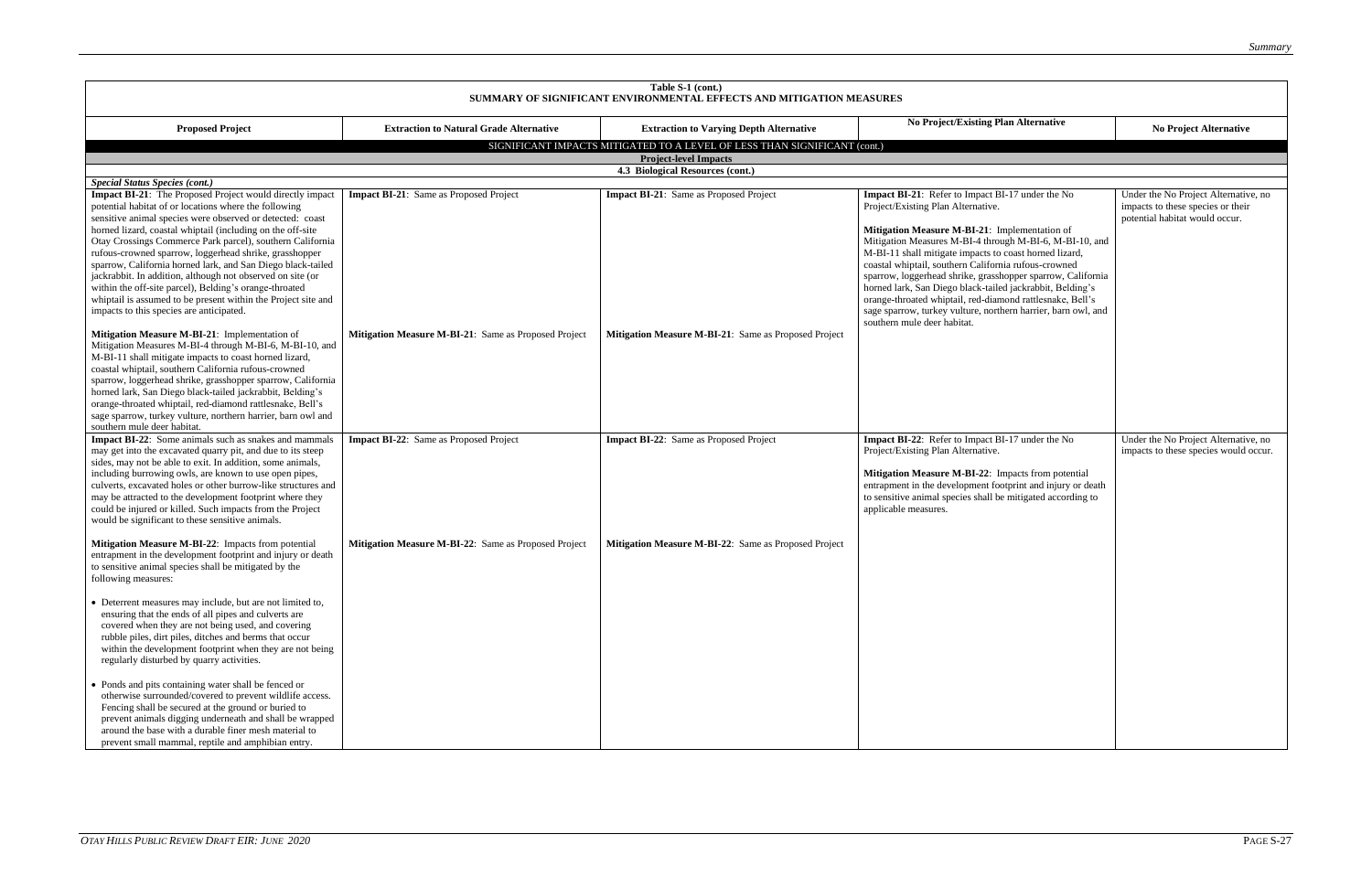| Table S-1 (cont.)<br>SUMMARY OF SIGNIFICANT ENVIRONMENTAL EFFECTS AND MITIGATION MEASURES                                                                                                                                                                                                                                                                                                                                                                                                                                                       |                                                      |                                                                           |                                                                                                                                                                                                                                                                                                                                               |                                                                                                             |
|-------------------------------------------------------------------------------------------------------------------------------------------------------------------------------------------------------------------------------------------------------------------------------------------------------------------------------------------------------------------------------------------------------------------------------------------------------------------------------------------------------------------------------------------------|------------------------------------------------------|---------------------------------------------------------------------------|-----------------------------------------------------------------------------------------------------------------------------------------------------------------------------------------------------------------------------------------------------------------------------------------------------------------------------------------------|-------------------------------------------------------------------------------------------------------------|
| <b>Proposed Project</b>                                                                                                                                                                                                                                                                                                                                                                                                                                                                                                                         | <b>Extraction to Natural Grade Alternative</b>       | <b>Extraction to Varying Depth Alternative</b>                            | No Project/Existing Plan Alternative                                                                                                                                                                                                                                                                                                          | No Project Alternative                                                                                      |
|                                                                                                                                                                                                                                                                                                                                                                                                                                                                                                                                                 |                                                      | SIGNIFICANT IMPACTS MITIGATED TO A LEVEL OF LESS THAN SIGNIFICANT (cont.) |                                                                                                                                                                                                                                                                                                                                               |                                                                                                             |
|                                                                                                                                                                                                                                                                                                                                                                                                                                                                                                                                                 |                                                      | <b>Project-level Impacts</b>                                              |                                                                                                                                                                                                                                                                                                                                               |                                                                                                             |
|                                                                                                                                                                                                                                                                                                                                                                                                                                                                                                                                                 |                                                      | 4.3 Biological Resources (cont.)                                          |                                                                                                                                                                                                                                                                                                                                               |                                                                                                             |
| <b>Special Status Species (cont.)</b>                                                                                                                                                                                                                                                                                                                                                                                                                                                                                                           |                                                      |                                                                           |                                                                                                                                                                                                                                                                                                                                               |                                                                                                             |
| <b>Impact BI-21:</b> The Proposed Project would directly impact<br>potential habitat of or locations where the following<br>sensitive animal species were observed or detected: coast<br>horned lizard, coastal whiptail (including on the off-site<br>Otay Crossings Commerce Park parcel), southern California<br>rufous-crowned sparrow, loggerhead shrike, grasshopper                                                                                                                                                                      | <b>Impact BI-21:</b> Same as Proposed Project        | <b>Impact BI-21:</b> Same as Proposed Project                             | Impact BI-21: Refer to Impact BI-17 under the No<br>Project/Existing Plan Alternative.<br>Mitigation Measure M-BI-21: Implementation of<br>Mitigation Measures M-BI-4 through M-BI-6, M-BI-10, and<br>M-BI-11 shall mitigate impacts to coast horned lizard,                                                                                  | Under the No Project Alternative, no<br>impacts to these species or their<br>potential habitat would occur. |
| sparrow, California horned lark, and San Diego black-tailed<br>jackrabbit. In addition, although not observed on site (or<br>within the off-site parcel), Belding's orange-throated<br>whiptail is assumed to be present within the Project site and<br>impacts to this species are anticipated.                                                                                                                                                                                                                                                |                                                      |                                                                           | coastal whiptail, southern California rufous-crowned<br>sparrow, loggerhead shrike, grasshopper sparrow, California<br>horned lark, San Diego black-tailed jackrabbit, Belding's<br>orange-throated whiptail, red-diamond rattlesnake, Bell's<br>sage sparrow, turkey vulture, northern harrier, barn owl, and<br>southern mule deer habitat. |                                                                                                             |
| Mitigation Measure M-BI-21: Implementation of<br>Mitigation Measures M-BI-4 through M-BI-6, M-BI-10, and<br>M-BI-11 shall mitigate impacts to coast horned lizard,<br>coastal whiptail, southern California rufous-crowned<br>sparrow, loggerhead shrike, grasshopper sparrow, California<br>horned lark, San Diego black-tailed jackrabbit, Belding's<br>orange-throated whiptail, red-diamond rattlesnake, Bell's<br>sage sparrow, turkey vulture, northern harrier, barn owl and<br>southern mule deer habitat.                              | Mitigation Measure M-BI-21: Same as Proposed Project | Mitigation Measure M-BI-21: Same as Proposed Project                      |                                                                                                                                                                                                                                                                                                                                               |                                                                                                             |
| Impact BI-22: Some animals such as snakes and mammals<br>may get into the excavated quarry pit, and due to its steep<br>sides, may not be able to exit. In addition, some animals,<br>including burrowing owls, are known to use open pipes,<br>culverts, excavated holes or other burrow-like structures and<br>may be attracted to the development footprint where they<br>could be injured or killed. Such impacts from the Project<br>would be significant to these sensitive animals.                                                      | <b>Impact BI-22:</b> Same as Proposed Project        | <b>Impact BI-22:</b> Same as Proposed Project                             | Impact BI-22: Refer to Impact BI-17 under the No<br>Project/Existing Plan Alternative.<br>Mitigation Measure M-BI-22: Impacts from potential<br>entrapment in the development footprint and injury or death<br>to sensitive animal species shall be mitigated according to<br>applicable measures.                                            | Under the No Project Alternative, no<br>impacts to these species would occur.                               |
| Mitigation Measure M-BI-22: Impacts from potential<br>entrapment in the development footprint and injury or death<br>to sensitive animal species shall be mitigated by the<br>following measures:<br>• Deterrent measures may include, but are not limited to,<br>ensuring that the ends of all pipes and culverts are<br>covered when they are not being used, and covering<br>rubble piles, dirt piles, ditches and berms that occur<br>within the development footprint when they are not being<br>regularly disturbed by quarry activities. | Mitigation Measure M-BI-22: Same as Proposed Project | Mitigation Measure M-BI-22: Same as Proposed Project                      |                                                                                                                                                                                                                                                                                                                                               |                                                                                                             |
| • Ponds and pits containing water shall be fenced or<br>otherwise surrounded/covered to prevent wildlife access.<br>Fencing shall be secured at the ground or buried to<br>prevent animals digging underneath and shall be wrapped<br>around the base with a durable finer mesh material to<br>prevent small mammal, reptile and amphibian entry.                                                                                                                                                                                               |                                                      |                                                                           |                                                                                                                                                                                                                                                                                                                                               |                                                                                                             |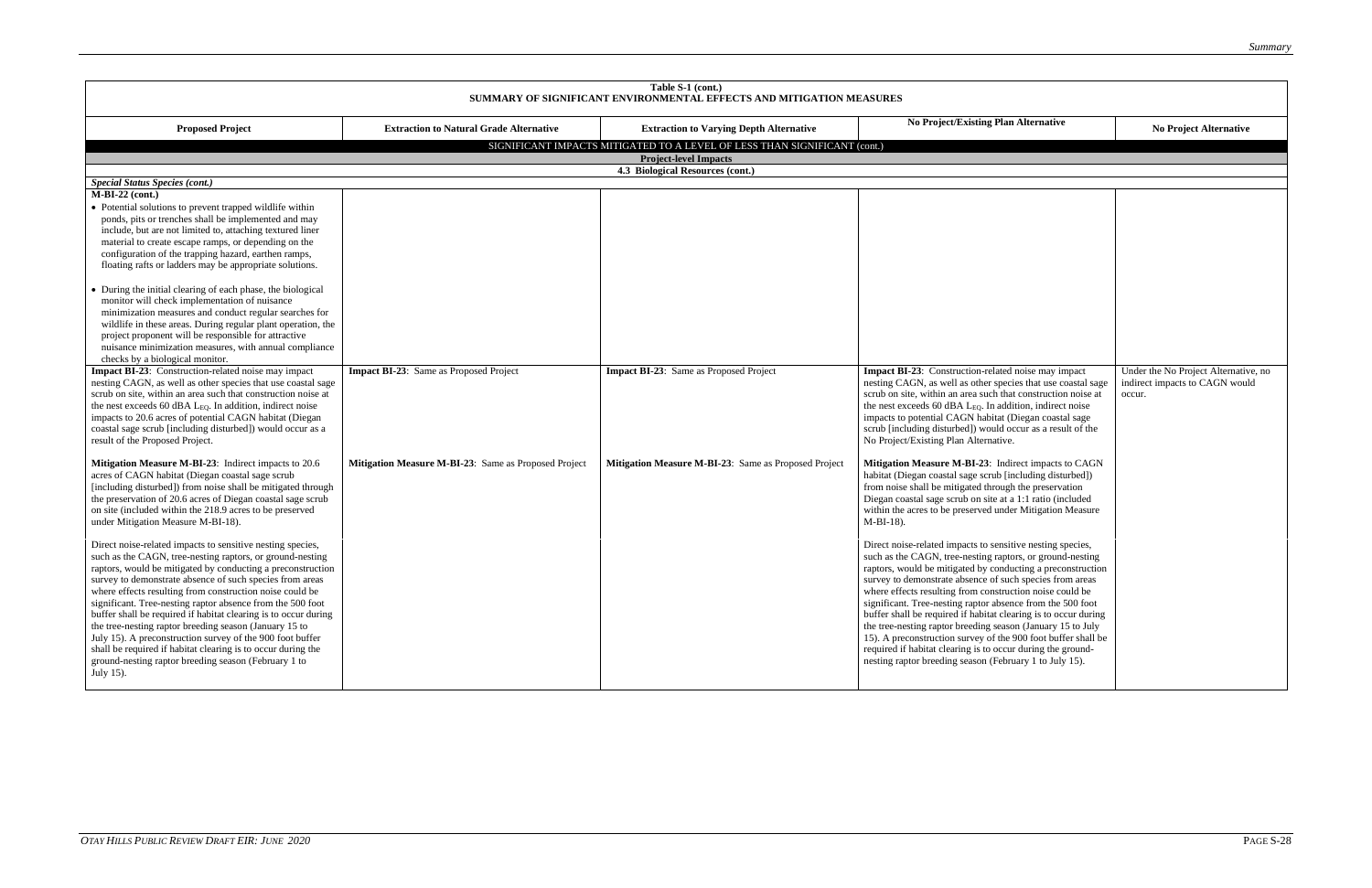| Table S-1 (cont.)<br>SUMMARY OF SIGNIFICANT ENVIRONMENTAL EFFECTS AND MITIGATION MEASURES                                                                                                                                                                                                                                                                                                                                                                                                                                                                                                                                                                                                                   |                                                      |                                                                           |                                                                                                                                                                                                                                                                                                                                                                                                                                                                                                                                                                                                                                                                                                           |                                                                            |
|-------------------------------------------------------------------------------------------------------------------------------------------------------------------------------------------------------------------------------------------------------------------------------------------------------------------------------------------------------------------------------------------------------------------------------------------------------------------------------------------------------------------------------------------------------------------------------------------------------------------------------------------------------------------------------------------------------------|------------------------------------------------------|---------------------------------------------------------------------------|-----------------------------------------------------------------------------------------------------------------------------------------------------------------------------------------------------------------------------------------------------------------------------------------------------------------------------------------------------------------------------------------------------------------------------------------------------------------------------------------------------------------------------------------------------------------------------------------------------------------------------------------------------------------------------------------------------------|----------------------------------------------------------------------------|
| <b>Proposed Project</b>                                                                                                                                                                                                                                                                                                                                                                                                                                                                                                                                                                                                                                                                                     | <b>Extraction to Natural Grade Alternative</b>       | <b>Extraction to Varying Depth Alternative</b>                            | No Project/Existing Plan Alternative                                                                                                                                                                                                                                                                                                                                                                                                                                                                                                                                                                                                                                                                      | No Project Alternative                                                     |
|                                                                                                                                                                                                                                                                                                                                                                                                                                                                                                                                                                                                                                                                                                             |                                                      | SIGNIFICANT IMPACTS MITIGATED TO A LEVEL OF LESS THAN SIGNIFICANT (cont.) |                                                                                                                                                                                                                                                                                                                                                                                                                                                                                                                                                                                                                                                                                                           |                                                                            |
|                                                                                                                                                                                                                                                                                                                                                                                                                                                                                                                                                                                                                                                                                                             |                                                      | <b>Project-level Impacts</b><br>4.3 Biological Resources (cont.)          |                                                                                                                                                                                                                                                                                                                                                                                                                                                                                                                                                                                                                                                                                                           |                                                                            |
| <b>Special Status Species (cont.)</b>                                                                                                                                                                                                                                                                                                                                                                                                                                                                                                                                                                                                                                                                       |                                                      |                                                                           |                                                                                                                                                                                                                                                                                                                                                                                                                                                                                                                                                                                                                                                                                                           |                                                                            |
| M-BI-22 (cont.)                                                                                                                                                                                                                                                                                                                                                                                                                                                                                                                                                                                                                                                                                             |                                                      |                                                                           |                                                                                                                                                                                                                                                                                                                                                                                                                                                                                                                                                                                                                                                                                                           |                                                                            |
| • Potential solutions to prevent trapped wildlife within<br>ponds, pits or trenches shall be implemented and may<br>include, but are not limited to, attaching textured liner<br>material to create escape ramps, or depending on the<br>configuration of the trapping hazard, earthen ramps,<br>floating rafts or ladders may be appropriate solutions.                                                                                                                                                                                                                                                                                                                                                    |                                                      |                                                                           |                                                                                                                                                                                                                                                                                                                                                                                                                                                                                                                                                                                                                                                                                                           |                                                                            |
| • During the initial clearing of each phase, the biological<br>monitor will check implementation of nuisance<br>minimization measures and conduct regular searches for<br>wildlife in these areas. During regular plant operation, the<br>project proponent will be responsible for attractive<br>nuisance minimization measures, with annual compliance<br>checks by a biological monitor.                                                                                                                                                                                                                                                                                                                 |                                                      |                                                                           |                                                                                                                                                                                                                                                                                                                                                                                                                                                                                                                                                                                                                                                                                                           |                                                                            |
| Impact BI-23: Construction-related noise may impact<br>nesting CAGN, as well as other species that use coastal sage<br>scrub on site, within an area such that construction noise at<br>the nest exceeds 60 dBA L <sub>EQ</sub> . In addition, indirect noise<br>impacts to 20.6 acres of potential CAGN habitat (Diegan<br>coastal sage scrub [including disturbed]) would occur as a<br>result of the Proposed Project.                                                                                                                                                                                                                                                                                   | <b>Impact BI-23:</b> Same as Proposed Project        | <b>Impact BI-23:</b> Same as Proposed Project                             | <b>Impact BI-23:</b> Construction-related noise may impact<br>nesting CAGN, as well as other species that use coastal sage<br>scrub on site, within an area such that construction noise at<br>the nest exceeds 60 dBA L <sub>EQ</sub> . In addition, indirect noise<br>impacts to potential CAGN habitat (Diegan coastal sage<br>scrub [including disturbed]) would occur as a result of the<br>No Project/Existing Plan Alternative.                                                                                                                                                                                                                                                                    | Under the No Project Alternativ<br>indirect impacts to CAGN woul<br>occur. |
| Mitigation Measure M-BI-23: Indirect impacts to 20.6<br>acres of CAGN habitat (Diegan coastal sage scrub<br>[including disturbed]) from noise shall be mitigated through<br>the preservation of 20.6 acres of Diegan coastal sage scrub<br>on site (included within the 218.9 acres to be preserved<br>under Mitigation Measure M-BI-18).                                                                                                                                                                                                                                                                                                                                                                   | Mitigation Measure M-BI-23: Same as Proposed Project | Mitigation Measure M-BI-23: Same as Proposed Project                      | Mitigation Measure M-BI-23: Indirect impacts to CAGN<br>habitat (Diegan coastal sage scrub [including disturbed])<br>from noise shall be mitigated through the preservation<br>Diegan coastal sage scrub on site at a 1:1 ratio (included<br>within the acres to be preserved under Mitigation Measure<br>$M-BI-18$ ).                                                                                                                                                                                                                                                                                                                                                                                    |                                                                            |
| Direct noise-related impacts to sensitive nesting species,<br>such as the CAGN, tree-nesting raptors, or ground-nesting<br>raptors, would be mitigated by conducting a preconstruction<br>survey to demonstrate absence of such species from areas<br>where effects resulting from construction noise could be<br>significant. Tree-nesting raptor absence from the 500 foot<br>buffer shall be required if habitat clearing is to occur during<br>the tree-nesting raptor breeding season (January 15 to<br>July 15). A preconstruction survey of the 900 foot buffer<br>shall be required if habitat clearing is to occur during the<br>ground-nesting raptor breeding season (February 1 to<br>July 15). |                                                      |                                                                           | Direct noise-related impacts to sensitive nesting species,<br>such as the CAGN, tree-nesting raptors, or ground-nesting<br>raptors, would be mitigated by conducting a preconstruction<br>survey to demonstrate absence of such species from areas<br>where effects resulting from construction noise could be<br>significant. Tree-nesting raptor absence from the 500 foot<br>buffer shall be required if habitat clearing is to occur during<br>the tree-nesting raptor breeding season (January 15 to July<br>15). A preconstruction survey of the 900 foot buffer shall be<br>required if habitat clearing is to occur during the ground-<br>nesting raptor breeding season (February 1 to July 15). |                                                                            |

| n Alternative                                                                                                                                                                                                                                                                               | No Project Alternative                                                           |
|---------------------------------------------------------------------------------------------------------------------------------------------------------------------------------------------------------------------------------------------------------------------------------------------|----------------------------------------------------------------------------------|
|                                                                                                                                                                                                                                                                                             |                                                                                  |
|                                                                                                                                                                                                                                                                                             |                                                                                  |
|                                                                                                                                                                                                                                                                                             |                                                                                  |
|                                                                                                                                                                                                                                                                                             |                                                                                  |
|                                                                                                                                                                                                                                                                                             |                                                                                  |
|                                                                                                                                                                                                                                                                                             |                                                                                  |
|                                                                                                                                                                                                                                                                                             |                                                                                  |
|                                                                                                                                                                                                                                                                                             |                                                                                  |
|                                                                                                                                                                                                                                                                                             |                                                                                  |
| I noise may impact<br>cies that use coastal sage<br>at construction noise at<br>lition, indirect noise<br>Diegan coastal sage<br>occur as a result of the<br>э.                                                                                                                             | Under the No Project Alternative, no<br>indirect impacts to CAGN would<br>occur. |
| lirect impacts to CAGN<br>including disturbed])<br>h the preservation<br>a 1:1 ratio (included<br>er Mitigation Measure                                                                                                                                                                     |                                                                                  |
| itive nesting species,<br>cors, or ground-nesting<br>ucting a preconstruction<br>ch species from areas<br>ction noise could be<br>nce from the 500 foot<br>earing is to occur during<br>on (January 15 to July<br>900 foot buffer shall be<br>ur during the ground-<br>ruary 1 to July 15). |                                                                                  |
|                                                                                                                                                                                                                                                                                             |                                                                                  |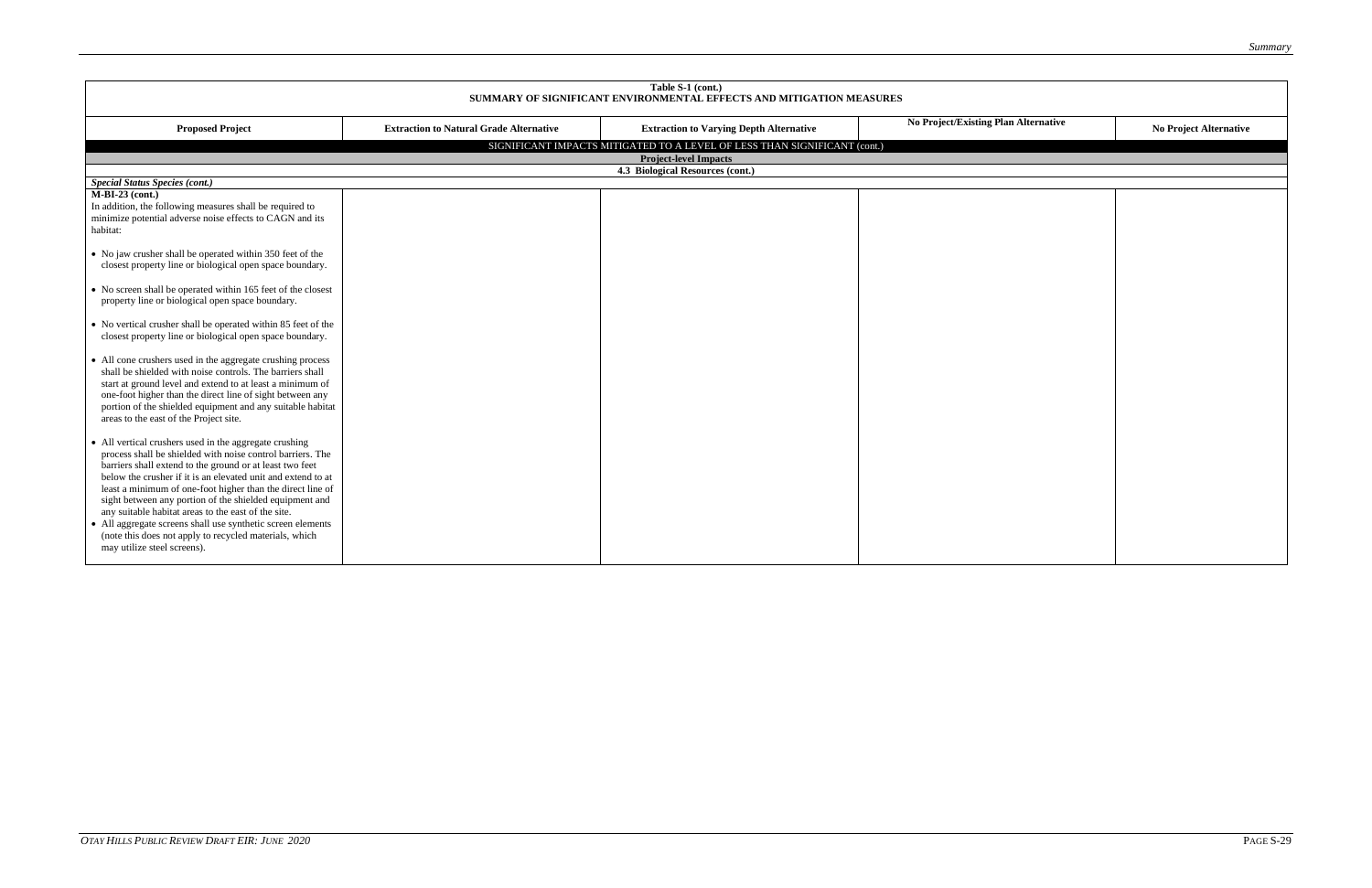| Table $S-1$ (cont.)<br>SUMMARY OF SIGNIFICANT ENVIRONMENTAL EFFECTS AND MITIGATION MEASURES                                                                                                                                                                                                                                                                                                                                                                                                                                                                                              |                                                |                                                                                                           |                                      |                               |
|------------------------------------------------------------------------------------------------------------------------------------------------------------------------------------------------------------------------------------------------------------------------------------------------------------------------------------------------------------------------------------------------------------------------------------------------------------------------------------------------------------------------------------------------------------------------------------------|------------------------------------------------|-----------------------------------------------------------------------------------------------------------|--------------------------------------|-------------------------------|
| <b>Proposed Project</b>                                                                                                                                                                                                                                                                                                                                                                                                                                                                                                                                                                  | <b>Extraction to Natural Grade Alternative</b> | <b>Extraction to Varying Depth Alternative</b>                                                            | No Project/Existing Plan Alternative | <b>No Project Alternative</b> |
|                                                                                                                                                                                                                                                                                                                                                                                                                                                                                                                                                                                          |                                                | SIGNIFICANT IMPACTS MITIGATED TO A LEVEL OF LESS THAN SIGNIFICANT (cont.)<br><b>Project-level Impacts</b> |                                      |                               |
|                                                                                                                                                                                                                                                                                                                                                                                                                                                                                                                                                                                          |                                                | 4.3 Biological Resources (cont.)                                                                          |                                      |                               |
| <b>Special Status Species (cont.)</b>                                                                                                                                                                                                                                                                                                                                                                                                                                                                                                                                                    |                                                |                                                                                                           |                                      |                               |
| $M-BI-23$ (cont.)<br>In addition, the following measures shall be required to<br>minimize potential adverse noise effects to CAGN and its<br>habitat:                                                                                                                                                                                                                                                                                                                                                                                                                                    |                                                |                                                                                                           |                                      |                               |
| • No jaw crusher shall be operated within 350 feet of the<br>closest property line or biological open space boundary.                                                                                                                                                                                                                                                                                                                                                                                                                                                                    |                                                |                                                                                                           |                                      |                               |
| • No screen shall be operated within 165 feet of the closest<br>property line or biological open space boundary.                                                                                                                                                                                                                                                                                                                                                                                                                                                                         |                                                |                                                                                                           |                                      |                               |
| • No vertical crusher shall be operated within 85 feet of the<br>closest property line or biological open space boundary.                                                                                                                                                                                                                                                                                                                                                                                                                                                                |                                                |                                                                                                           |                                      |                               |
| • All cone crushers used in the aggregate crushing process<br>shall be shielded with noise controls. The barriers shall<br>start at ground level and extend to at least a minimum of<br>one-foot higher than the direct line of sight between any<br>portion of the shielded equipment and any suitable habitat<br>areas to the east of the Project site.                                                                                                                                                                                                                                |                                                |                                                                                                           |                                      |                               |
| • All vertical crushers used in the aggregate crushing<br>process shall be shielded with noise control barriers. The<br>barriers shall extend to the ground or at least two feet<br>below the crusher if it is an elevated unit and extend to at<br>least a minimum of one-foot higher than the direct line of<br>sight between any portion of the shielded equipment and<br>any suitable habitat areas to the east of the site.<br>• All aggregate screens shall use synthetic screen elements<br>(note this does not apply to recycled materials, which<br>may utilize steel screens). |                                                |                                                                                                           |                                      |                               |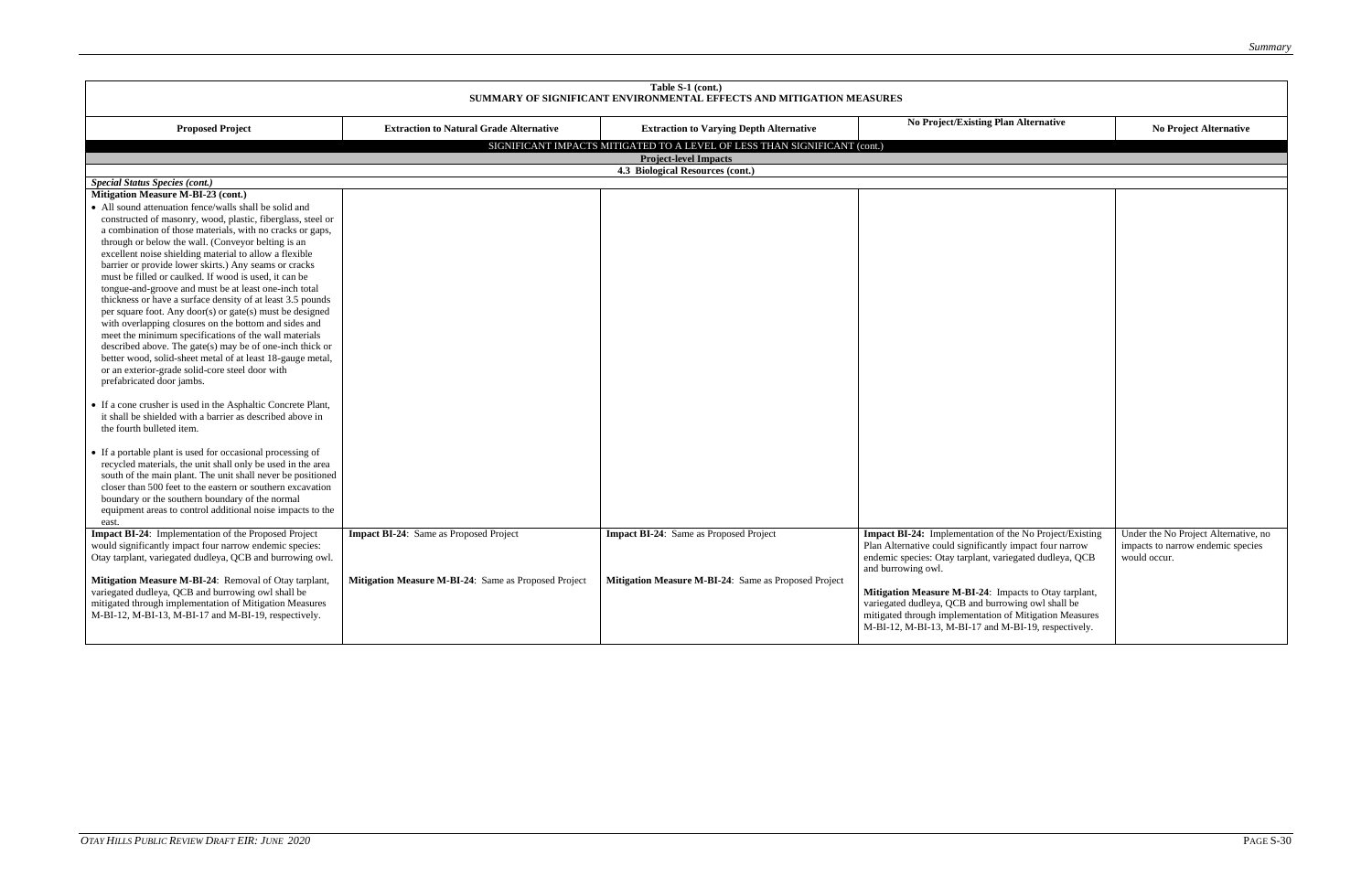| Table S-1 (cont.)<br>SUMMARY OF SIGNIFICANT ENVIRONMENTAL EFFECTS AND MITIGATION MEASURES                            |                                                      |                                                                           |                                                                                                                 |                                                   |  |
|----------------------------------------------------------------------------------------------------------------------|------------------------------------------------------|---------------------------------------------------------------------------|-----------------------------------------------------------------------------------------------------------------|---------------------------------------------------|--|
| <b>Proposed Project</b>                                                                                              | <b>Extraction to Natural Grade Alternative</b>       | <b>Extraction to Varying Depth Alternative</b>                            | No Project/Existing Plan Alternative                                                                            | <b>No Project Alternative</b>                     |  |
|                                                                                                                      |                                                      | SIGNIFICANT IMPACTS MITIGATED TO A LEVEL OF LESS THAN SIGNIFICANT (cont.) |                                                                                                                 |                                                   |  |
|                                                                                                                      |                                                      | <b>Project-level Impacts</b>                                              |                                                                                                                 |                                                   |  |
|                                                                                                                      |                                                      | 4.3 Biological Resources (cont.)                                          |                                                                                                                 |                                                   |  |
| <b>Special Status Species (cont.)</b>                                                                                |                                                      |                                                                           |                                                                                                                 |                                                   |  |
| Mitigation Measure M-BI-23 (cont.)<br>• All sound attenuation fence/walls shall be solid and                         |                                                      |                                                                           |                                                                                                                 |                                                   |  |
| constructed of masonry, wood, plastic, fiberglass, steel or                                                          |                                                      |                                                                           |                                                                                                                 |                                                   |  |
| a combination of those materials, with no cracks or gaps,                                                            |                                                      |                                                                           |                                                                                                                 |                                                   |  |
| through or below the wall. (Conveyor belting is an                                                                   |                                                      |                                                                           |                                                                                                                 |                                                   |  |
| excellent noise shielding material to allow a flexible                                                               |                                                      |                                                                           |                                                                                                                 |                                                   |  |
| barrier or provide lower skirts.) Any seams or cracks                                                                |                                                      |                                                                           |                                                                                                                 |                                                   |  |
| must be filled or caulked. If wood is used, it can be                                                                |                                                      |                                                                           |                                                                                                                 |                                                   |  |
| tongue-and-groove and must be at least one-inch total                                                                |                                                      |                                                                           |                                                                                                                 |                                                   |  |
| thickness or have a surface density of at least 3.5 pounds                                                           |                                                      |                                                                           |                                                                                                                 |                                                   |  |
| per square foot. Any door(s) or gate(s) must be designed<br>with overlapping closures on the bottom and sides and    |                                                      |                                                                           |                                                                                                                 |                                                   |  |
| meet the minimum specifications of the wall materials                                                                |                                                      |                                                                           |                                                                                                                 |                                                   |  |
| described above. The gate(s) may be of one-inch thick or                                                             |                                                      |                                                                           |                                                                                                                 |                                                   |  |
| better wood, solid-sheet metal of at least 18-gauge metal,                                                           |                                                      |                                                                           |                                                                                                                 |                                                   |  |
| or an exterior-grade solid-core steel door with                                                                      |                                                      |                                                                           |                                                                                                                 |                                                   |  |
| prefabricated door jambs.                                                                                            |                                                      |                                                                           |                                                                                                                 |                                                   |  |
| • If a cone crusher is used in the Asphaltic Concrete Plant,                                                         |                                                      |                                                                           |                                                                                                                 |                                                   |  |
| it shall be shielded with a barrier as described above in                                                            |                                                      |                                                                           |                                                                                                                 |                                                   |  |
| the fourth bulleted item.                                                                                            |                                                      |                                                                           |                                                                                                                 |                                                   |  |
| • If a portable plant is used for occasional processing of                                                           |                                                      |                                                                           |                                                                                                                 |                                                   |  |
| recycled materials, the unit shall only be used in the area                                                          |                                                      |                                                                           |                                                                                                                 |                                                   |  |
| south of the main plant. The unit shall never be positioned                                                          |                                                      |                                                                           |                                                                                                                 |                                                   |  |
| closer than 500 feet to the eastern or southern excavation                                                           |                                                      |                                                                           |                                                                                                                 |                                                   |  |
| boundary or the southern boundary of the normal                                                                      |                                                      |                                                                           |                                                                                                                 |                                                   |  |
| equipment areas to control additional noise impacts to the                                                           |                                                      |                                                                           |                                                                                                                 |                                                   |  |
| east.                                                                                                                |                                                      |                                                                           |                                                                                                                 |                                                   |  |
| <b>Impact BI-24:</b> Implementation of the Proposed Project                                                          | <b>Impact BI-24:</b> Same as Proposed Project        | <b>Impact BI-24:</b> Same as Proposed Project                             | <b>Impact BI-24:</b> Implementation of the No Project/Existing                                                  | Under the No Project Alternative, no              |  |
| would significantly impact four narrow endemic species:<br>Otay tarplant, variegated dudleya, QCB and burrowing owl. |                                                      |                                                                           | Plan Alternative could significantly impact four narrow                                                         | impacts to narrow endemic species<br>would occur. |  |
|                                                                                                                      |                                                      |                                                                           | endemic species: Otay tarplant, variegated dudleya, QCB<br>and burrowing owl.                                   |                                                   |  |
| Mitigation Measure M-BI-24: Removal of Otay tarplant,                                                                | Mitigation Measure M-BI-24: Same as Proposed Project | Mitigation Measure M-BI-24: Same as Proposed Project                      |                                                                                                                 |                                                   |  |
| variegated dudleya, QCB and burrowing owl shall be                                                                   |                                                      |                                                                           | Mitigation Measure M-BI-24: Impacts to Otay tarplant,                                                           |                                                   |  |
| mitigated through implementation of Mitigation Measures                                                              |                                                      |                                                                           | variegated dudleya, QCB and burrowing owl shall be                                                              |                                                   |  |
| M-BI-12, M-BI-13, M-BI-17 and M-BI-19, respectively.                                                                 |                                                      |                                                                           | mitigated through implementation of Mitigation Measures<br>M-BI-12, M-BI-13, M-BI-17 and M-BI-19, respectively. |                                                   |  |
|                                                                                                                      |                                                      |                                                                           |                                                                                                                 |                                                   |  |
|                                                                                                                      |                                                      |                                                                           |                                                                                                                 |                                                   |  |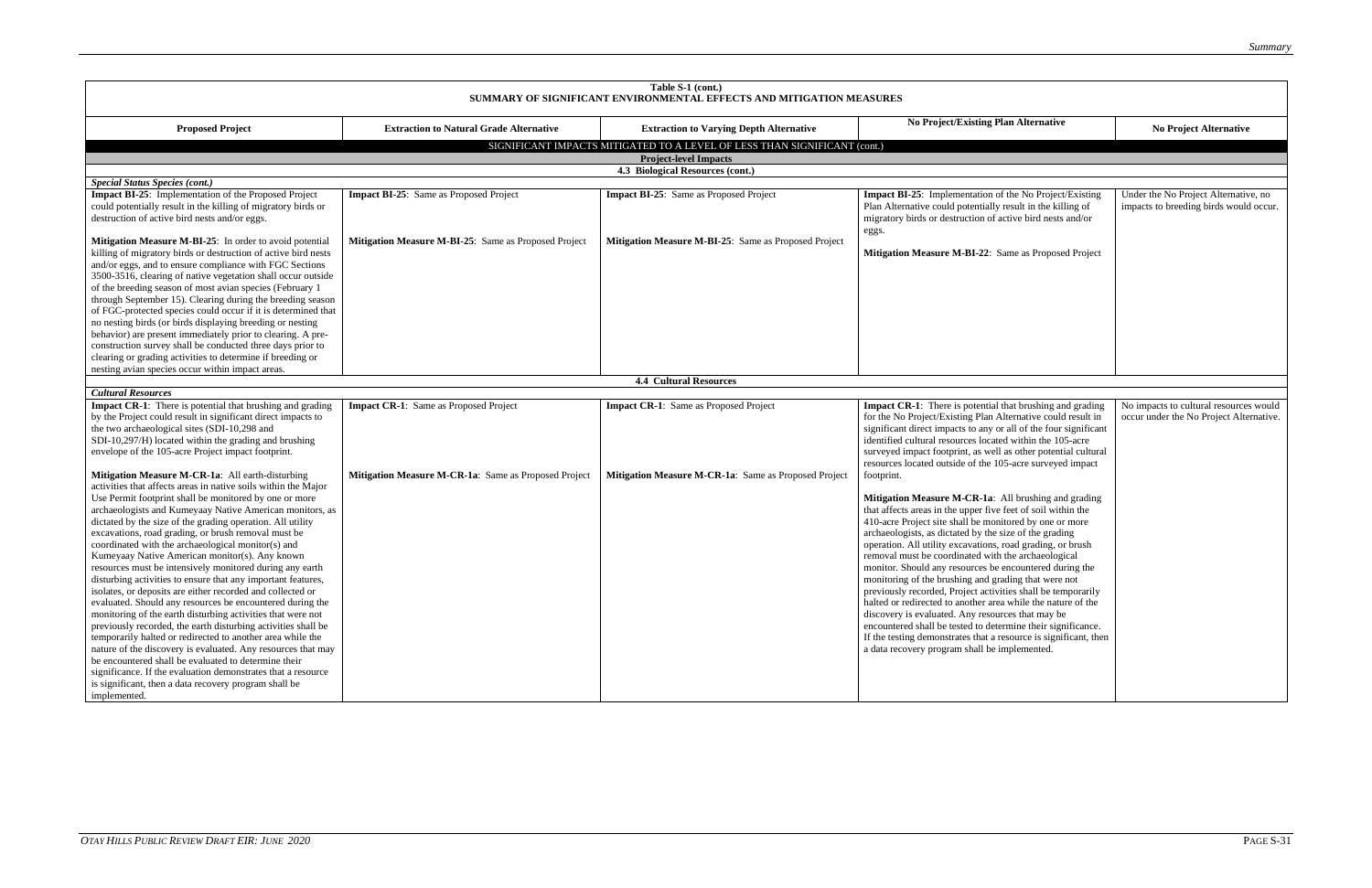| Table S-1 (cont.)<br>SUMMARY OF SIGNIFICANT ENVIRONMENTAL EFFECTS AND MITIGATION MEASURES                                                                                                                                                                                                                                                                                                                                                                                                                                                                                                                                                                                                                                                                                                                                                                                                                                                                                                                                                                                                                                                                                                   |                                                      |                                                                           |                                                                                                                                                                                                                                                                                                                                                                                                                                                                                                                                                                                                                                                                                                                                                                                                                                                                           |                                                                    |
|---------------------------------------------------------------------------------------------------------------------------------------------------------------------------------------------------------------------------------------------------------------------------------------------------------------------------------------------------------------------------------------------------------------------------------------------------------------------------------------------------------------------------------------------------------------------------------------------------------------------------------------------------------------------------------------------------------------------------------------------------------------------------------------------------------------------------------------------------------------------------------------------------------------------------------------------------------------------------------------------------------------------------------------------------------------------------------------------------------------------------------------------------------------------------------------------|------------------------------------------------------|---------------------------------------------------------------------------|---------------------------------------------------------------------------------------------------------------------------------------------------------------------------------------------------------------------------------------------------------------------------------------------------------------------------------------------------------------------------------------------------------------------------------------------------------------------------------------------------------------------------------------------------------------------------------------------------------------------------------------------------------------------------------------------------------------------------------------------------------------------------------------------------------------------------------------------------------------------------|--------------------------------------------------------------------|
| <b>Proposed Project</b>                                                                                                                                                                                                                                                                                                                                                                                                                                                                                                                                                                                                                                                                                                                                                                                                                                                                                                                                                                                                                                                                                                                                                                     | <b>Extraction to Natural Grade Alternative</b>       | <b>Extraction to Varying Depth Alternative</b>                            | No Project/Existing Plan Alternative                                                                                                                                                                                                                                                                                                                                                                                                                                                                                                                                                                                                                                                                                                                                                                                                                                      | No Project Alternative                                             |
|                                                                                                                                                                                                                                                                                                                                                                                                                                                                                                                                                                                                                                                                                                                                                                                                                                                                                                                                                                                                                                                                                                                                                                                             |                                                      | SIGNIFICANT IMPACTS MITIGATED TO A LEVEL OF LESS THAN SIGNIFICANT (cont.) |                                                                                                                                                                                                                                                                                                                                                                                                                                                                                                                                                                                                                                                                                                                                                                                                                                                                           |                                                                    |
|                                                                                                                                                                                                                                                                                                                                                                                                                                                                                                                                                                                                                                                                                                                                                                                                                                                                                                                                                                                                                                                                                                                                                                                             |                                                      | <b>Project-level Impacts</b>                                              |                                                                                                                                                                                                                                                                                                                                                                                                                                                                                                                                                                                                                                                                                                                                                                                                                                                                           |                                                                    |
|                                                                                                                                                                                                                                                                                                                                                                                                                                                                                                                                                                                                                                                                                                                                                                                                                                                                                                                                                                                                                                                                                                                                                                                             |                                                      | 4.3 Biological Resources (cont.)                                          |                                                                                                                                                                                                                                                                                                                                                                                                                                                                                                                                                                                                                                                                                                                                                                                                                                                                           |                                                                    |
| <b>Special Status Species (cont.)</b>                                                                                                                                                                                                                                                                                                                                                                                                                                                                                                                                                                                                                                                                                                                                                                                                                                                                                                                                                                                                                                                                                                                                                       |                                                      |                                                                           |                                                                                                                                                                                                                                                                                                                                                                                                                                                                                                                                                                                                                                                                                                                                                                                                                                                                           |                                                                    |
| <b>Impact BI-25:</b> Implementation of the Proposed Project<br>could potentially result in the killing of migratory birds or<br>destruction of active bird nests and/or eggs.                                                                                                                                                                                                                                                                                                                                                                                                                                                                                                                                                                                                                                                                                                                                                                                                                                                                                                                                                                                                               | <b>Impact BI-25:</b> Same as Proposed Project        | <b>Impact BI-25:</b> Same as Proposed Project                             | <b>Impact BI-25:</b> Implementation of the No Project/Existing<br>Plan Alternative could potentially result in the killing of<br>migratory birds or destruction of active bird nests and/or<br>eggs.                                                                                                                                                                                                                                                                                                                                                                                                                                                                                                                                                                                                                                                                      | Under the No Project Alternativ<br>impacts to breeding birds would |
| Mitigation Measure M-BI-25: In order to avoid potential<br>killing of migratory birds or destruction of active bird nests<br>and/or eggs, and to ensure compliance with FGC Sections<br>3500-3516, clearing of native vegetation shall occur outside<br>of the breeding season of most avian species (February 1<br>through September 15). Clearing during the breeding season<br>of FGC-protected species could occur if it is determined that<br>no nesting birds (or birds displaying breeding or nesting<br>behavior) are present immediately prior to clearing. A pre-<br>construction survey shall be conducted three days prior to<br>clearing or grading activities to determine if breeding or                                                                                                                                                                                                                                                                                                                                                                                                                                                                                     | Mitigation Measure M-BI-25: Same as Proposed Project | Mitigation Measure M-BI-25: Same as Proposed Project                      | Mitigation Measure M-BI-22: Same as Proposed Project                                                                                                                                                                                                                                                                                                                                                                                                                                                                                                                                                                                                                                                                                                                                                                                                                      |                                                                    |
| nesting avian species occur within impact areas.                                                                                                                                                                                                                                                                                                                                                                                                                                                                                                                                                                                                                                                                                                                                                                                                                                                                                                                                                                                                                                                                                                                                            |                                                      |                                                                           |                                                                                                                                                                                                                                                                                                                                                                                                                                                                                                                                                                                                                                                                                                                                                                                                                                                                           |                                                                    |
|                                                                                                                                                                                                                                                                                                                                                                                                                                                                                                                                                                                                                                                                                                                                                                                                                                                                                                                                                                                                                                                                                                                                                                                             |                                                      | <b>4.4 Cultural Resources</b>                                             |                                                                                                                                                                                                                                                                                                                                                                                                                                                                                                                                                                                                                                                                                                                                                                                                                                                                           |                                                                    |
| <b>Cultural Resources</b>                                                                                                                                                                                                                                                                                                                                                                                                                                                                                                                                                                                                                                                                                                                                                                                                                                                                                                                                                                                                                                                                                                                                                                   |                                                      |                                                                           |                                                                                                                                                                                                                                                                                                                                                                                                                                                                                                                                                                                                                                                                                                                                                                                                                                                                           |                                                                    |
| Impact CR-1: There is potential that brushing and grading<br>by the Project could result in significant direct impacts to<br>the two archaeological sites (SDI-10,298 and<br>SDI-10,297/H) located within the grading and brushing<br>envelope of the 105-acre Project impact footprint.                                                                                                                                                                                                                                                                                                                                                                                                                                                                                                                                                                                                                                                                                                                                                                                                                                                                                                    | <b>Impact CR-1:</b> Same as Proposed Project         | <b>Impact CR-1:</b> Same as Proposed Project                              | <b>Impact CR-1:</b> There is potential that brushing and grading<br>for the No Project/Existing Plan Alternative could result in<br>significant direct impacts to any or all of the four significant<br>identified cultural resources located within the 105-acre<br>surveyed impact footprint, as well as other potential cultural<br>resources located outside of the 105-acre surveyed impact                                                                                                                                                                                                                                                                                                                                                                                                                                                                          | No impacts to cultural resource<br>occur under the No Project Alte |
| Mitigation Measure M-CR-1a: All earth-disturbing<br>activities that affects areas in native soils within the Major<br>Use Permit footprint shall be monitored by one or more<br>archaeologists and Kumeyaay Native American monitors, as<br>dictated by the size of the grading operation. All utility<br>excavations, road grading, or brush removal must be<br>coordinated with the archaeological monitor(s) and<br>Kumeyaay Native American monitor(s). Any known<br>resources must be intensively monitored during any earth<br>disturbing activities to ensure that any important features,<br>isolates, or deposits are either recorded and collected or<br>evaluated. Should any resources be encountered during the<br>monitoring of the earth disturbing activities that were not<br>previously recorded, the earth disturbing activities shall be<br>temporarily halted or redirected to another area while the<br>nature of the discovery is evaluated. Any resources that may<br>be encountered shall be evaluated to determine their<br>significance. If the evaluation demonstrates that a resource<br>is significant, then a data recovery program shall be<br>implemented. | Mitigation Measure M-CR-1a: Same as Proposed Project | Mitigation Measure M-CR-1a: Same as Proposed Project                      | footprint.<br>Mitigation Measure M-CR-1a: All brushing and grading<br>that affects areas in the upper five feet of soil within the<br>410-acre Project site shall be monitored by one or more<br>archaeologists, as dictated by the size of the grading<br>operation. All utility excavations, road grading, or brush<br>removal must be coordinated with the archaeological<br>monitor. Should any resources be encountered during the<br>monitoring of the brushing and grading that were not<br>previously recorded, Project activities shall be temporarily<br>halted or redirected to another area while the nature of the<br>discovery is evaluated. Any resources that may be<br>encountered shall be tested to determine their significance.<br>If the testing demonstrates that a resource is significant, then<br>a data recovery program shall be implemented. |                                                                    |

| n Alternative                                                                                                                                                                                                                                                                                                                     | <b>No Project Alternative</b>                                                     |
|-----------------------------------------------------------------------------------------------------------------------------------------------------------------------------------------------------------------------------------------------------------------------------------------------------------------------------------|-----------------------------------------------------------------------------------|
|                                                                                                                                                                                                                                                                                                                                   |                                                                                   |
|                                                                                                                                                                                                                                                                                                                                   |                                                                                   |
| he No Project/Existing<br>esult in the killing of<br>ive bird nests and/or                                                                                                                                                                                                                                                        | Under the No Project Alternative, no<br>impacts to breeding birds would occur.    |
| ne as Proposed Project                                                                                                                                                                                                                                                                                                            |                                                                                   |
|                                                                                                                                                                                                                                                                                                                                   |                                                                                   |
|                                                                                                                                                                                                                                                                                                                                   |                                                                                   |
| at brushing and grading<br>ernative could result in<br>all of the four significant<br>within the 105-acre<br>s other potential cultural<br>-acre surveyed impact                                                                                                                                                                  | No impacts to cultural resources would<br>occur under the No Project Alternative. |
| Il brushing and grading<br>et of soil within the<br>bred by one or more<br>the grading<br>ad grading, or brush<br>ne archaeological<br>ncountered during the<br>ing that were not<br>es shall be temporarily<br>while the nature of the<br>es that may be<br>nine their significance.<br>ource is significant, then<br>plemented. |                                                                                   |
|                                                                                                                                                                                                                                                                                                                                   |                                                                                   |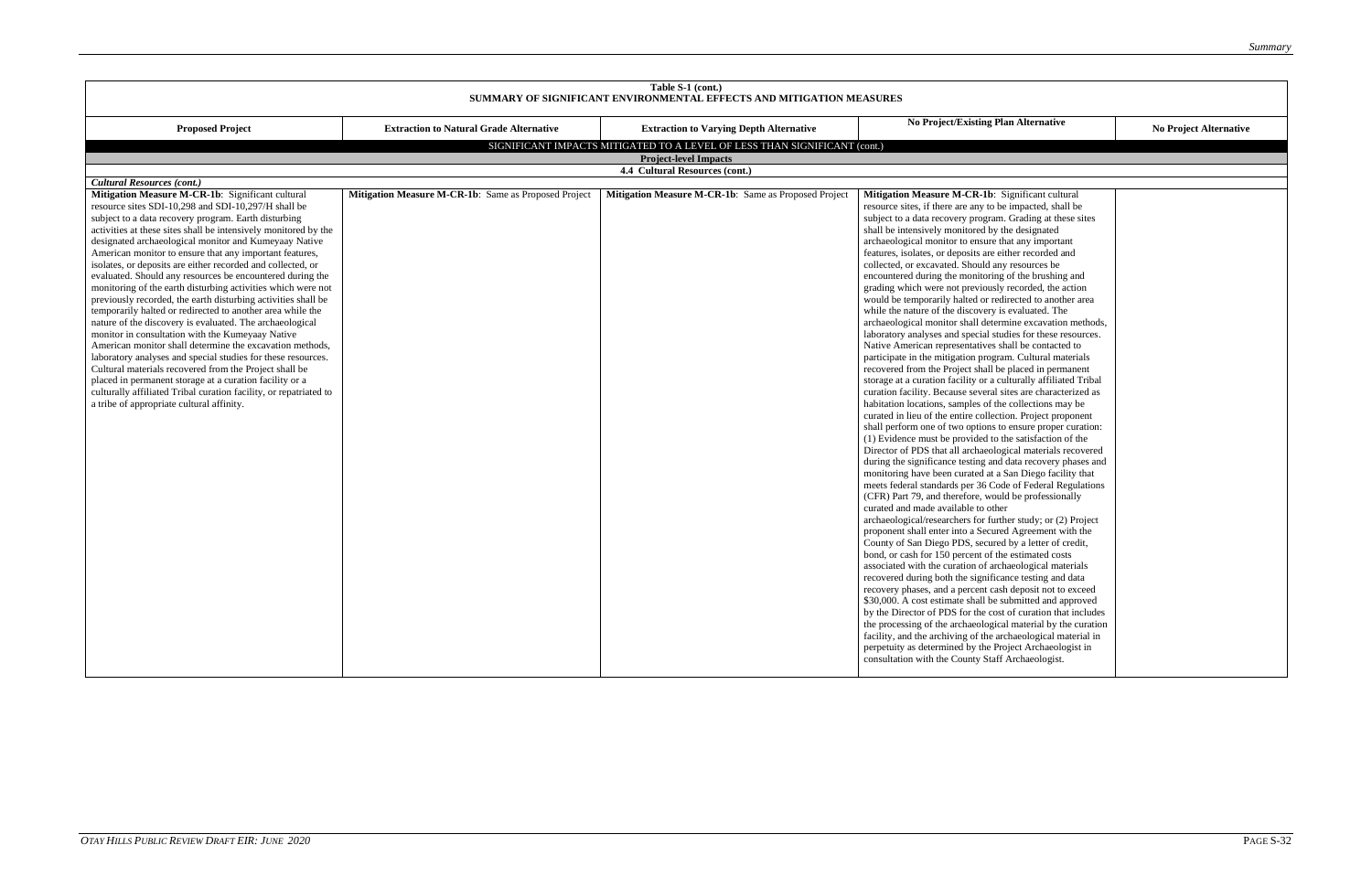| Table S-1 (cont.)<br>SUMMARY OF SIGNIFICANT ENVIRONMENTAL EFFECTS AND MITIGATION MEASURES                               |                                                      |                                                                           |                                                                                                                            |                        |
|-------------------------------------------------------------------------------------------------------------------------|------------------------------------------------------|---------------------------------------------------------------------------|----------------------------------------------------------------------------------------------------------------------------|------------------------|
| <b>Proposed Project</b>                                                                                                 | <b>Extraction to Natural Grade Alternative</b>       | <b>Extraction to Varying Depth Alternative</b>                            | No Project/Existing Plan Alternative                                                                                       | No Project Alternative |
|                                                                                                                         |                                                      | SIGNIFICANT IMPACTS MITIGATED TO A LEVEL OF LESS THAN SIGNIFICANT (cont.) |                                                                                                                            |                        |
|                                                                                                                         |                                                      | <b>Project-level Impacts</b>                                              |                                                                                                                            |                        |
|                                                                                                                         |                                                      | 4.4 Cultural Resources (cont.)                                            |                                                                                                                            |                        |
| <b>Cultural Resources (cont.)</b>                                                                                       |                                                      |                                                                           |                                                                                                                            |                        |
| Mitigation Measure M-CR-1b: Significant cultural                                                                        | Mitigation Measure M-CR-1b: Same as Proposed Project | Mitigation Measure M-CR-1b: Same as Proposed Project                      | Mitigation Measure M-CR-1b: Significant cultural                                                                           |                        |
| resource sites SDI-10,298 and SDI-10,297/H shall be                                                                     |                                                      |                                                                           | resource sites, if there are any to be impacted, shall be                                                                  |                        |
| subject to a data recovery program. Earth disturbing<br>activities at these sites shall be intensively monitored by the |                                                      |                                                                           | subject to a data recovery program. Grading at these sites<br>shall be intensively monitored by the designated             |                        |
| designated archaeological monitor and Kumeyaay Native                                                                   |                                                      |                                                                           | archaeological monitor to ensure that any important                                                                        |                        |
| American monitor to ensure that any important features,                                                                 |                                                      |                                                                           | features, isolates, or deposits are either recorded and                                                                    |                        |
| isolates, or deposits are either recorded and collected, or                                                             |                                                      |                                                                           | collected, or excavated. Should any resources be                                                                           |                        |
| evaluated. Should any resources be encountered during the                                                               |                                                      |                                                                           | encountered during the monitoring of the brushing and                                                                      |                        |
| monitoring of the earth disturbing activities which were not                                                            |                                                      |                                                                           | grading which were not previously recorded, the action                                                                     |                        |
| previously recorded, the earth disturbing activities shall be                                                           |                                                      |                                                                           | would be temporarily halted or redirected to another area                                                                  |                        |
| temporarily halted or redirected to another area while the                                                              |                                                      |                                                                           | while the nature of the discovery is evaluated. The                                                                        |                        |
| nature of the discovery is evaluated. The archaeological                                                                |                                                      |                                                                           | archaeological monitor shall determine excavation methods,                                                                 |                        |
| monitor in consultation with the Kumeyaay Native                                                                        |                                                      |                                                                           | laboratory analyses and special studies for these resources.                                                               |                        |
| American monitor shall determine the excavation methods,                                                                |                                                      |                                                                           | Native American representatives shall be contacted to                                                                      |                        |
| laboratory analyses and special studies for these resources.                                                            |                                                      |                                                                           | participate in the mitigation program. Cultural materials                                                                  |                        |
| Cultural materials recovered from the Project shall be                                                                  |                                                      |                                                                           | recovered from the Project shall be placed in permanent                                                                    |                        |
| placed in permanent storage at a curation facility or a                                                                 |                                                      |                                                                           | storage at a curation facility or a culturally affiliated Tribal                                                           |                        |
| culturally affiliated Tribal curation facility, or repatriated to                                                       |                                                      |                                                                           | curation facility. Because several sites are characterized as                                                              |                        |
| a tribe of appropriate cultural affinity.                                                                               |                                                      |                                                                           | habitation locations, samples of the collections may be                                                                    |                        |
|                                                                                                                         |                                                      |                                                                           | curated in lieu of the entire collection. Project proponent<br>shall perform one of two options to ensure proper curation: |                        |
|                                                                                                                         |                                                      |                                                                           | (1) Evidence must be provided to the satisfaction of the                                                                   |                        |
|                                                                                                                         |                                                      |                                                                           | Director of PDS that all archaeological materials recovered                                                                |                        |
|                                                                                                                         |                                                      |                                                                           | during the significance testing and data recovery phases and                                                               |                        |
|                                                                                                                         |                                                      |                                                                           | monitoring have been curated at a San Diego facility that                                                                  |                        |
|                                                                                                                         |                                                      |                                                                           | meets federal standards per 36 Code of Federal Regulations                                                                 |                        |
|                                                                                                                         |                                                      |                                                                           | (CFR) Part 79, and therefore, would be professionally                                                                      |                        |
|                                                                                                                         |                                                      |                                                                           | curated and made available to other                                                                                        |                        |
|                                                                                                                         |                                                      |                                                                           | archaeological/researchers for further study; or (2) Project                                                               |                        |
|                                                                                                                         |                                                      |                                                                           | proponent shall enter into a Secured Agreement with the                                                                    |                        |
|                                                                                                                         |                                                      |                                                                           | County of San Diego PDS, secured by a letter of credit,                                                                    |                        |
|                                                                                                                         |                                                      |                                                                           | bond, or cash for 150 percent of the estimated costs                                                                       |                        |
|                                                                                                                         |                                                      |                                                                           | associated with the curation of archaeological materials                                                                   |                        |
|                                                                                                                         |                                                      |                                                                           | recovered during both the significance testing and data                                                                    |                        |
|                                                                                                                         |                                                      |                                                                           | recovery phases, and a percent cash deposit not to exceed<br>\$30,000. A cost estimate shall be submitted and approved     |                        |
|                                                                                                                         |                                                      |                                                                           | by the Director of PDS for the cost of curation that includes                                                              |                        |
|                                                                                                                         |                                                      |                                                                           | the processing of the archaeological material by the curation                                                              |                        |
|                                                                                                                         |                                                      |                                                                           | facility, and the archiving of the archaeological material in                                                              |                        |
|                                                                                                                         |                                                      |                                                                           | perpetuity as determined by the Project Archaeologist in                                                                   |                        |
|                                                                                                                         |                                                      |                                                                           | consultation with the County Staff Archaeologist.                                                                          |                        |
|                                                                                                                         |                                                      |                                                                           |                                                                                                                            |                        |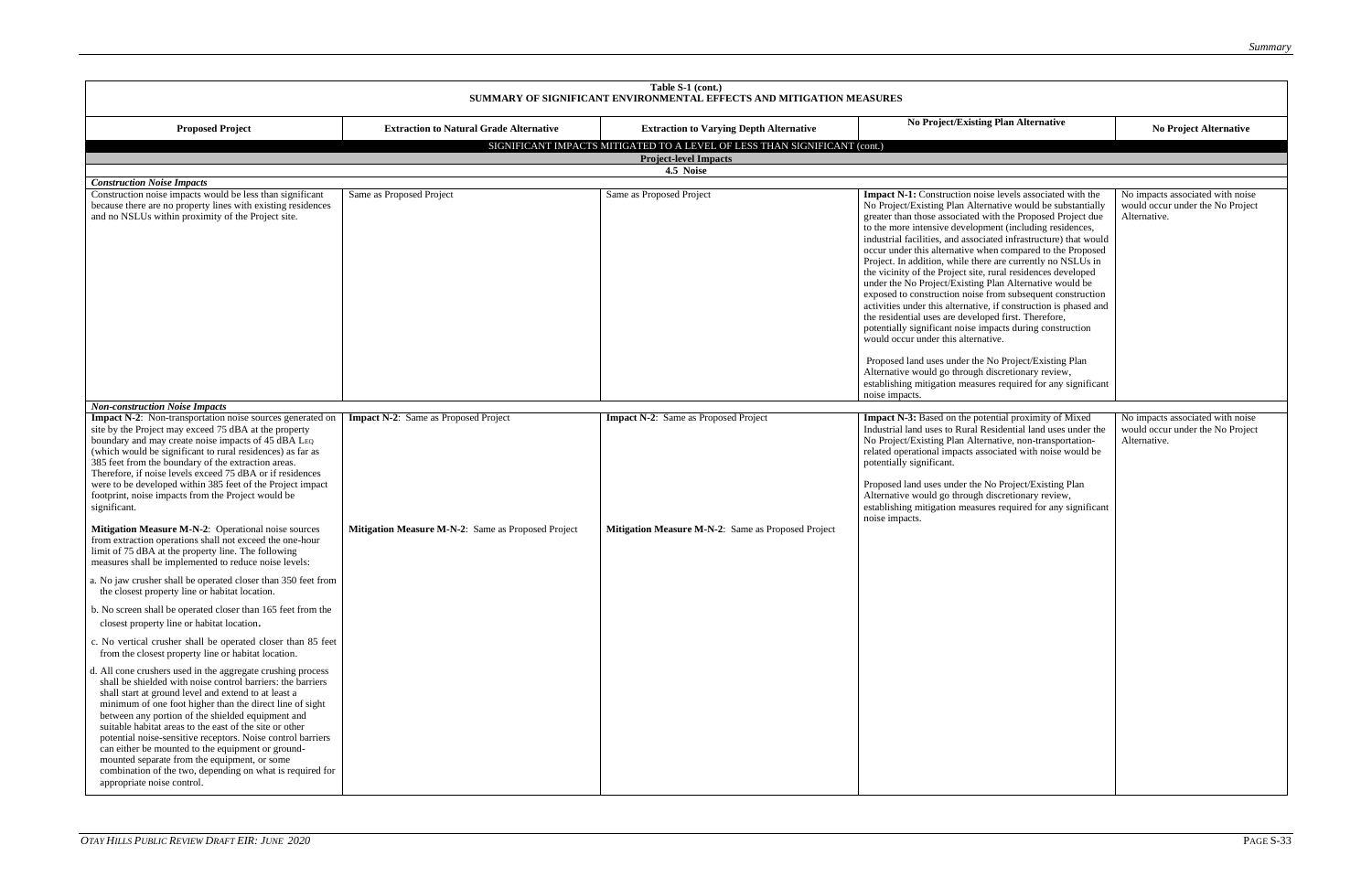| Table S-1 (cont.)<br>SUMMARY OF SIGNIFICANT ENVIRONMENTAL EFFECTS AND MITIGATION MEASURES                                                                                                                                                                                                                                                                                                                                                                                                                                                                                                                                     |                                                    |                                                                           |                                                                                                                                                                                                                                                                                                                                                                                                                                                                                                                                                                                                                                                                                                                                                                                                                                                                                                                                                                                                     |                                                                                      |
|-------------------------------------------------------------------------------------------------------------------------------------------------------------------------------------------------------------------------------------------------------------------------------------------------------------------------------------------------------------------------------------------------------------------------------------------------------------------------------------------------------------------------------------------------------------------------------------------------------------------------------|----------------------------------------------------|---------------------------------------------------------------------------|-----------------------------------------------------------------------------------------------------------------------------------------------------------------------------------------------------------------------------------------------------------------------------------------------------------------------------------------------------------------------------------------------------------------------------------------------------------------------------------------------------------------------------------------------------------------------------------------------------------------------------------------------------------------------------------------------------------------------------------------------------------------------------------------------------------------------------------------------------------------------------------------------------------------------------------------------------------------------------------------------------|--------------------------------------------------------------------------------------|
| <b>Proposed Project</b>                                                                                                                                                                                                                                                                                                                                                                                                                                                                                                                                                                                                       | <b>Extraction to Natural Grade Alternative</b>     | <b>Extraction to Varying Depth Alternative</b>                            | No Project/Existing Plan Alternative                                                                                                                                                                                                                                                                                                                                                                                                                                                                                                                                                                                                                                                                                                                                                                                                                                                                                                                                                                | No Project Alternative                                                               |
|                                                                                                                                                                                                                                                                                                                                                                                                                                                                                                                                                                                                                               |                                                    | SIGNIFICANT IMPACTS MITIGATED TO A LEVEL OF LESS THAN SIGNIFICANT (cont.) |                                                                                                                                                                                                                                                                                                                                                                                                                                                                                                                                                                                                                                                                                                                                                                                                                                                                                                                                                                                                     |                                                                                      |
|                                                                                                                                                                                                                                                                                                                                                                                                                                                                                                                                                                                                                               |                                                    | <b>Project-level Impacts</b><br>4.5 Noise                                 |                                                                                                                                                                                                                                                                                                                                                                                                                                                                                                                                                                                                                                                                                                                                                                                                                                                                                                                                                                                                     |                                                                                      |
| <b>Construction Noise Impacts</b>                                                                                                                                                                                                                                                                                                                                                                                                                                                                                                                                                                                             |                                                    |                                                                           |                                                                                                                                                                                                                                                                                                                                                                                                                                                                                                                                                                                                                                                                                                                                                                                                                                                                                                                                                                                                     |                                                                                      |
| Construction noise impacts would be less than significant<br>because there are no property lines with existing residences<br>and no NSLUs within proximity of the Project site.                                                                                                                                                                                                                                                                                                                                                                                                                                               | Same as Proposed Project                           | Same as Proposed Project                                                  | <b>Impact N-1:</b> Construction noise levels associated with the<br>No Project/Existing Plan Alternative would be substantially<br>greater than those associated with the Proposed Project due<br>to the more intensive development (including residences,<br>industrial facilities, and associated infrastructure) that would<br>occur under this alternative when compared to the Proposed<br>Project. In addition, while there are currently no NSLUs in<br>the vicinity of the Project site, rural residences developed<br>under the No Project/Existing Plan Alternative would be<br>exposed to construction noise from subsequent construction<br>activities under this alternative, if construction is phased and<br>the residential uses are developed first. Therefore,<br>potentially significant noise impacts during construction<br>would occur under this alternative.<br>Proposed land uses under the No Project/Existing Plan<br>Alternative would go through discretionary review, | No impacts associated with noise<br>would occur under the No Project<br>Alternative. |
|                                                                                                                                                                                                                                                                                                                                                                                                                                                                                                                                                                                                                               |                                                    |                                                                           | establishing mitigation measures required for any significant<br>noise impacts.                                                                                                                                                                                                                                                                                                                                                                                                                                                                                                                                                                                                                                                                                                                                                                                                                                                                                                                     |                                                                                      |
| <b>Non-construction Noise Impacts</b>                                                                                                                                                                                                                                                                                                                                                                                                                                                                                                                                                                                         |                                                    |                                                                           |                                                                                                                                                                                                                                                                                                                                                                                                                                                                                                                                                                                                                                                                                                                                                                                                                                                                                                                                                                                                     |                                                                                      |
| Impact N-2: Non-transportation noise sources generated on<br>site by the Project may exceed 75 dBA at the property<br>boundary and may create noise impacts of 45 dBA LEQ<br>(which would be significant to rural residences) as far as<br>385 feet from the boundary of the extraction areas.<br>Therefore, if noise levels exceed 75 dBA or if residences<br>were to be developed within 385 feet of the Project impact<br>footprint, noise impacts from the Project would be<br>significant.                                                                                                                               | <b>Impact N-2:</b> Same as Proposed Project        | <b>Impact N-2:</b> Same as Proposed Project                               | Impact N-3: Based on the potential proximity of Mixed<br>Industrial land uses to Rural Residential land uses under the<br>No Project/Existing Plan Alternative, non-transportation-<br>related operational impacts associated with noise would be<br>potentially significant.<br>Proposed land uses under the No Project/Existing Plan<br>Alternative would go through discretionary review,<br>establishing mitigation measures required for any significant<br>noise impacts.                                                                                                                                                                                                                                                                                                                                                                                                                                                                                                                     | No impacts associated with noise<br>would occur under the No Project<br>Alternative. |
| Mitigation Measure M-N-2: Operational noise sources<br>from extraction operations shall not exceed the one-hour<br>limit of 75 dBA at the property line. The following<br>measures shall be implemented to reduce noise levels:                                                                                                                                                                                                                                                                                                                                                                                               | Mitigation Measure M-N-2: Same as Proposed Project | Mitigation Measure M-N-2: Same as Proposed Project                        |                                                                                                                                                                                                                                                                                                                                                                                                                                                                                                                                                                                                                                                                                                                                                                                                                                                                                                                                                                                                     |                                                                                      |
| a. No jaw crusher shall be operated closer than 350 feet from<br>the closest property line or habitat location.                                                                                                                                                                                                                                                                                                                                                                                                                                                                                                               |                                                    |                                                                           |                                                                                                                                                                                                                                                                                                                                                                                                                                                                                                                                                                                                                                                                                                                                                                                                                                                                                                                                                                                                     |                                                                                      |
| b. No screen shall be operated closer than 165 feet from the<br>closest property line or habitat location.                                                                                                                                                                                                                                                                                                                                                                                                                                                                                                                    |                                                    |                                                                           |                                                                                                                                                                                                                                                                                                                                                                                                                                                                                                                                                                                                                                                                                                                                                                                                                                                                                                                                                                                                     |                                                                                      |
| c. No vertical crusher shall be operated closer than 85 feet<br>from the closest property line or habitat location.                                                                                                                                                                                                                                                                                                                                                                                                                                                                                                           |                                                    |                                                                           |                                                                                                                                                                                                                                                                                                                                                                                                                                                                                                                                                                                                                                                                                                                                                                                                                                                                                                                                                                                                     |                                                                                      |
| d. All cone crushers used in the aggregate crushing process<br>shall be shielded with noise control barriers: the barriers<br>shall start at ground level and extend to at least a<br>minimum of one foot higher than the direct line of sight<br>between any portion of the shielded equipment and<br>suitable habitat areas to the east of the site or other<br>potential noise-sensitive receptors. Noise control barriers<br>can either be mounted to the equipment or ground-<br>mounted separate from the equipment, or some<br>combination of the two, depending on what is required for<br>appropriate noise control. |                                                    |                                                                           |                                                                                                                                                                                                                                                                                                                                                                                                                                                                                                                                                                                                                                                                                                                                                                                                                                                                                                                                                                                                     |                                                                                      |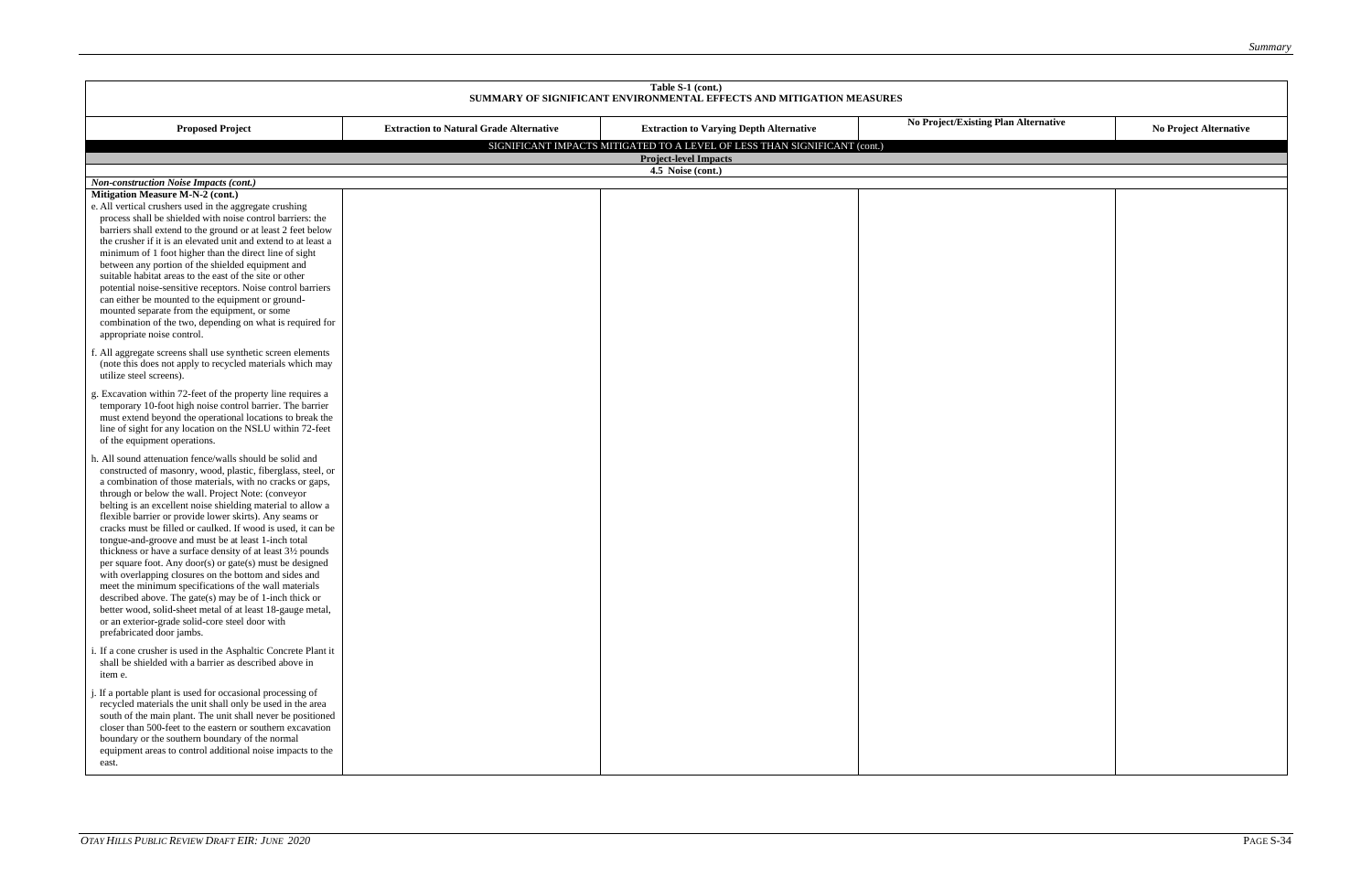| n Alternative | No Project Alternative |
|---------------|------------------------|
|               |                        |
|               |                        |
|               |                        |
|               |                        |
|               |                        |
|               |                        |
|               |                        |
|               |                        |
|               |                        |
|               |                        |
|               |                        |
|               |                        |
|               |                        |
|               |                        |
|               |                        |
|               |                        |
|               |                        |
|               |                        |
|               |                        |
|               |                        |
|               |                        |
|               |                        |
|               |                        |
|               |                        |
|               |                        |
|               |                        |
|               |                        |
|               |                        |
|               |                        |
|               |                        |
|               |                        |
|               |                        |
|               |                        |
|               |                        |
|               |                        |
|               |                        |
|               |                        |
|               |                        |
|               |                        |
|               |                        |
|               |                        |
|               |                        |
|               |                        |

| Table S-1 (cont.)<br>SUMMARY OF SIGNIFICANT ENVIRONMENTAL EFFECTS AND MITIGATION MEASURES                                                                                                                                                                                                                                                                                                                                                                                                                                                                                                                                                                                                                                                                                                                                                                                                                                                         |                                                |                                                                           |                                      |                        |
|---------------------------------------------------------------------------------------------------------------------------------------------------------------------------------------------------------------------------------------------------------------------------------------------------------------------------------------------------------------------------------------------------------------------------------------------------------------------------------------------------------------------------------------------------------------------------------------------------------------------------------------------------------------------------------------------------------------------------------------------------------------------------------------------------------------------------------------------------------------------------------------------------------------------------------------------------|------------------------------------------------|---------------------------------------------------------------------------|--------------------------------------|------------------------|
| <b>Proposed Project</b>                                                                                                                                                                                                                                                                                                                                                                                                                                                                                                                                                                                                                                                                                                                                                                                                                                                                                                                           | <b>Extraction to Natural Grade Alternative</b> | <b>Extraction to Varying Depth Alternative</b>                            | No Project/Existing Plan Alternative | No Project Alternative |
|                                                                                                                                                                                                                                                                                                                                                                                                                                                                                                                                                                                                                                                                                                                                                                                                                                                                                                                                                   |                                                | SIGNIFICANT IMPACTS MITIGATED TO A LEVEL OF LESS THAN SIGNIFICANT (cont.) |                                      |                        |
|                                                                                                                                                                                                                                                                                                                                                                                                                                                                                                                                                                                                                                                                                                                                                                                                                                                                                                                                                   |                                                | <b>Project-level Impacts</b><br>4.5 Noise (cont.)                         |                                      |                        |
| <b>Non-construction Noise Impacts (cont.)</b>                                                                                                                                                                                                                                                                                                                                                                                                                                                                                                                                                                                                                                                                                                                                                                                                                                                                                                     |                                                |                                                                           |                                      |                        |
| <b>Mitigation Measure M-N-2 (cont.)</b><br>e. All vertical crushers used in the aggregate crushing<br>process shall be shielded with noise control barriers: the<br>barriers shall extend to the ground or at least 2 feet below<br>the crusher if it is an elevated unit and extend to at least a<br>minimum of 1 foot higher than the direct line of sight                                                                                                                                                                                                                                                                                                                                                                                                                                                                                                                                                                                      |                                                |                                                                           |                                      |                        |
| between any portion of the shielded equipment and<br>suitable habitat areas to the east of the site or other<br>potential noise-sensitive receptors. Noise control barriers<br>can either be mounted to the equipment or ground-<br>mounted separate from the equipment, or some<br>combination of the two, depending on what is required for<br>appropriate noise control.                                                                                                                                                                                                                                                                                                                                                                                                                                                                                                                                                                       |                                                |                                                                           |                                      |                        |
| f. All aggregate screens shall use synthetic screen elements<br>(note this does not apply to recycled materials which may<br>utilize steel screens).                                                                                                                                                                                                                                                                                                                                                                                                                                                                                                                                                                                                                                                                                                                                                                                              |                                                |                                                                           |                                      |                        |
| g. Excavation within 72-feet of the property line requires a<br>temporary 10-foot high noise control barrier. The barrier<br>must extend beyond the operational locations to break the<br>line of sight for any location on the NSLU within 72-feet<br>of the equipment operations.                                                                                                                                                                                                                                                                                                                                                                                                                                                                                                                                                                                                                                                               |                                                |                                                                           |                                      |                        |
| h. All sound attenuation fence/walls should be solid and<br>constructed of masonry, wood, plastic, fiberglass, steel, or<br>a combination of those materials, with no cracks or gaps,<br>through or below the wall. Project Note: (conveyor<br>belting is an excellent noise shielding material to allow a<br>flexible barrier or provide lower skirts). Any seams or<br>cracks must be filled or caulked. If wood is used, it can be<br>tongue-and-groove and must be at least 1-inch total<br>thickness or have a surface density of at least 31/2 pounds<br>per square foot. Any door(s) or gate(s) must be designed<br>with overlapping closures on the bottom and sides and<br>meet the minimum specifications of the wall materials<br>described above. The gate(s) may be of 1-inch thick or<br>better wood, solid-sheet metal of at least 18-gauge metal,<br>or an exterior-grade solid-core steel door with<br>prefabricated door jambs. |                                                |                                                                           |                                      |                        |
| i. If a cone crusher is used in the Asphaltic Concrete Plant it<br>shall be shielded with a barrier as described above in<br>item e.                                                                                                                                                                                                                                                                                                                                                                                                                                                                                                                                                                                                                                                                                                                                                                                                              |                                                |                                                                           |                                      |                        |
| j. If a portable plant is used for occasional processing of<br>recycled materials the unit shall only be used in the area<br>south of the main plant. The unit shall never be positioned<br>closer than 500-feet to the eastern or southern excavation<br>boundary or the southern boundary of the normal<br>equipment areas to control additional noise impacts to the<br>east.                                                                                                                                                                                                                                                                                                                                                                                                                                                                                                                                                                  |                                                |                                                                           |                                      |                        |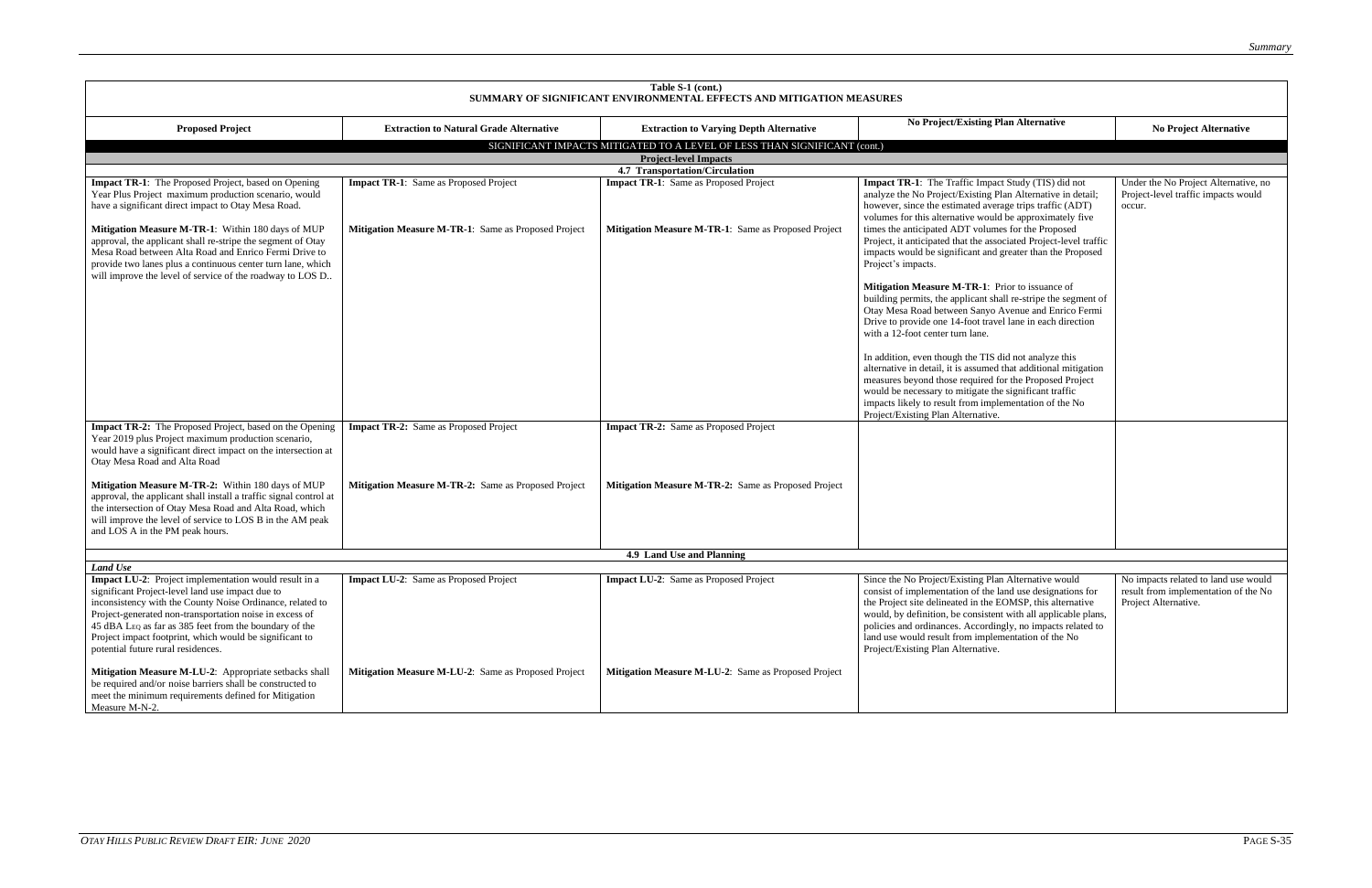|                                                                                                                                                                                                                                                                                                                                                                                                          |                                                     | Table S-1 (cont.)<br>SUMMARY OF SIGNIFICANT ENVIRONMENTAL EFFECTS AND MITIGATION MEASURES |                                                                                                                                                                                                                                                                                                                                                                                                                |                                                                                           |
|----------------------------------------------------------------------------------------------------------------------------------------------------------------------------------------------------------------------------------------------------------------------------------------------------------------------------------------------------------------------------------------------------------|-----------------------------------------------------|-------------------------------------------------------------------------------------------|----------------------------------------------------------------------------------------------------------------------------------------------------------------------------------------------------------------------------------------------------------------------------------------------------------------------------------------------------------------------------------------------------------------|-------------------------------------------------------------------------------------------|
| <b>Proposed Project</b>                                                                                                                                                                                                                                                                                                                                                                                  | <b>Extraction to Natural Grade Alternative</b>      | <b>Extraction to Varying Depth Alternative</b>                                            | No Project/Existing Plan Alternative                                                                                                                                                                                                                                                                                                                                                                           | No Project Alternative                                                                    |
|                                                                                                                                                                                                                                                                                                                                                                                                          |                                                     | SIGNIFICANT IMPACTS MITIGATED TO A LEVEL OF LESS THAN SIGNIFICANT (cont.)                 |                                                                                                                                                                                                                                                                                                                                                                                                                |                                                                                           |
|                                                                                                                                                                                                                                                                                                                                                                                                          |                                                     | <b>Project-level Impacts</b>                                                              |                                                                                                                                                                                                                                                                                                                                                                                                                |                                                                                           |
|                                                                                                                                                                                                                                                                                                                                                                                                          |                                                     | 4.7 Transportation/Circulation                                                            |                                                                                                                                                                                                                                                                                                                                                                                                                |                                                                                           |
| <b>Impact TR-1:</b> The Proposed Project, based on Opening<br>Year Plus Project maximum production scenario, would<br>have a significant direct impact to Otay Mesa Road.                                                                                                                                                                                                                                | <b>Impact TR-1:</b> Same as Proposed Project        | <b>Impact TR-1:</b> Same as Proposed Project                                              | <b>Impact TR-1:</b> The Traffic Impact Study (TIS) did not<br>analyze the No Project/Existing Plan Alternative in detail;<br>however, since the estimated average trips traffic (ADT)<br>volumes for this alternative would be approximately five                                                                                                                                                              | Under the No Project Alternativ<br>Project-level traffic impacts wo<br>occur.             |
| Mitigation Measure M-TR-1: Within 180 days of MUP<br>approval, the applicant shall re-stripe the segment of Otay<br>Mesa Road between Alta Road and Enrico Fermi Drive to<br>provide two lanes plus a continuous center turn lane, which<br>will improve the level of service of the roadway to LOS D                                                                                                    | Mitigation Measure M-TR-1: Same as Proposed Project | Mitigation Measure M-TR-1: Same as Proposed Project                                       | times the anticipated ADT volumes for the Proposed<br>Project, it anticipated that the associated Project-level traffic<br>impacts would be significant and greater than the Proposed<br>Project's impacts.                                                                                                                                                                                                    |                                                                                           |
|                                                                                                                                                                                                                                                                                                                                                                                                          |                                                     |                                                                                           | Mitigation Measure M-TR-1: Prior to issuance of<br>building permits, the applicant shall re-stripe the segment of<br>Otay Mesa Road between Sanyo Avenue and Enrico Fermi<br>Drive to provide one 14-foot travel lane in each direction<br>with a 12-foot center turn lane.                                                                                                                                    |                                                                                           |
|                                                                                                                                                                                                                                                                                                                                                                                                          |                                                     |                                                                                           | In addition, even though the TIS did not analyze this<br>alternative in detail, it is assumed that additional mitigation<br>measures beyond those required for the Proposed Project<br>would be necessary to mitigate the significant traffic<br>impacts likely to result from implementation of the No<br>Project/Existing Plan Alternative.                                                                  |                                                                                           |
| Impact TR-2: The Proposed Project, based on the Opening<br>Year 2019 plus Project maximum production scenario,<br>would have a significant direct impact on the intersection at<br>Otay Mesa Road and Alta Road                                                                                                                                                                                          | <b>Impact TR-2:</b> Same as Proposed Project        | <b>Impact TR-2:</b> Same as Proposed Project                                              |                                                                                                                                                                                                                                                                                                                                                                                                                |                                                                                           |
| Mitigation Measure M-TR-2: Within 180 days of MUP<br>approval, the applicant shall install a traffic signal control at<br>the intersection of Otay Mesa Road and Alta Road, which<br>will improve the level of service to LOS B in the AM peak<br>and LOS A in the PM peak hours.                                                                                                                        | Mitigation Measure M-TR-2: Same as Proposed Project | Mitigation Measure M-TR-2: Same as Proposed Project                                       |                                                                                                                                                                                                                                                                                                                                                                                                                |                                                                                           |
|                                                                                                                                                                                                                                                                                                                                                                                                          |                                                     | 4.9 Land Use and Planning                                                                 |                                                                                                                                                                                                                                                                                                                                                                                                                |                                                                                           |
| <b>Land Use</b>                                                                                                                                                                                                                                                                                                                                                                                          |                                                     |                                                                                           |                                                                                                                                                                                                                                                                                                                                                                                                                |                                                                                           |
| Impact LU-2: Project implementation would result in a<br>significant Project-level land use impact due to<br>inconsistency with the County Noise Ordinance, related to<br>Project-generated non-transportation noise in excess of<br>45 dBA L <sub>EQ</sub> as far as 385 feet from the boundary of the<br>Project impact footprint, which would be significant to<br>potential future rural residences. | <b>Impact LU-2:</b> Same as Proposed Project        | <b>Impact LU-2:</b> Same as Proposed Project                                              | Since the No Project/Existing Plan Alternative would<br>consist of implementation of the land use designations for<br>the Project site delineated in the EOMSP, this alternative<br>would, by definition, be consistent with all applicable plans,<br>policies and ordinances. Accordingly, no impacts related to<br>land use would result from implementation of the No<br>Project/Existing Plan Alternative. | No impacts related to land use<br>result from implementation of t<br>Project Alternative. |
| Mitigation Measure M-LU-2: Appropriate setbacks shall<br>be required and/or noise barriers shall be constructed to<br>meet the minimum requirements defined for Mitigation<br>Measure M-N-2.                                                                                                                                                                                                             | Mitigation Measure M-LU-2: Same as Proposed Project | Mitigation Measure M-LU-2: Same as Proposed Project                                       |                                                                                                                                                                                                                                                                                                                                                                                                                |                                                                                           |

| n Alternative                                                                                                                                                                    | <b>No Project Alternative</b>                                                                        |
|----------------------------------------------------------------------------------------------------------------------------------------------------------------------------------|------------------------------------------------------------------------------------------------------|
|                                                                                                                                                                                  |                                                                                                      |
|                                                                                                                                                                                  |                                                                                                      |
| Study (TIS) did not<br>n Alternative in detail;<br>ge trips traffic (ADT)<br>be approximately five<br>for the Proposed<br>iated Project-level traffic<br>eater than the Proposed | Under the No Project Alternative, no<br>Project-level traffic impacts would<br>occur.                |
| or to issuance of<br>re-stripe the segment of<br>venue and Enrico Fermi<br>lane in each direction                                                                                |                                                                                                      |
| d not analyze this<br>at additional mitigation<br>the Proposed Project<br>significant traffic<br>nentation of the No                                                             |                                                                                                      |
|                                                                                                                                                                                  |                                                                                                      |
|                                                                                                                                                                                  |                                                                                                      |
|                                                                                                                                                                                  |                                                                                                      |
|                                                                                                                                                                                  |                                                                                                      |
|                                                                                                                                                                                  |                                                                                                      |
|                                                                                                                                                                                  |                                                                                                      |
|                                                                                                                                                                                  |                                                                                                      |
| Alternative would<br>d use designations for<br>MSP, this alternative<br>with all applicable plans,<br>ly, no impacts related to<br>entation of the No                            | No impacts related to land use would<br>result from implementation of the No<br>Project Alternative. |
|                                                                                                                                                                                  |                                                                                                      |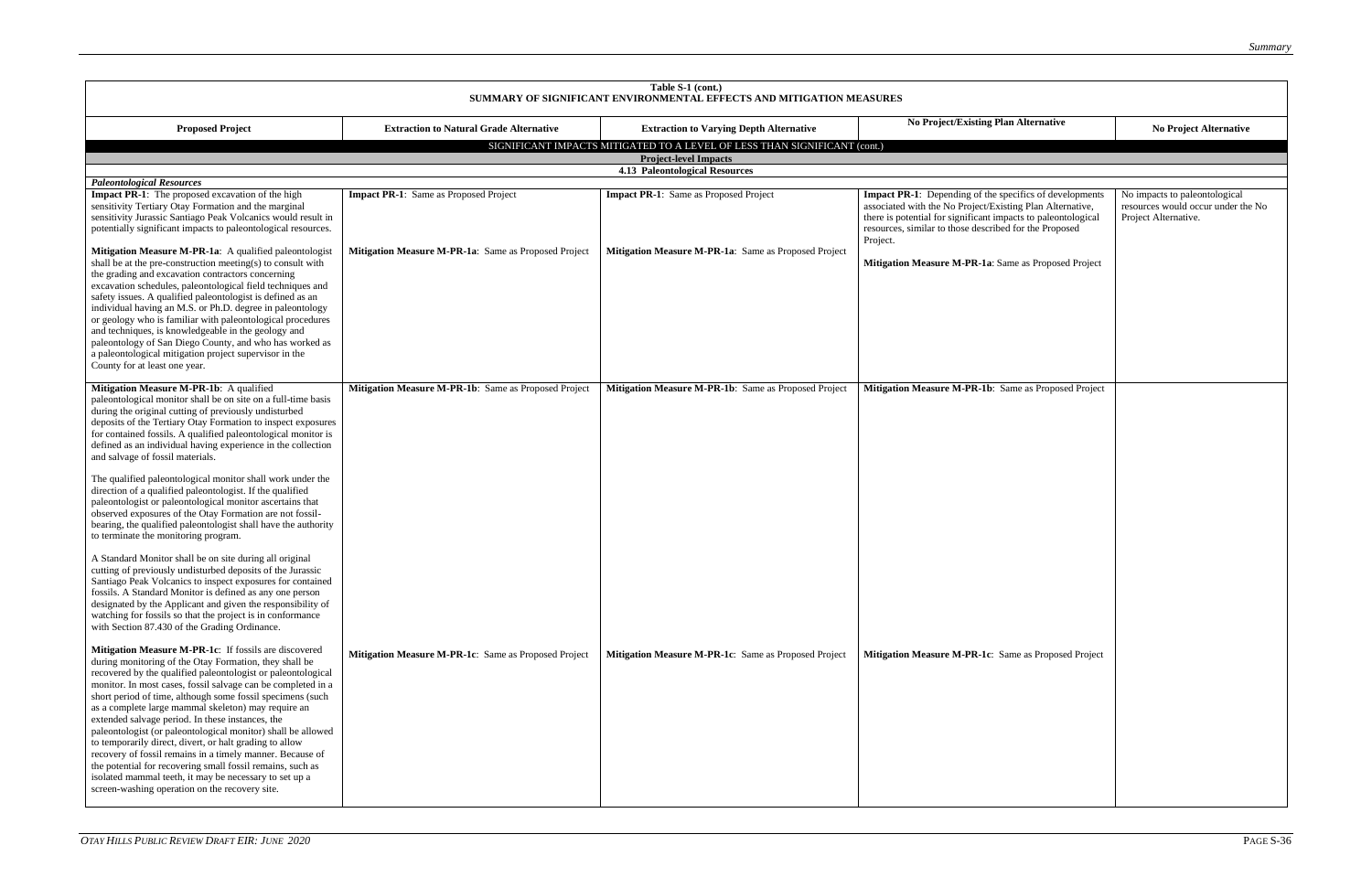| n Alternative                                                                                      | No Project Alternative                                                                      |
|----------------------------------------------------------------------------------------------------|---------------------------------------------------------------------------------------------|
|                                                                                                    |                                                                                             |
|                                                                                                    |                                                                                             |
| ecifics of developments<br>ting Plan Alternative,<br>acts to paleontological<br>I for the Proposed | No impacts to paleontological<br>resources would occur under the No<br>Project Alternative. |
| me as Proposed Project                                                                             |                                                                                             |
| ume as Proposed Project                                                                            |                                                                                             |
|                                                                                                    |                                                                                             |
| me as Proposed Project                                                                             |                                                                                             |

|                                                                                                                                                                                                                                                                                                                                                                                                                                                                                                                                                                                                                                                                                                                                                                                            |                                                      | Table S-1 (cont.)<br>SUMMARY OF SIGNIFICANT ENVIRONMENTAL EFFECTS AND MITIGATION MEASURES |                                                                                                                                                                                                                                                                    |                                                                                          |
|--------------------------------------------------------------------------------------------------------------------------------------------------------------------------------------------------------------------------------------------------------------------------------------------------------------------------------------------------------------------------------------------------------------------------------------------------------------------------------------------------------------------------------------------------------------------------------------------------------------------------------------------------------------------------------------------------------------------------------------------------------------------------------------------|------------------------------------------------------|-------------------------------------------------------------------------------------------|--------------------------------------------------------------------------------------------------------------------------------------------------------------------------------------------------------------------------------------------------------------------|------------------------------------------------------------------------------------------|
| <b>Proposed Project</b>                                                                                                                                                                                                                                                                                                                                                                                                                                                                                                                                                                                                                                                                                                                                                                    | <b>Extraction to Natural Grade Alternative</b>       | <b>Extraction to Varying Depth Alternative</b>                                            | No Project/Existing Plan Alternative                                                                                                                                                                                                                               | <b>No Project Alternative</b>                                                            |
|                                                                                                                                                                                                                                                                                                                                                                                                                                                                                                                                                                                                                                                                                                                                                                                            |                                                      | SIGNIFICANT IMPACTS MITIGATED TO A LEVEL OF LESS THAN SIGNIFICANT (cont.)                 |                                                                                                                                                                                                                                                                    |                                                                                          |
|                                                                                                                                                                                                                                                                                                                                                                                                                                                                                                                                                                                                                                                                                                                                                                                            |                                                      | <b>Project-level Impacts</b><br>4.13 Paleontological Resources                            |                                                                                                                                                                                                                                                                    |                                                                                          |
| <b>Paleontological Resources</b>                                                                                                                                                                                                                                                                                                                                                                                                                                                                                                                                                                                                                                                                                                                                                           |                                                      |                                                                                           |                                                                                                                                                                                                                                                                    |                                                                                          |
| <b>Impact PR-1:</b> The proposed excavation of the high<br>sensitivity Tertiary Otay Formation and the marginal<br>sensitivity Jurassic Santiago Peak Volcanics would result in<br>potentially significant impacts to paleontological resources.                                                                                                                                                                                                                                                                                                                                                                                                                                                                                                                                           | <b>Impact PR-1:</b> Same as Proposed Project         | <b>Impact PR-1:</b> Same as Proposed Project                                              | <b>Impact PR-1:</b> Depending of the specifics of developments<br>associated with the No Project/Existing Plan Alternative,<br>there is potential for significant impacts to paleontological<br>resources, similar to those described for the Proposed<br>Project. | No impacts to paleontological<br>resources would occur under the<br>Project Alternative. |
| Mitigation Measure M-PR-1a: A qualified paleontologist<br>shall be at the pre-construction meeting(s) to consult with<br>the grading and excavation contractors concerning<br>excavation schedules, paleontological field techniques and<br>safety issues. A qualified paleontologist is defined as an<br>individual having an M.S. or Ph.D. degree in paleontology<br>or geology who is familiar with paleontological procedures<br>and techniques, is knowledgeable in the geology and<br>paleontology of San Diego County, and who has worked as<br>a paleontological mitigation project supervisor in the<br>County for at least one year.                                                                                                                                             | Mitigation Measure M-PR-1a: Same as Proposed Project | Mitigation Measure M-PR-1a: Same as Proposed Project                                      | Mitigation Measure M-PR-1a: Same as Proposed Project                                                                                                                                                                                                               |                                                                                          |
| Mitigation Measure M-PR-1b: A qualified<br>paleontological monitor shall be on site on a full-time basis<br>during the original cutting of previously undisturbed<br>deposits of the Tertiary Otay Formation to inspect exposures<br>for contained fossils. A qualified paleontological monitor is<br>defined as an individual having experience in the collection<br>and salvage of fossil materials.                                                                                                                                                                                                                                                                                                                                                                                     | Mitigation Measure M-PR-1b: Same as Proposed Project | Mitigation Measure M-PR-1b: Same as Proposed Project                                      | Mitigation Measure M-PR-1b: Same as Proposed Project                                                                                                                                                                                                               |                                                                                          |
| The qualified paleontological monitor shall work under the<br>direction of a qualified paleontologist. If the qualified<br>paleontologist or paleontological monitor ascertains that<br>observed exposures of the Otay Formation are not fossil-<br>bearing, the qualified paleontologist shall have the authority<br>to terminate the monitoring program.                                                                                                                                                                                                                                                                                                                                                                                                                                 |                                                      |                                                                                           |                                                                                                                                                                                                                                                                    |                                                                                          |
| A Standard Monitor shall be on site during all original<br>cutting of previously undisturbed deposits of the Jurassic<br>Santiago Peak Volcanics to inspect exposures for contained<br>fossils. A Standard Monitor is defined as any one person<br>designated by the Applicant and given the responsibility of<br>watching for fossils so that the project is in conformance<br>with Section 87.430 of the Grading Ordinance.                                                                                                                                                                                                                                                                                                                                                              |                                                      |                                                                                           |                                                                                                                                                                                                                                                                    |                                                                                          |
| Mitigation Measure M-PR-1c: If fossils are discovered<br>during monitoring of the Otay Formation, they shall be<br>recovered by the qualified paleontologist or paleontological<br>monitor. In most cases, fossil salvage can be completed in a<br>short period of time, although some fossil specimens (such<br>as a complete large mammal skeleton) may require an<br>extended salvage period. In these instances, the<br>paleontologist (or paleontological monitor) shall be allowed<br>to temporarily direct, divert, or halt grading to allow<br>recovery of fossil remains in a timely manner. Because of<br>the potential for recovering small fossil remains, such as<br>isolated mammal teeth, it may be necessary to set up a<br>screen-washing operation on the recovery site. | Mitigation Measure M-PR-1c: Same as Proposed Project | Mitigation Measure M-PR-1c: Same as Proposed Project                                      | Mitigation Measure M-PR-1c: Same as Proposed Project                                                                                                                                                                                                               |                                                                                          |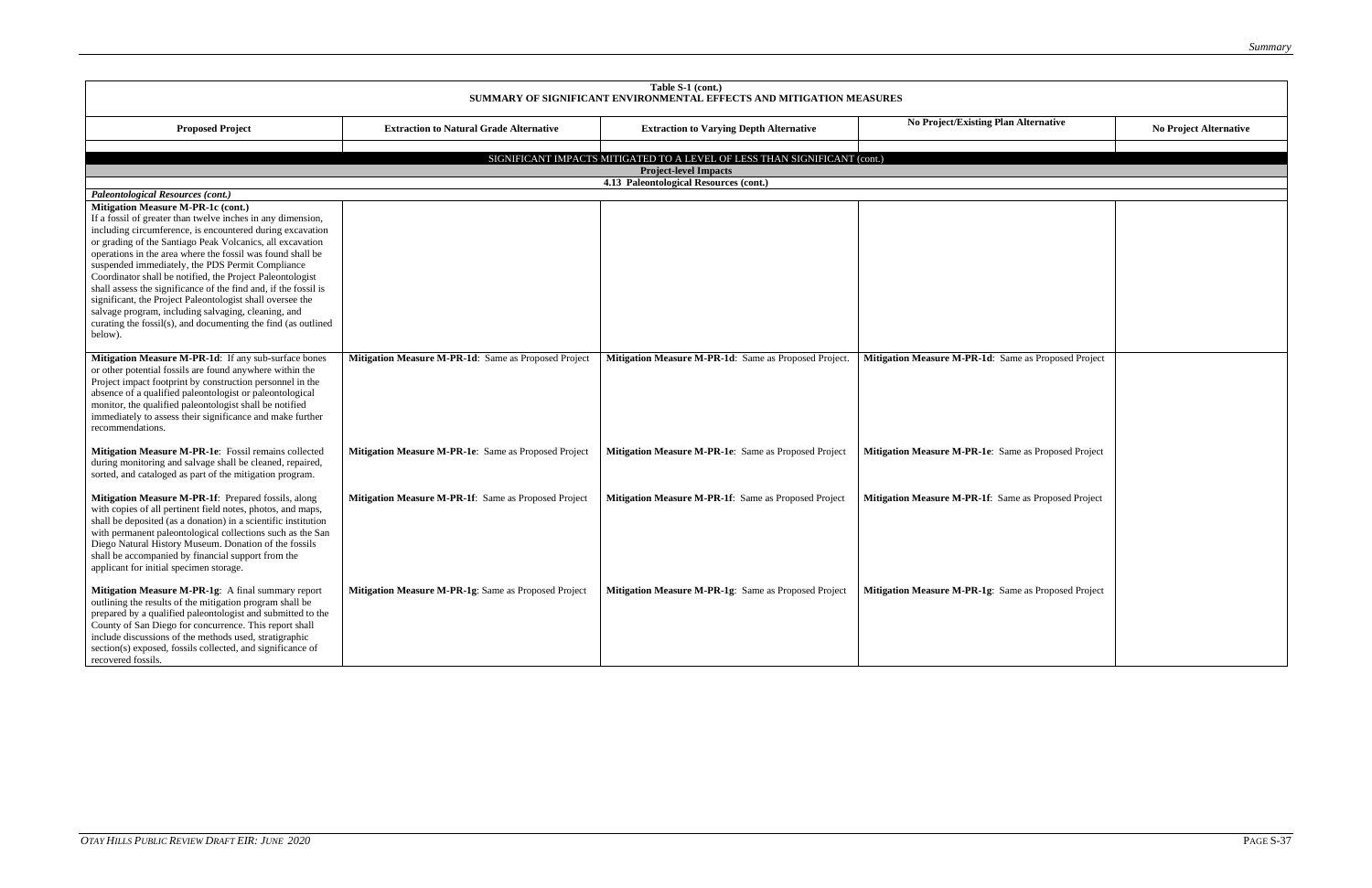| n Alternative          | <b>No Project Alternative</b> |
|------------------------|-------------------------------|
|                        |                               |
|                        |                               |
|                        |                               |
|                        |                               |
|                        |                               |
|                        |                               |
|                        |                               |
|                        |                               |
| me as Proposed Project |                               |
|                        |                               |
|                        |                               |
|                        |                               |
| me as Proposed Project |                               |
|                        |                               |
| me as Proposed Project |                               |
|                        |                               |
|                        |                               |
|                        |                               |
| me as Proposed Project |                               |
|                        |                               |
|                        |                               |
|                        |                               |

|                                                                                                                                                                                                                                                                                                                                                                                                                                                                                                                                                                                                                                                                               |                                                      | Table S-1 (cont.)<br>SUMMARY OF SIGNIFICANT ENVIRONMENTAL EFFECTS AND MITIGATION MEASURES |                                                      |                        |
|-------------------------------------------------------------------------------------------------------------------------------------------------------------------------------------------------------------------------------------------------------------------------------------------------------------------------------------------------------------------------------------------------------------------------------------------------------------------------------------------------------------------------------------------------------------------------------------------------------------------------------------------------------------------------------|------------------------------------------------------|-------------------------------------------------------------------------------------------|------------------------------------------------------|------------------------|
| <b>Proposed Project</b>                                                                                                                                                                                                                                                                                                                                                                                                                                                                                                                                                                                                                                                       | <b>Extraction to Natural Grade Alternative</b>       | <b>Extraction to Varying Depth Alternative</b>                                            | No Project/Existing Plan Alternative                 | No Project Alternative |
|                                                                                                                                                                                                                                                                                                                                                                                                                                                                                                                                                                                                                                                                               |                                                      |                                                                                           |                                                      |                        |
|                                                                                                                                                                                                                                                                                                                                                                                                                                                                                                                                                                                                                                                                               |                                                      | SIGNIFICANT IMPACTS MITIGATED TO A LEVEL OF LESS THAN SIGNIFICANT (cont.)                 |                                                      |                        |
|                                                                                                                                                                                                                                                                                                                                                                                                                                                                                                                                                                                                                                                                               |                                                      | <b>Project-level Impacts</b>                                                              |                                                      |                        |
|                                                                                                                                                                                                                                                                                                                                                                                                                                                                                                                                                                                                                                                                               |                                                      | 4.13 Paleontological Resources (cont.)                                                    |                                                      |                        |
| <b>Paleontological Resources (cont.)</b>                                                                                                                                                                                                                                                                                                                                                                                                                                                                                                                                                                                                                                      |                                                      |                                                                                           |                                                      |                        |
| Mitigation Measure M-PR-1c (cont.)<br>If a fossil of greater than twelve inches in any dimension,<br>including circumference, is encountered during excavation<br>or grading of the Santiago Peak Volcanics, all excavation<br>operations in the area where the fossil was found shall be<br>suspended immediately, the PDS Permit Compliance<br>Coordinator shall be notified, the Project Paleontologist<br>shall assess the significance of the find and, if the fossil is<br>significant, the Project Paleontologist shall oversee the<br>salvage program, including salvaging, cleaning, and<br>curating the fossil(s), and documenting the find (as outlined<br>below). |                                                      |                                                                                           |                                                      |                        |
| Mitigation Measure M-PR-1d: If any sub-surface bones<br>or other potential fossils are found anywhere within the<br>Project impact footprint by construction personnel in the<br>absence of a qualified paleontologist or paleontological<br>monitor, the qualified paleontologist shall be notified<br>immediately to assess their significance and make further<br>recommendations.                                                                                                                                                                                                                                                                                         | Mitigation Measure M-PR-1d: Same as Proposed Project | Mitigation Measure M-PR-1d: Same as Proposed Project.                                     | Mitigation Measure M-PR-1d: Same as Proposed Project |                        |
| Mitigation Measure M-PR-1e: Fossil remains collected<br>during monitoring and salvage shall be cleaned, repaired,<br>sorted, and cataloged as part of the mitigation program.                                                                                                                                                                                                                                                                                                                                                                                                                                                                                                 | Mitigation Measure M-PR-1e: Same as Proposed Project | Mitigation Measure M-PR-1e: Same as Proposed Project                                      | Mitigation Measure M-PR-1e: Same as Proposed Project |                        |
| Mitigation Measure M-PR-1f: Prepared fossils, along<br>with copies of all pertinent field notes, photos, and maps,<br>shall be deposited (as a donation) in a scientific institution<br>with permanent paleontological collections such as the San<br>Diego Natural History Museum. Donation of the fossils<br>shall be accompanied by financial support from the<br>applicant for initial specimen storage.                                                                                                                                                                                                                                                                  | Mitigation Measure M-PR-1f: Same as Proposed Project | Mitigation Measure M-PR-1f: Same as Proposed Project                                      | Mitigation Measure M-PR-1f: Same as Proposed Project |                        |
| Mitigation Measure M-PR-1g: A final summary report<br>outlining the results of the mitigation program shall be<br>prepared by a qualified paleontologist and submitted to the<br>County of San Diego for concurrence. This report shall<br>include discussions of the methods used, stratigraphic<br>section(s) exposed, fossils collected, and significance of<br>recovered fossils.                                                                                                                                                                                                                                                                                         | Mitigation Measure M-PR-1g: Same as Proposed Project | Mitigation Measure M-PR-1g: Same as Proposed Project                                      | Mitigation Measure M-PR-1g: Same as Proposed Project |                        |